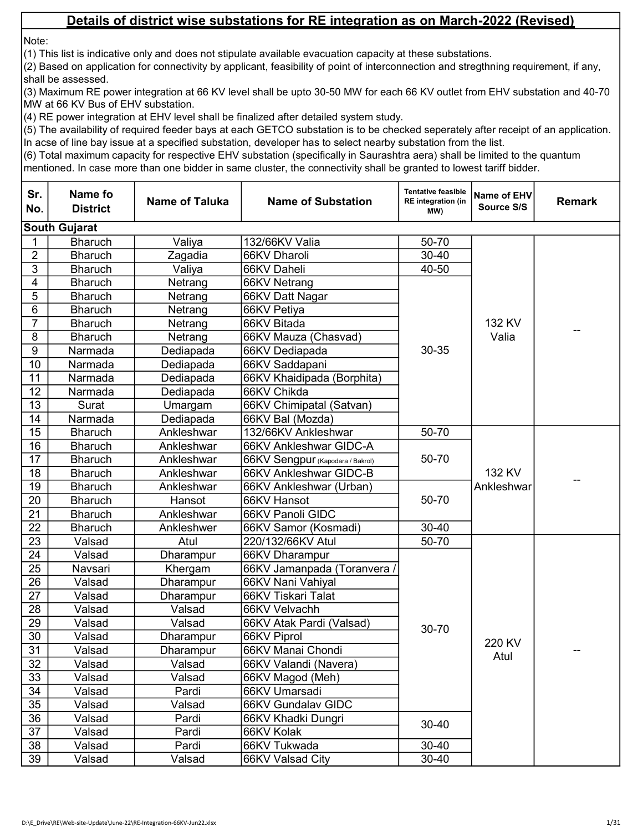Note:

(1) This list is indicative only and does not stipulate available evacuation capacity at these substations.

(2) Based on application for connectivity by applicant, feasibility of point of interconnection and stregthning requirement, if any, shall be assessed.

(3) Maximum RE power integration at 66 KV level shall be upto 30-50 MW for each 66 KV outlet from EHV substation and 40-70 MW at 66 KV Bus of EHV substation.

(4) RE power integration at EHV level shall be finalized after detailed system study.

(5) The availability of required feeder bays at each GETCO substation is to be checked seperately after receipt of an application. In acse of line bay issue at a specified substation, developer has to select nearby substation from the list.

| Sr.<br>No.      | Name fo<br><b>District</b> | <b>Name of Taluka</b> | <b>Name of Substation</b>        | <b>Tentative feasible</b><br><b>RE</b> integration (in<br>(MW | Name of EHV<br>Source S/S | <b>Remark</b> |
|-----------------|----------------------------|-----------------------|----------------------------------|---------------------------------------------------------------|---------------------------|---------------|
|                 | <b>South Gujarat</b>       |                       |                                  |                                                               |                           |               |
|                 | <b>Bharuch</b>             | Valiya                | 132/66KV Valia                   | 50-70                                                         |                           |               |
| $\overline{2}$  | <b>Bharuch</b>             | Zagadia               | 66KV Dharoli                     | $30 - 40$                                                     |                           |               |
| $\mathbf{3}$    | <b>Bharuch</b>             | Valiya                | 66KV Daheli                      | 40-50                                                         |                           |               |
| 4               | <b>Bharuch</b>             | Netrang               | 66KV Netrang                     |                                                               |                           |               |
| 5               | <b>Bharuch</b>             | Netrang               | 66KV Datt Nagar                  |                                                               |                           |               |
| 6               | <b>Bharuch</b>             | Netrang               | 66KV Petiya                      |                                                               |                           |               |
| 7               | <b>Bharuch</b>             | Netrang               | 66KV Bitada                      |                                                               | 132 KV                    |               |
| 8               | <b>Bharuch</b>             | Netrang               | 66KV Mauza (Chasvad)             |                                                               | Valia                     |               |
| 9               | Narmada                    | Dediapada             | 66KV Dediapada                   | 30-35                                                         |                           |               |
| 10              | Narmada                    | Dediapada             | 66KV Saddapani                   |                                                               |                           |               |
| 11              | Narmada                    | Dediapada             | 66KV Khaidipada (Borphita)       |                                                               |                           |               |
| 12              | Narmada                    | Dediapada             | 66KV Chikda                      |                                                               |                           |               |
| 13              | Surat                      | Umargam               | 66KV Chimipatal (Satvan)         |                                                               |                           |               |
| 14              | Narmada                    | Dediapada             | 66KV Bal (Mozda)                 |                                                               |                           |               |
| 15              | <b>Bharuch</b>             | Ankleshwar            | 132/66KV Ankleshwar              | 50-70                                                         |                           |               |
| 16              | <b>Bharuch</b>             | Ankleshwar            | 66KV Ankleshwar GIDC-A           |                                                               |                           |               |
| 17              | <b>Bharuch</b>             | Ankleshwar            | 66KV Sengpur (Kapodara / Bakrol) | 50-70                                                         |                           |               |
| 18              | <b>Bharuch</b>             | Ankleshwar            | 66KV Ankleshwar GIDC-B           |                                                               | 132 KV                    |               |
| 19              | <b>Bharuch</b>             | Ankleshwar            | 66KV Ankleshwar (Urban)          |                                                               | Ankleshwar                |               |
| 20              | <b>Bharuch</b>             | Hansot                | 66KV Hansot                      | 50-70                                                         |                           |               |
| $\overline{21}$ | <b>Bharuch</b>             | Ankleshwar            | 66KV Panoli GIDC                 |                                                               |                           |               |
| 22              | <b>Bharuch</b>             | Ankleshwer            | 66KV Samor (Kosmadi)             | $30 - 40$                                                     |                           |               |
| 23              | Valsad                     | Atul                  | 220/132/66KV Atul                | 50-70                                                         |                           |               |
| 24              | Valsad                     | Dharampur             | 66KV Dharampur                   |                                                               |                           |               |
| 25              | Navsari                    | Khergam               | 66KV Jamanpada (Toranvera        |                                                               |                           |               |
| 26              | Valsad                     | Dharampur             | 66KV Nani Vahiyal                |                                                               |                           |               |
| $\overline{27}$ | Valsad                     | Dharampur             | 66KV Tiskari Talat               |                                                               |                           |               |
| 28              | Valsad                     | Valsad                | 66KV Velvachh                    |                                                               |                           |               |
| 29              | Valsad                     | Valsad                | 66KV Atak Pardi (Valsad)         | 30-70                                                         |                           |               |
| 30              | Valsad                     | Dharampur             | 66KV Piprol                      |                                                               | 220 KV                    |               |
| 31              | Valsad                     | Dharampur             | 66KV Manai Chondi                |                                                               | Atul                      |               |
| 32              | Valsad                     | Valsad                | 66KV Valandi (Navera)            |                                                               |                           |               |
| 33              | Valsad                     | Valsad                | 66KV Magod (Meh)                 |                                                               |                           |               |
| 34              | Valsad                     | Pardi                 | 66KV Umarsadi                    |                                                               |                           |               |
| 35              | Valsad                     | Valsad                | 66KV Gundalav GIDC               |                                                               |                           |               |
| 36              | Valsad                     | Pardi                 | 66KV Khadki Dungri               | 30-40                                                         |                           |               |
| 37              | Valsad                     | Pardi                 | 66KV Kolak                       |                                                               |                           |               |
| 38              | Valsad                     | Pardi                 | 66KV Tukwada                     | $30 - 40$                                                     |                           |               |
| 39              | Valsad                     | Valsad                | 66KV Valsad City                 | $30 - 40$                                                     |                           |               |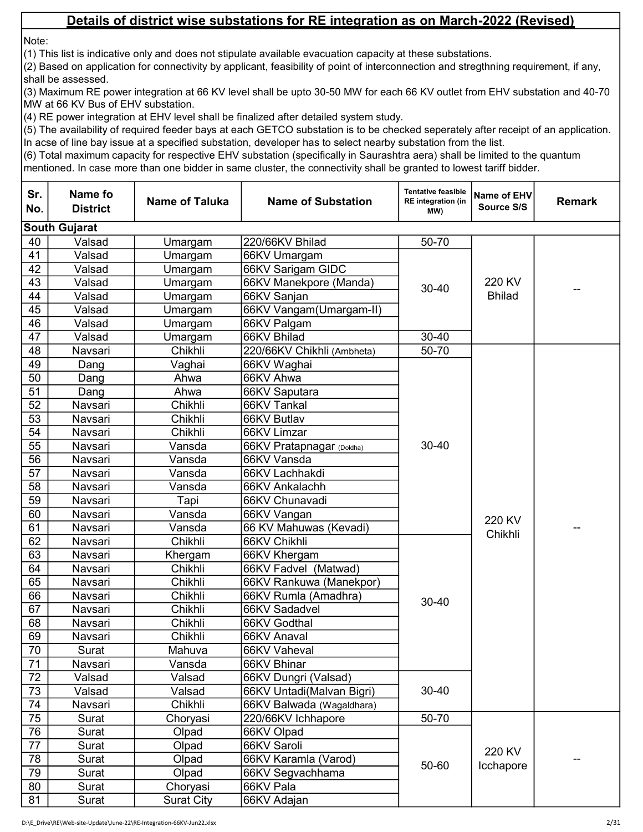Note:

(1) This list is indicative only and does not stipulate available evacuation capacity at these substations.

(2) Based on application for connectivity by applicant, feasibility of point of interconnection and stregthning requirement, if any, shall be assessed.

(3) Maximum RE power integration at 66 KV level shall be upto 30-50 MW for each 66 KV outlet from EHV substation and 40-70 MW at 66 KV Bus of EHV substation.

(4) RE power integration at EHV level shall be finalized after detailed system study.

(5) The availability of required feeder bays at each GETCO substation is to be checked seperately after receipt of an application. In acse of line bay issue at a specified substation, developer has to select nearby substation from the list.

| Sr.<br>No. | Name fo<br><b>District</b> | <b>Name of Taluka</b> | <b>Name of Substation</b>  | <b>Tentative feasible</b><br>RE integration (in<br>MW) | Name of EHV<br>Source S/S | <b>Remark</b> |
|------------|----------------------------|-----------------------|----------------------------|--------------------------------------------------------|---------------------------|---------------|
|            | <b>South Gujarat</b>       |                       |                            |                                                        |                           |               |
| 40         | Valsad                     | Umargam               | 220/66KV Bhilad            | 50-70                                                  |                           |               |
| 41         | Valsad                     | Umargam               | 66KV Umargam               |                                                        |                           |               |
| 42         | Valsad                     | Umargam               | 66KV Sarigam GIDC          |                                                        |                           |               |
| 43         | Valsad                     | Umargam               | 66KV Manekpore (Manda)     | $30 - 40$                                              | 220 KV                    |               |
| 44         | Valsad                     | Umargam               | 66KV Sanjan                |                                                        | <b>Bhilad</b>             |               |
| 45         | Valsad                     | Umargam               | 66KV Vangam(Umargam-II)    |                                                        |                           |               |
| 46         | Valsad                     | Umargam               | 66KV Palgam                |                                                        |                           |               |
| 47         | Valsad                     | Umargam               | 66KV Bhilad                | $30 - 40$                                              |                           |               |
| 48         | Navsari                    | Chikhli               | 220/66KV Chikhli (Ambheta) | 50-70                                                  |                           |               |
| 49         | Dang                       | Vaghai                | 66KV Waghai                |                                                        |                           |               |
| 50         | Dang                       | Ahwa                  | 66KV Ahwa                  |                                                        |                           |               |
| 51         | Dang                       | Ahwa                  | 66KV Saputara              |                                                        |                           |               |
| 52         | Navsari                    | Chikhli               | 66KV Tankal                |                                                        |                           |               |
| 53         | Navsari                    | Chikhli               | 66KV Butlav                |                                                        |                           |               |
| 54         | Navsari                    | Chikhli               | 66KV Limzar                |                                                        |                           |               |
| 55         | Navsari                    | Vansda                | 66KV Pratapnagar (Doldha)  | $30 - 40$                                              |                           |               |
| 56         | Navsari                    | Vansda                | 66KV Vansda                |                                                        |                           |               |
| 57         | Navsari                    | Vansda                | 66KV Lachhakdi             |                                                        |                           |               |
| 58         | Navsari                    | Vansda                | 66KV Ankalachh             |                                                        |                           |               |
| 59         | Navsari                    | Tapi                  | 66KV Chunavadi             |                                                        |                           |               |
| 60         | Navsari                    | Vansda                | 66KV Vangan                |                                                        | 220 KV                    |               |
| 61         | Navsari                    | Vansda                | 66 KV Mahuwas (Kevadi)     |                                                        |                           |               |
| 62         | Navsari                    | Chikhli               | 66KV Chikhli               |                                                        | Chikhli                   |               |
| 63         | Navsari                    | Khergam               | 66KV Khergam               |                                                        |                           |               |
| 64         | Navsari                    | Chikhli               | 66KV Fadvel (Matwad)       |                                                        |                           |               |
| 65         | Navsari                    | Chikhli               | 66KV Rankuwa (Manekpor)    |                                                        |                           |               |
| 66         | Navsari                    | Chikhli               | 66KV Rumla (Amadhra)       | 30-40                                                  |                           |               |
| 67         | Navsari                    | Chikhli               | 66KV Sadadvel              |                                                        |                           |               |
| 68         | Navsari                    | Chikhli               | 66KV Godthal               |                                                        |                           |               |
| 69         | Navsari                    | Chikhli               | 66KV Anaval                |                                                        |                           |               |
| 70         | Surat                      | Mahuva                | 66KV Vaheval               |                                                        |                           |               |
| 71         | Navsari                    | Vansda                | 66KV Bhinar                |                                                        |                           |               |
| 72         | Valsad                     | Valsad                | 66KV Dungri (Valsad)       |                                                        |                           |               |
| 73         | Valsad                     | Valsad                | 66KV Untadi(Malvan Bigri)  | $30 - 40$                                              |                           |               |
| 74         | Navsari                    | Chikhli               | 66KV Balwada (Wagaldhara)  |                                                        |                           |               |
| 75         | Surat                      | Choryasi              | 220/66KV Ichhapore         | 50-70                                                  |                           |               |
| 76         | Surat                      | Olpad                 | 66KV Olpad                 |                                                        |                           |               |
| 77         | Surat                      | Olpad                 | 66KV Saroli                |                                                        | 220 KV                    |               |
| 78         | Surat                      | Olpad                 | 66KV Karamla (Varod)       | 50-60                                                  | Icchapore                 |               |
| 79         | Surat                      | Olpad                 | 66KV Segvachhama           |                                                        |                           |               |
| 80         | Surat                      | Choryasi              | 66KV Pala                  |                                                        |                           |               |
| 81         | Surat                      | <b>Surat City</b>     | 66KV Adajan                |                                                        |                           |               |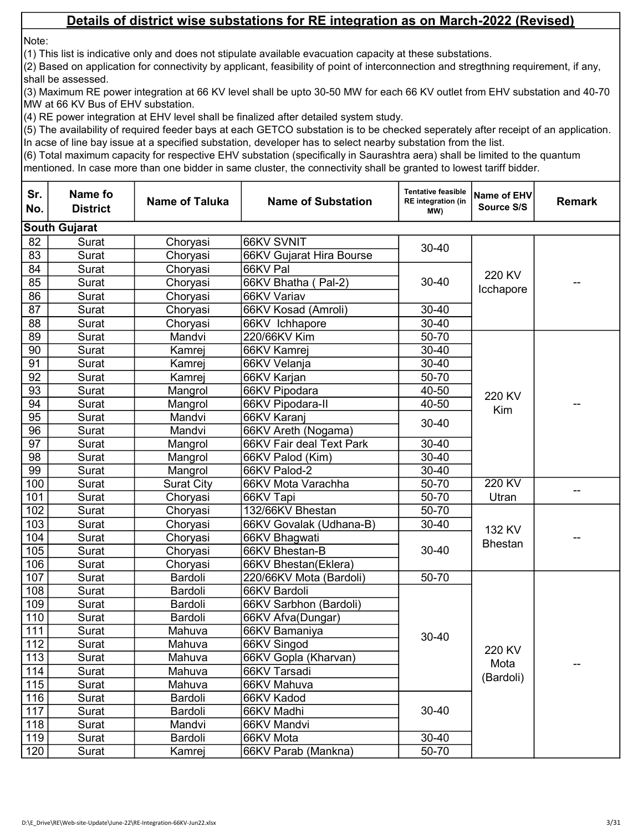Note:

(1) This list is indicative only and does not stipulate available evacuation capacity at these substations.

(2) Based on application for connectivity by applicant, feasibility of point of interconnection and stregthning requirement, if any, shall be assessed.

(3) Maximum RE power integration at 66 KV level shall be upto 30-50 MW for each 66 KV outlet from EHV substation and 40-70 MW at 66 KV Bus of EHV substation.

(4) RE power integration at EHV level shall be finalized after detailed system study.

(5) The availability of required feeder bays at each GETCO substation is to be checked seperately after receipt of an application. In acse of line bay issue at a specified substation, developer has to select nearby substation from the list.

| Sr.<br>No. | Name fo<br><b>District</b> | <b>Name of Taluka</b> | <b>Name of Substation</b> | <b>Tentative feasible</b><br><b>RE</b> integration (in<br>MW) | Name of EHV<br>Source S/S | <b>Remark</b> |
|------------|----------------------------|-----------------------|---------------------------|---------------------------------------------------------------|---------------------------|---------------|
|            | <b>South Gujarat</b>       |                       |                           |                                                               |                           |               |
| 82         | Surat                      | Choryasi              | 66KV SVNIT                | $30 - 40$                                                     |                           |               |
| 83         | Surat                      | Choryasi              | 66KV Gujarat Hira Bourse  |                                                               |                           |               |
| 84         | Surat                      | Choryasi              | 66KV Pal                  |                                                               | 220 KV                    |               |
| 85         | Surat                      | Choryasi              | 66KV Bhatha (Pal-2)       | $30 - 40$                                                     | Icchapore                 |               |
| 86         | Surat                      | Choryasi              | 66KV Variav               |                                                               |                           |               |
| 87         | Surat                      | Choryasi              | 66KV Kosad (Amroli)       | 30-40                                                         |                           |               |
| 88         | Surat                      | Choryasi              | 66KV Ichhapore            | $30 - 40$                                                     |                           |               |
| 89         | Surat                      | Mandvi                | 220/66KV Kim              | 50-70                                                         |                           |               |
| 90         | Surat                      | Kamrej                | 66KV Kamrej               | $30 - 40$                                                     |                           |               |
| 91         | Surat                      | Kamrej                | 66KV Velanja              | $30 - 40$                                                     | 220 KV                    |               |
| 92         | Surat                      | Kamrej                | 66KV Karjan               | 50-70                                                         |                           |               |
| 93         | Surat                      | Mangrol               | 66KV Pipodara             | 40-50                                                         |                           |               |
| 94         | Surat                      | Mangrol               | 66KV Pipodara-II          | 40-50                                                         | Kim                       |               |
| 95         | Surat                      | Mandvi                | 66KV Karanj               | $30 - 40$                                                     |                           |               |
| 96         | Surat                      | Mandvi                | 66KV Areth (Nogama)       |                                                               |                           |               |
| 97         | Surat                      | Mangrol               | 66KV Fair deal Text Park  | $30 - 40$                                                     |                           |               |
| 98         | Surat                      | Mangrol               | 66KV Palod (Kim)          | $30 - 40$                                                     |                           |               |
| 99         | Surat                      | Mangrol               | 66KV Palod-2              | $30 - 40$                                                     |                           |               |
| 100        | Surat                      | <b>Surat City</b>     | 66KV Mota Varachha        | 50-70                                                         | 220 KV                    |               |
| 101        | Surat                      | Choryasi              | 66KV Tapi                 | 50-70                                                         | Utran                     |               |
| 102        | Surat                      | Choryasi              | 132/66KV Bhestan          | 50-70                                                         |                           |               |
| 103        | Surat                      | Choryasi              | 66KV Govalak (Udhana-B)   | $30 - 40$                                                     | 132 KV                    |               |
| 104        | Surat                      | Choryasi              | 66KV Bhagwati             |                                                               | <b>Bhestan</b>            |               |
| 105        | Surat                      | Choryasi              | 66KV Bhestan-B            | $30 - 40$                                                     |                           |               |
| 106        | Surat                      | Choryasi              | 66KV Bhestan(Eklera)      |                                                               |                           |               |
| 107        | Surat                      | Bardoli               | 220/66KV Mota (Bardoli)   | 50-70                                                         |                           |               |
| 108        | Surat                      | Bardoli               | 66KV Bardoli              |                                                               |                           |               |
| 109        | Surat                      | Bardoli               | 66KV Sarbhon (Bardoli)    |                                                               |                           |               |
| 110        | Surat                      | Bardoli               | 66KV Afva(Dungar)         |                                                               |                           |               |
| 111        | Surat                      | Mahuva                | 66KV Bamaniya             | 30-40                                                         |                           |               |
| 112        | Surat                      | Mahuva                | 66KV Singod               |                                                               | 220 KV                    |               |
| 113        | Surat                      | Mahuva                | 66KV Gopla (Kharvan)      |                                                               | Mota                      |               |
| 114        | Surat                      | Mahuva                | 66KV Tarsadi              |                                                               | (Bardoli)                 |               |
| 115        | Surat                      | Mahuva                | 66KV Mahuva               |                                                               |                           |               |
| 116        | Surat                      | Bardoli               | 66KV Kadod                |                                                               |                           |               |
| 117        | Surat                      | Bardoli               | 66KV Madhi                | 30-40                                                         |                           |               |
| 118        | Surat                      | Mandvi                | 66KV Mandvi               |                                                               |                           |               |
| 119        | Surat                      | Bardoli               | 66KV Mota                 | $30 - 40$                                                     |                           |               |
| 120        | Surat                      | Kamrej                | 66KV Parab (Mankna)       | 50-70                                                         |                           |               |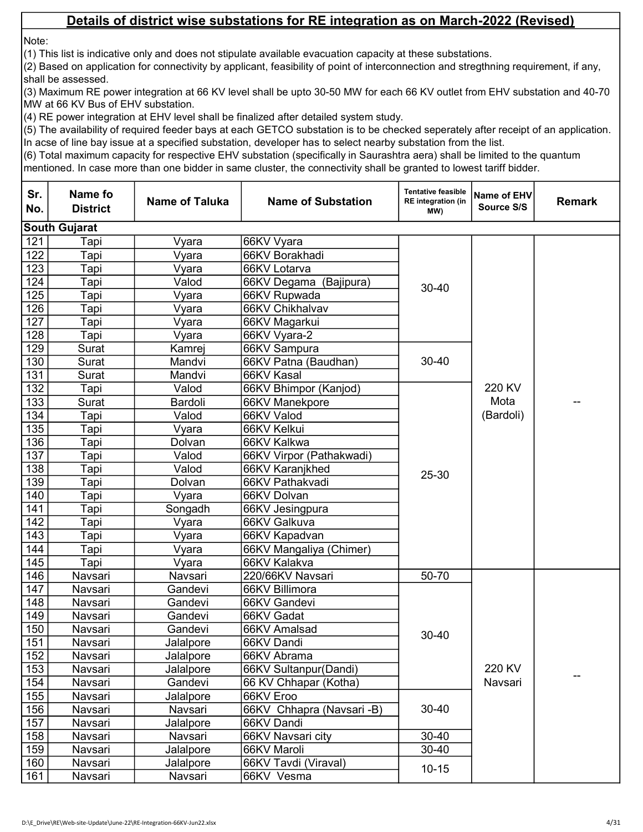Note:

(1) This list is indicative only and does not stipulate available evacuation capacity at these substations.

(2) Based on application for connectivity by applicant, feasibility of point of interconnection and stregthning requirement, if any, shall be assessed.

(3) Maximum RE power integration at 66 KV level shall be upto 30-50 MW for each 66 KV outlet from EHV substation and 40-70 MW at 66 KV Bus of EHV substation.

(4) RE power integration at EHV level shall be finalized after detailed system study.

(5) The availability of required feeder bays at each GETCO substation is to be checked seperately after receipt of an application. In acse of line bay issue at a specified substation, developer has to select nearby substation from the list.

| Sr.<br>No. | Name fo<br><b>District</b> | <b>Name of Taluka</b> | <b>Name of Substation</b> | <b>Tentative feasible</b><br><b>RE</b> integration (in<br>MW) | Name of EHV<br>Source S/S | <b>Remark</b> |
|------------|----------------------------|-----------------------|---------------------------|---------------------------------------------------------------|---------------------------|---------------|
|            | <b>South Gujarat</b>       |                       |                           |                                                               |                           |               |
| 121        | Tapi                       | Vyara                 | 66KV Vyara                |                                                               |                           |               |
| 122        | Tapi                       | Vyara                 | 66KV Borakhadi            |                                                               |                           |               |
| 123        | Tapi                       | Vyara                 | 66KV Lotarva              |                                                               |                           |               |
| 124        | Tapi                       | Valod                 | 66KV Degama (Bajipura)    | $30 - 40$                                                     |                           |               |
| 125        | Tapi                       | Vyara                 | 66KV Rupwada              |                                                               |                           |               |
| 126        | Tapi                       | Vyara                 | 66KV Chikhalvav           |                                                               |                           |               |
| 127        | Tapi                       | Vyara                 | 66KV Magarkui             |                                                               |                           |               |
| 128        | Tapi                       | Vyara                 | 66KV Vyara-2              |                                                               |                           |               |
| 129        | Surat                      | Kamrej                | 66KV Sampura              |                                                               |                           |               |
| 130        | Surat                      | Mandvi                | 66KV Patna (Baudhan)      | 30-40                                                         |                           |               |
| 131        | Surat                      | Mandvi                | 66KV Kasal                |                                                               |                           |               |
| 132        | Tapi                       | Valod                 | 66KV Bhimpor (Kanjod)     |                                                               | 220 KV                    |               |
| 133        | Surat                      | Bardoli               | 66KV Manekpore            |                                                               | Mota                      |               |
| 134        | Tapi                       | Valod                 | 66KV Valod                |                                                               | (Bardoli)                 |               |
| 135        | Tapi                       | Vyara                 | 66KV Kelkui               |                                                               |                           |               |
| 136        | Tapi                       | Dolvan                | 66KV Kalkwa               |                                                               |                           |               |
| 137        | Tapi                       | Valod                 | 66KV Virpor (Pathakwadi)  |                                                               |                           |               |
| 138        | Tapi                       | Valod                 | 66KV Karanjkhed           | 25-30                                                         |                           |               |
| 139        | Tapi                       | Dolvan                | 66KV Pathakvadi           |                                                               |                           |               |
| 140        | Tapi                       | Vyara                 | 66KV Dolvan               |                                                               |                           |               |
| 141        | Tapi                       | Songadh               | 66KV Jesingpura           |                                                               |                           |               |
| 142        | Tapi                       | Vyara                 | 66KV Galkuva              |                                                               |                           |               |
| 143        | Tapi                       | Vyara                 | 66KV Kapadvan             |                                                               |                           |               |
| 144        | Tapi                       | Vyara                 | 66KV Mangaliya (Chimer)   |                                                               |                           |               |
| 145        | Tapi                       | Vyara                 | 66KV Kalakva              |                                                               |                           |               |
| 146        | Navsari                    | Navsari               | 220/66KV Navsari          | 50-70                                                         |                           |               |
| 147        | Navsari                    | Gandevi               | 66KV Billimora            |                                                               |                           |               |
| 148        | Navsari                    | Gandevi               | 66KV Gandevi              |                                                               |                           |               |
| 149        | Navsari                    | Gandevi               | 66KV Gadat                |                                                               |                           |               |
| 150        | Navsari                    | Gandevi               | 66KV Amalsad              | 30-40                                                         |                           |               |
| 151        | Navsari                    | Jalalpore             | 66KV Dandi                |                                                               |                           |               |
| 152        | Navsari                    | Jalalpore             | 66KV Abrama               |                                                               |                           |               |
| 153        | Navsari                    | Jalalpore             | 66KV Sultanpur(Dandi)     |                                                               | 220 KV                    |               |
| 154        | Navsari                    | Gandevi               | 66 KV Chhapar (Kotha)     |                                                               | Navsari                   |               |
| 155        | Navsari                    | Jalalpore             | 66KV Eroo                 |                                                               |                           |               |
| 156        | Navsari                    | Navsari               | 66KV Chhapra (Navsari -B) | $30 - 40$                                                     |                           |               |
| 157        | Navsari                    | Jalalpore             | 66KV Dandi                |                                                               |                           |               |
| 158        | Navsari                    | Navsari               | 66KV Navsari city         | 30-40                                                         |                           |               |
| 159        | Navsari                    | Jalalpore             | 66KV Maroli               | $30 - 40$                                                     |                           |               |
| 160        | Navsari                    | Jalalpore             | 66KV Tavdi (Viraval)      | $10 - 15$                                                     |                           |               |
| 161        | Navsari                    | Navsari               | 66KV Vesma                |                                                               |                           |               |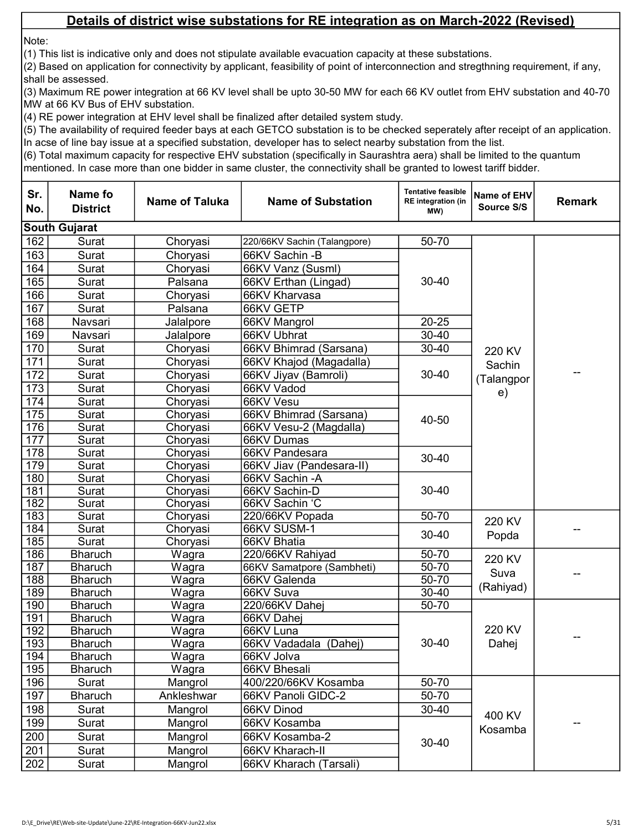Note:

(1) This list is indicative only and does not stipulate available evacuation capacity at these substations.

(2) Based on application for connectivity by applicant, feasibility of point of interconnection and stregthning requirement, if any, shall be assessed.

(3) Maximum RE power integration at 66 KV level shall be upto 30-50 MW for each 66 KV outlet from EHV substation and 40-70 MW at 66 KV Bus of EHV substation.

(4) RE power integration at EHV level shall be finalized after detailed system study.

(5) The availability of required feeder bays at each GETCO substation is to be checked seperately after receipt of an application. In acse of line bay issue at a specified substation, developer has to select nearby substation from the list.

| <b>South Gujarat</b><br>162<br>50-70<br>Surat<br>Choryasi<br>220/66KV Sachin (Talangpore)<br>163<br>Surat<br>Choryasi<br>66KV Sachin - B<br>164<br>Surat<br>Choryasi<br>66KV Vanz (Susml)<br>165<br>Surat<br>66KV Erthan (Lingad)<br>$30 - 40$<br>Palsana<br>166<br>Surat<br>Choryasi<br>66KV Kharvasa<br>167<br>Surat<br>66KV GETP<br>Palsana<br>168<br>$20 - 25$<br>Navsari<br>66KV Mangrol<br>Jalalpore<br>169<br>66KV Ubhrat<br>$30 - 40$<br>Navsari<br>Jalalpore<br>170<br>$30 - 40$<br>Surat<br>66KV Bhimrad (Sarsana)<br>Choryasi<br>220 KV<br>171<br>Surat<br>66KV Khajod (Magadalla)<br>Choryasi<br>Sachin<br>$30 - 40$<br>172<br>Surat<br>Choryasi<br>66KV Jiyav (Bamroli)<br>--<br>(Talangpor<br>173<br>Surat<br>Choryasi<br>66KV Vadod<br>e)<br>174<br>Surat<br>Choryasi<br>66KV Vesu<br>175<br>Surat<br>Choryasi<br>66KV Bhimrad (Sarsana)<br>40-50<br>176<br>Surat<br>Choryasi<br>66KV Vesu-2 (Magdalla)<br>177<br>Surat<br>Choryasi<br>66KV Dumas<br>178<br>Surat<br>Choryasi<br>66KV Pandesara<br>$30 - 40$<br>179<br>Surat<br>Choryasi<br>66KV Jiav (Pandesara-II)<br>180<br>Surat<br>Choryasi<br>66KV Sachin - A<br>181<br>$30 - 40$<br>Surat<br>Choryasi<br>66KV Sachin-D<br>182<br>Surat<br>Choryasi<br>66KV Sachin 'C<br>183<br>Surat<br>50-70<br>Choryasi<br>220/66KV Popada<br>220 KV<br>184<br>Surat<br>Choryasi<br>66KV SUSM-1<br>30-40<br>Popda<br>185<br>Surat<br>66KV Bhatia<br>Choryasi<br>186<br><b>Bharuch</b><br>220/66KV Rahiyad<br>50-70<br>Wagra<br>220 KV<br>187<br><b>Bharuch</b><br>Wagra<br>66KV Samatpore (Sambheti)<br>50-70<br>Suva<br>50-70<br>188<br><b>Bharuch</b><br>Wagra<br>66KV Galenda<br>(Rahiyad)<br>189<br>$30 - 40$<br><b>Bharuch</b><br>Wagra<br>66KV Suva<br>190<br>50-70<br><b>Bharuch</b><br>Wagra<br>220/66KV Dahei<br>191<br><b>Bharuch</b><br>Wagra<br>66KV Dahej<br>220 KV<br>192<br><b>Bharuch</b><br>66KV Luna<br>Wagra<br>--<br>193<br><b>Bharuch</b><br>30-40<br>Wagra<br>66KV Vadadala (Dahej)<br>Dahej<br>194<br><b>Bharuch</b><br>Wagra<br>66KV Jolva<br>195<br>66KV Bhesali<br><b>Bharuch</b><br>Wagra<br>196<br>50-70<br>Surat<br>Mangrol<br>400/220/66KV Kosamba<br>197<br>50-70<br><b>Bharuch</b><br>Ankleshwar<br>66KV Panoli GIDC-2<br>198<br>$30 - 40$<br>66KV Dinod<br>Surat<br>Mangrol<br>400 KV<br>199<br>Mangrol<br>Surat<br>66KV Kosamba<br>Kosamba<br>200<br>Surat<br>Mangrol<br>66KV Kosamba-2<br>30-40<br>201<br>Mangrol<br>66KV Kharach-II<br>Surat | Sr.<br>No. | Name fo<br><b>District</b> | <b>Name of Taluka</b> | <b>Name of Substation</b> | <b>Tentative feasible</b><br><b>RE</b> integration (in<br>MW) | Name of EHV<br>Source S/S | <b>Remark</b> |
|------------------------------------------------------------------------------------------------------------------------------------------------------------------------------------------------------------------------------------------------------------------------------------------------------------------------------------------------------------------------------------------------------------------------------------------------------------------------------------------------------------------------------------------------------------------------------------------------------------------------------------------------------------------------------------------------------------------------------------------------------------------------------------------------------------------------------------------------------------------------------------------------------------------------------------------------------------------------------------------------------------------------------------------------------------------------------------------------------------------------------------------------------------------------------------------------------------------------------------------------------------------------------------------------------------------------------------------------------------------------------------------------------------------------------------------------------------------------------------------------------------------------------------------------------------------------------------------------------------------------------------------------------------------------------------------------------------------------------------------------------------------------------------------------------------------------------------------------------------------------------------------------------------------------------------------------------------------------------------------------------------------------------------------------------------------------------------------------------------------------------------------------------------------------------------------------------------------------------------------------------------------------------------------------------------------------------------------------------------------------------------------------------------------------------------------|------------|----------------------------|-----------------------|---------------------------|---------------------------------------------------------------|---------------------------|---------------|
|                                                                                                                                                                                                                                                                                                                                                                                                                                                                                                                                                                                                                                                                                                                                                                                                                                                                                                                                                                                                                                                                                                                                                                                                                                                                                                                                                                                                                                                                                                                                                                                                                                                                                                                                                                                                                                                                                                                                                                                                                                                                                                                                                                                                                                                                                                                                                                                                                                          |            |                            |                       |                           |                                                               |                           |               |
|                                                                                                                                                                                                                                                                                                                                                                                                                                                                                                                                                                                                                                                                                                                                                                                                                                                                                                                                                                                                                                                                                                                                                                                                                                                                                                                                                                                                                                                                                                                                                                                                                                                                                                                                                                                                                                                                                                                                                                                                                                                                                                                                                                                                                                                                                                                                                                                                                                          |            |                            |                       |                           |                                                               |                           |               |
|                                                                                                                                                                                                                                                                                                                                                                                                                                                                                                                                                                                                                                                                                                                                                                                                                                                                                                                                                                                                                                                                                                                                                                                                                                                                                                                                                                                                                                                                                                                                                                                                                                                                                                                                                                                                                                                                                                                                                                                                                                                                                                                                                                                                                                                                                                                                                                                                                                          |            |                            |                       |                           |                                                               |                           |               |
|                                                                                                                                                                                                                                                                                                                                                                                                                                                                                                                                                                                                                                                                                                                                                                                                                                                                                                                                                                                                                                                                                                                                                                                                                                                                                                                                                                                                                                                                                                                                                                                                                                                                                                                                                                                                                                                                                                                                                                                                                                                                                                                                                                                                                                                                                                                                                                                                                                          |            |                            |                       |                           |                                                               |                           |               |
|                                                                                                                                                                                                                                                                                                                                                                                                                                                                                                                                                                                                                                                                                                                                                                                                                                                                                                                                                                                                                                                                                                                                                                                                                                                                                                                                                                                                                                                                                                                                                                                                                                                                                                                                                                                                                                                                                                                                                                                                                                                                                                                                                                                                                                                                                                                                                                                                                                          |            |                            |                       |                           |                                                               |                           |               |
|                                                                                                                                                                                                                                                                                                                                                                                                                                                                                                                                                                                                                                                                                                                                                                                                                                                                                                                                                                                                                                                                                                                                                                                                                                                                                                                                                                                                                                                                                                                                                                                                                                                                                                                                                                                                                                                                                                                                                                                                                                                                                                                                                                                                                                                                                                                                                                                                                                          |            |                            |                       |                           |                                                               |                           |               |
|                                                                                                                                                                                                                                                                                                                                                                                                                                                                                                                                                                                                                                                                                                                                                                                                                                                                                                                                                                                                                                                                                                                                                                                                                                                                                                                                                                                                                                                                                                                                                                                                                                                                                                                                                                                                                                                                                                                                                                                                                                                                                                                                                                                                                                                                                                                                                                                                                                          |            |                            |                       |                           |                                                               |                           |               |
|                                                                                                                                                                                                                                                                                                                                                                                                                                                                                                                                                                                                                                                                                                                                                                                                                                                                                                                                                                                                                                                                                                                                                                                                                                                                                                                                                                                                                                                                                                                                                                                                                                                                                                                                                                                                                                                                                                                                                                                                                                                                                                                                                                                                                                                                                                                                                                                                                                          |            |                            |                       |                           |                                                               |                           |               |
|                                                                                                                                                                                                                                                                                                                                                                                                                                                                                                                                                                                                                                                                                                                                                                                                                                                                                                                                                                                                                                                                                                                                                                                                                                                                                                                                                                                                                                                                                                                                                                                                                                                                                                                                                                                                                                                                                                                                                                                                                                                                                                                                                                                                                                                                                                                                                                                                                                          |            |                            |                       |                           |                                                               |                           |               |
|                                                                                                                                                                                                                                                                                                                                                                                                                                                                                                                                                                                                                                                                                                                                                                                                                                                                                                                                                                                                                                                                                                                                                                                                                                                                                                                                                                                                                                                                                                                                                                                                                                                                                                                                                                                                                                                                                                                                                                                                                                                                                                                                                                                                                                                                                                                                                                                                                                          |            |                            |                       |                           |                                                               |                           |               |
|                                                                                                                                                                                                                                                                                                                                                                                                                                                                                                                                                                                                                                                                                                                                                                                                                                                                                                                                                                                                                                                                                                                                                                                                                                                                                                                                                                                                                                                                                                                                                                                                                                                                                                                                                                                                                                                                                                                                                                                                                                                                                                                                                                                                                                                                                                                                                                                                                                          |            |                            |                       |                           |                                                               |                           |               |
|                                                                                                                                                                                                                                                                                                                                                                                                                                                                                                                                                                                                                                                                                                                                                                                                                                                                                                                                                                                                                                                                                                                                                                                                                                                                                                                                                                                                                                                                                                                                                                                                                                                                                                                                                                                                                                                                                                                                                                                                                                                                                                                                                                                                                                                                                                                                                                                                                                          |            |                            |                       |                           |                                                               |                           |               |
|                                                                                                                                                                                                                                                                                                                                                                                                                                                                                                                                                                                                                                                                                                                                                                                                                                                                                                                                                                                                                                                                                                                                                                                                                                                                                                                                                                                                                                                                                                                                                                                                                                                                                                                                                                                                                                                                                                                                                                                                                                                                                                                                                                                                                                                                                                                                                                                                                                          |            |                            |                       |                           |                                                               |                           |               |
|                                                                                                                                                                                                                                                                                                                                                                                                                                                                                                                                                                                                                                                                                                                                                                                                                                                                                                                                                                                                                                                                                                                                                                                                                                                                                                                                                                                                                                                                                                                                                                                                                                                                                                                                                                                                                                                                                                                                                                                                                                                                                                                                                                                                                                                                                                                                                                                                                                          |            |                            |                       |                           |                                                               |                           |               |
|                                                                                                                                                                                                                                                                                                                                                                                                                                                                                                                                                                                                                                                                                                                                                                                                                                                                                                                                                                                                                                                                                                                                                                                                                                                                                                                                                                                                                                                                                                                                                                                                                                                                                                                                                                                                                                                                                                                                                                                                                                                                                                                                                                                                                                                                                                                                                                                                                                          |            |                            |                       |                           |                                                               |                           |               |
|                                                                                                                                                                                                                                                                                                                                                                                                                                                                                                                                                                                                                                                                                                                                                                                                                                                                                                                                                                                                                                                                                                                                                                                                                                                                                                                                                                                                                                                                                                                                                                                                                                                                                                                                                                                                                                                                                                                                                                                                                                                                                                                                                                                                                                                                                                                                                                                                                                          |            |                            |                       |                           |                                                               |                           |               |
|                                                                                                                                                                                                                                                                                                                                                                                                                                                                                                                                                                                                                                                                                                                                                                                                                                                                                                                                                                                                                                                                                                                                                                                                                                                                                                                                                                                                                                                                                                                                                                                                                                                                                                                                                                                                                                                                                                                                                                                                                                                                                                                                                                                                                                                                                                                                                                                                                                          |            |                            |                       |                           |                                                               |                           |               |
|                                                                                                                                                                                                                                                                                                                                                                                                                                                                                                                                                                                                                                                                                                                                                                                                                                                                                                                                                                                                                                                                                                                                                                                                                                                                                                                                                                                                                                                                                                                                                                                                                                                                                                                                                                                                                                                                                                                                                                                                                                                                                                                                                                                                                                                                                                                                                                                                                                          |            |                            |                       |                           |                                                               |                           |               |
|                                                                                                                                                                                                                                                                                                                                                                                                                                                                                                                                                                                                                                                                                                                                                                                                                                                                                                                                                                                                                                                                                                                                                                                                                                                                                                                                                                                                                                                                                                                                                                                                                                                                                                                                                                                                                                                                                                                                                                                                                                                                                                                                                                                                                                                                                                                                                                                                                                          |            |                            |                       |                           |                                                               |                           |               |
|                                                                                                                                                                                                                                                                                                                                                                                                                                                                                                                                                                                                                                                                                                                                                                                                                                                                                                                                                                                                                                                                                                                                                                                                                                                                                                                                                                                                                                                                                                                                                                                                                                                                                                                                                                                                                                                                                                                                                                                                                                                                                                                                                                                                                                                                                                                                                                                                                                          |            |                            |                       |                           |                                                               |                           |               |
|                                                                                                                                                                                                                                                                                                                                                                                                                                                                                                                                                                                                                                                                                                                                                                                                                                                                                                                                                                                                                                                                                                                                                                                                                                                                                                                                                                                                                                                                                                                                                                                                                                                                                                                                                                                                                                                                                                                                                                                                                                                                                                                                                                                                                                                                                                                                                                                                                                          |            |                            |                       |                           |                                                               |                           |               |
|                                                                                                                                                                                                                                                                                                                                                                                                                                                                                                                                                                                                                                                                                                                                                                                                                                                                                                                                                                                                                                                                                                                                                                                                                                                                                                                                                                                                                                                                                                                                                                                                                                                                                                                                                                                                                                                                                                                                                                                                                                                                                                                                                                                                                                                                                                                                                                                                                                          |            |                            |                       |                           |                                                               |                           |               |
|                                                                                                                                                                                                                                                                                                                                                                                                                                                                                                                                                                                                                                                                                                                                                                                                                                                                                                                                                                                                                                                                                                                                                                                                                                                                                                                                                                                                                                                                                                                                                                                                                                                                                                                                                                                                                                                                                                                                                                                                                                                                                                                                                                                                                                                                                                                                                                                                                                          |            |                            |                       |                           |                                                               |                           |               |
|                                                                                                                                                                                                                                                                                                                                                                                                                                                                                                                                                                                                                                                                                                                                                                                                                                                                                                                                                                                                                                                                                                                                                                                                                                                                                                                                                                                                                                                                                                                                                                                                                                                                                                                                                                                                                                                                                                                                                                                                                                                                                                                                                                                                                                                                                                                                                                                                                                          |            |                            |                       |                           |                                                               |                           |               |
|                                                                                                                                                                                                                                                                                                                                                                                                                                                                                                                                                                                                                                                                                                                                                                                                                                                                                                                                                                                                                                                                                                                                                                                                                                                                                                                                                                                                                                                                                                                                                                                                                                                                                                                                                                                                                                                                                                                                                                                                                                                                                                                                                                                                                                                                                                                                                                                                                                          |            |                            |                       |                           |                                                               |                           |               |
|                                                                                                                                                                                                                                                                                                                                                                                                                                                                                                                                                                                                                                                                                                                                                                                                                                                                                                                                                                                                                                                                                                                                                                                                                                                                                                                                                                                                                                                                                                                                                                                                                                                                                                                                                                                                                                                                                                                                                                                                                                                                                                                                                                                                                                                                                                                                                                                                                                          |            |                            |                       |                           |                                                               |                           |               |
|                                                                                                                                                                                                                                                                                                                                                                                                                                                                                                                                                                                                                                                                                                                                                                                                                                                                                                                                                                                                                                                                                                                                                                                                                                                                                                                                                                                                                                                                                                                                                                                                                                                                                                                                                                                                                                                                                                                                                                                                                                                                                                                                                                                                                                                                                                                                                                                                                                          |            |                            |                       |                           |                                                               |                           |               |
|                                                                                                                                                                                                                                                                                                                                                                                                                                                                                                                                                                                                                                                                                                                                                                                                                                                                                                                                                                                                                                                                                                                                                                                                                                                                                                                                                                                                                                                                                                                                                                                                                                                                                                                                                                                                                                                                                                                                                                                                                                                                                                                                                                                                                                                                                                                                                                                                                                          |            |                            |                       |                           |                                                               |                           |               |
|                                                                                                                                                                                                                                                                                                                                                                                                                                                                                                                                                                                                                                                                                                                                                                                                                                                                                                                                                                                                                                                                                                                                                                                                                                                                                                                                                                                                                                                                                                                                                                                                                                                                                                                                                                                                                                                                                                                                                                                                                                                                                                                                                                                                                                                                                                                                                                                                                                          |            |                            |                       |                           |                                                               |                           |               |
|                                                                                                                                                                                                                                                                                                                                                                                                                                                                                                                                                                                                                                                                                                                                                                                                                                                                                                                                                                                                                                                                                                                                                                                                                                                                                                                                                                                                                                                                                                                                                                                                                                                                                                                                                                                                                                                                                                                                                                                                                                                                                                                                                                                                                                                                                                                                                                                                                                          |            |                            |                       |                           |                                                               |                           |               |
|                                                                                                                                                                                                                                                                                                                                                                                                                                                                                                                                                                                                                                                                                                                                                                                                                                                                                                                                                                                                                                                                                                                                                                                                                                                                                                                                                                                                                                                                                                                                                                                                                                                                                                                                                                                                                                                                                                                                                                                                                                                                                                                                                                                                                                                                                                                                                                                                                                          |            |                            |                       |                           |                                                               |                           |               |
|                                                                                                                                                                                                                                                                                                                                                                                                                                                                                                                                                                                                                                                                                                                                                                                                                                                                                                                                                                                                                                                                                                                                                                                                                                                                                                                                                                                                                                                                                                                                                                                                                                                                                                                                                                                                                                                                                                                                                                                                                                                                                                                                                                                                                                                                                                                                                                                                                                          |            |                            |                       |                           |                                                               |                           |               |
|                                                                                                                                                                                                                                                                                                                                                                                                                                                                                                                                                                                                                                                                                                                                                                                                                                                                                                                                                                                                                                                                                                                                                                                                                                                                                                                                                                                                                                                                                                                                                                                                                                                                                                                                                                                                                                                                                                                                                                                                                                                                                                                                                                                                                                                                                                                                                                                                                                          |            |                            |                       |                           |                                                               |                           |               |
|                                                                                                                                                                                                                                                                                                                                                                                                                                                                                                                                                                                                                                                                                                                                                                                                                                                                                                                                                                                                                                                                                                                                                                                                                                                                                                                                                                                                                                                                                                                                                                                                                                                                                                                                                                                                                                                                                                                                                                                                                                                                                                                                                                                                                                                                                                                                                                                                                                          |            |                            |                       |                           |                                                               |                           |               |
|                                                                                                                                                                                                                                                                                                                                                                                                                                                                                                                                                                                                                                                                                                                                                                                                                                                                                                                                                                                                                                                                                                                                                                                                                                                                                                                                                                                                                                                                                                                                                                                                                                                                                                                                                                                                                                                                                                                                                                                                                                                                                                                                                                                                                                                                                                                                                                                                                                          |            |                            |                       |                           |                                                               |                           |               |
|                                                                                                                                                                                                                                                                                                                                                                                                                                                                                                                                                                                                                                                                                                                                                                                                                                                                                                                                                                                                                                                                                                                                                                                                                                                                                                                                                                                                                                                                                                                                                                                                                                                                                                                                                                                                                                                                                                                                                                                                                                                                                                                                                                                                                                                                                                                                                                                                                                          |            |                            |                       |                           |                                                               |                           |               |
|                                                                                                                                                                                                                                                                                                                                                                                                                                                                                                                                                                                                                                                                                                                                                                                                                                                                                                                                                                                                                                                                                                                                                                                                                                                                                                                                                                                                                                                                                                                                                                                                                                                                                                                                                                                                                                                                                                                                                                                                                                                                                                                                                                                                                                                                                                                                                                                                                                          |            |                            |                       |                           |                                                               |                           |               |
|                                                                                                                                                                                                                                                                                                                                                                                                                                                                                                                                                                                                                                                                                                                                                                                                                                                                                                                                                                                                                                                                                                                                                                                                                                                                                                                                                                                                                                                                                                                                                                                                                                                                                                                                                                                                                                                                                                                                                                                                                                                                                                                                                                                                                                                                                                                                                                                                                                          |            |                            |                       |                           |                                                               |                           |               |
|                                                                                                                                                                                                                                                                                                                                                                                                                                                                                                                                                                                                                                                                                                                                                                                                                                                                                                                                                                                                                                                                                                                                                                                                                                                                                                                                                                                                                                                                                                                                                                                                                                                                                                                                                                                                                                                                                                                                                                                                                                                                                                                                                                                                                                                                                                                                                                                                                                          |            |                            |                       |                           |                                                               |                           |               |
|                                                                                                                                                                                                                                                                                                                                                                                                                                                                                                                                                                                                                                                                                                                                                                                                                                                                                                                                                                                                                                                                                                                                                                                                                                                                                                                                                                                                                                                                                                                                                                                                                                                                                                                                                                                                                                                                                                                                                                                                                                                                                                                                                                                                                                                                                                                                                                                                                                          |            |                            |                       |                           |                                                               |                           |               |
|                                                                                                                                                                                                                                                                                                                                                                                                                                                                                                                                                                                                                                                                                                                                                                                                                                                                                                                                                                                                                                                                                                                                                                                                                                                                                                                                                                                                                                                                                                                                                                                                                                                                                                                                                                                                                                                                                                                                                                                                                                                                                                                                                                                                                                                                                                                                                                                                                                          | 202        | Surat                      | Mangrol               | 66KV Kharach (Tarsali)    |                                                               |                           |               |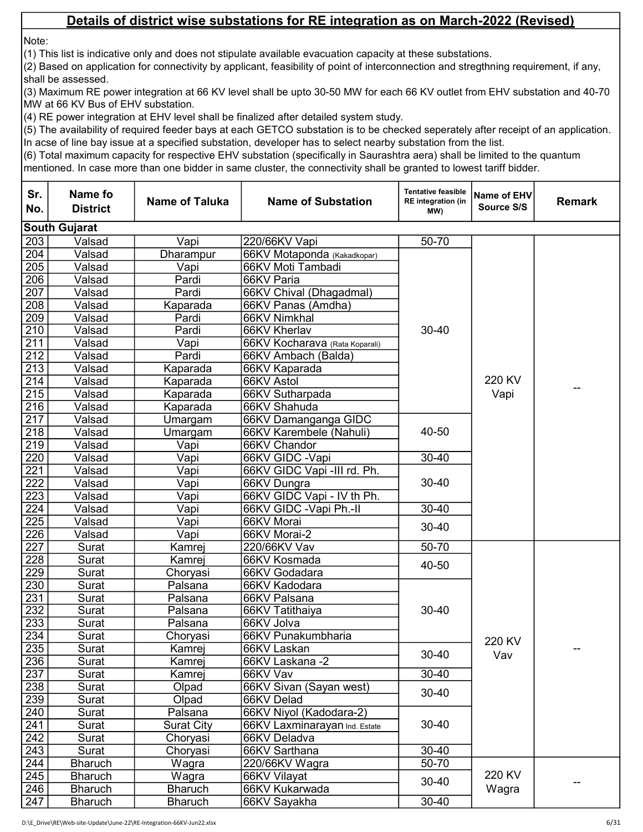Note:

(1) This list is indicative only and does not stipulate available evacuation capacity at these substations.

(2) Based on application for connectivity by applicant, feasibility of point of interconnection and stregthning requirement, if any, shall be assessed.

(3) Maximum RE power integration at 66 KV level shall be upto 30-50 MW for each 66 KV outlet from EHV substation and 40-70 MW at 66 KV Bus of EHV substation.

(4) RE power integration at EHV level shall be finalized after detailed system study.

(5) The availability of required feeder bays at each GETCO substation is to be checked seperately after receipt of an application. In acse of line bay issue at a specified substation, developer has to select nearby substation from the list.

| Sr.<br>No.       | <b>Name fo</b><br><b>District</b> | <b>Name of Taluka</b> | <b>Name of Substation</b>      | <b>Tentative feasible</b><br><b>RE</b> integration (in<br>MW) | Name of EHV<br>Source S/S | <b>Remark</b> |
|------------------|-----------------------------------|-----------------------|--------------------------------|---------------------------------------------------------------|---------------------------|---------------|
|                  | <b>South Gujarat</b>              |                       |                                |                                                               |                           |               |
| 203              | Valsad                            | Vapi                  | 220/66KV Vapi                  | 50-70                                                         |                           |               |
| 204              | Valsad                            | Dharampur             | 66KV Motaponda (Kakadkopar)    |                                                               |                           |               |
| 205              | Valsad                            | Vapi                  | 66KV Moti Tambadi              |                                                               |                           |               |
| 206              | Valsad                            | Pardi                 | 66KV Paria                     |                                                               |                           |               |
| 207              | Valsad                            | Pardi                 | 66KV Chival (Dhagadmal)        |                                                               |                           |               |
| 208              | Valsad                            | Kaparada              | 66KV Panas (Amdha)             |                                                               |                           |               |
| 209              | Valsad                            | Pardi                 | 66KV Nimkhal                   |                                                               |                           |               |
| 210              | Valsad                            | Pardi                 | 66KV Kherlav                   | $30 - 40$                                                     |                           |               |
| 211              | Valsad                            | Vapi                  | 66KV Kocharava (Rata Koparali) |                                                               |                           |               |
| 212              | Valsad                            | Pardi                 | 66KV Ambach (Balda)            |                                                               |                           |               |
| $\overline{213}$ | Valsad                            | Kaparada              | 66KV Kaparada                  |                                                               |                           |               |
| 214              | Valsad                            | Kaparada              | 66KV Astol                     |                                                               | 220 KV                    |               |
| 215              | Valsad                            | Kaparada              | 66KV Sutharpada                |                                                               | Vapi                      |               |
| 216              | Valsad                            | Kaparada              | 66KV Shahuda                   |                                                               |                           |               |
| 217              | Valsad                            | Umargam               | 66KV Damanganga GIDC           |                                                               |                           |               |
| $\frac{218}{ }$  | Valsad                            | Umargam               | 66KV Karembele (Nahuli)        | 40-50<br>$30 - 40$                                            |                           |               |
| 219              | Valsad                            | Vapi                  | 66KV Chandor                   |                                                               |                           |               |
| $\overline{220}$ | Valsad                            | Vapi                  | 66KV GIDC - Vapi               |                                                               |                           |               |
| $\overline{221}$ | Valsad                            | Vapi                  | 66KV GIDC Vapi -III rd. Ph.    |                                                               |                           |               |
| $\overline{222}$ | Valsad                            | Vapi                  | 66KV Dungra                    | $30 - 40$                                                     |                           |               |
| $\overline{223}$ | Valsad                            | Vapi                  | 66KV GIDC Vapi - IV th Ph.     |                                                               |                           |               |
| 224              | Valsad                            | Vapi                  | 66KV GIDC - Vapi Ph.-II        | $30 - 40$                                                     |                           |               |
| 225              | Valsad                            | Vapi                  | 66KV Morai                     | $30 - 40$                                                     |                           |               |
| $\overline{226}$ | Valsad                            | Vapi                  | 66KV Morai-2                   |                                                               |                           |               |
| 227              | Surat                             | Kamrej                | 220/66KV Vav                   | $50 - 70$                                                     |                           |               |
| 228              | Surat                             | Kamrej                | 66KV Kosmada                   | 40-50                                                         |                           |               |
| 229              | Surat                             | Choryasi              | 66KV Godadara                  |                                                               |                           |               |
| 230              | Surat                             | Palsana               | 66KV Kadodara                  |                                                               |                           |               |
| 231              | Surat                             | Palsana               | 66KV Palsana                   |                                                               |                           |               |
| 232              | Surat                             | Palsana               | 66KV Tatithaiya                | $30 - 40$                                                     |                           |               |
| 233              | Surat                             | Palsana               | 66KV Jolva                     |                                                               |                           |               |
| 234              | Surat                             | Choryasi              | 66KV Punakumbharia             |                                                               | 220 KV                    |               |
| 235              | Surat                             | Kamrej                | 66KV Laskan                    | 30-40                                                         | Vav                       |               |
| 236              | Surat                             | Kamrej                | 66KV Laskana -2                |                                                               |                           |               |
| 237              | Surat                             | Kamrej                | 66KV Vav                       | $30 - 40$                                                     |                           |               |
| 238              | Surat                             | Olpad                 | 66KV Sivan (Sayan west)        | $30 - 40$                                                     |                           |               |
| 239              | Surat                             | Olpad                 | 66KV Delad                     |                                                               |                           |               |
| 240              | Surat                             | Palsana               | 66KV Niyol (Kadodara-2)        |                                                               |                           |               |
| 241              | Surat                             | <b>Surat City</b>     | 66KV Laxminarayan Ind. Estate  | 30-40                                                         |                           |               |
| 242              | Surat                             | Choryasi              | 66KV Deladva                   |                                                               |                           |               |
| 243              | Surat                             | Choryasi              | 66KV Sarthana                  | 30-40                                                         |                           |               |
| 244              | <b>Bharuch</b>                    | Wagra                 | 220/66KV Wagra                 | $50 - 70$                                                     |                           |               |
| 245              | <b>Bharuch</b>                    | Wagra                 | 66KV Vilayat                   | $30 - 40$                                                     | 220 KV                    |               |
| 246              | <b>Bharuch</b>                    | <b>Bharuch</b>        | 66KV Kukarwada                 |                                                               | Wagra                     |               |
| 247              | <b>Bharuch</b>                    | <b>Bharuch</b>        | 66KV Sayakha                   | $30 - 40$                                                     |                           |               |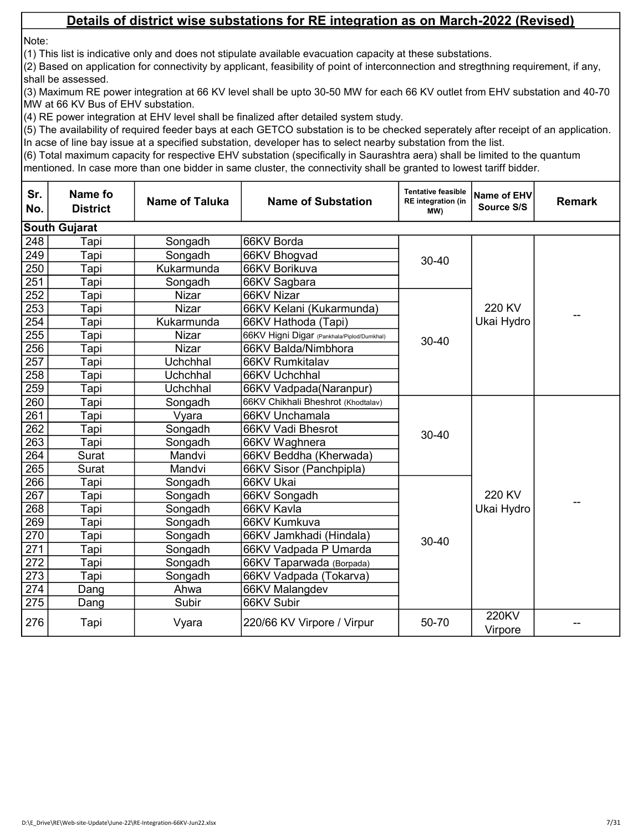Note:

(1) This list is indicative only and does not stipulate available evacuation capacity at these substations.

(2) Based on application for connectivity by applicant, feasibility of point of interconnection and stregthning requirement, if any, shall be assessed.

(3) Maximum RE power integration at 66 KV level shall be upto 30-50 MW for each 66 KV outlet from EHV substation and 40-70 MW at 66 KV Bus of EHV substation.

(4) RE power integration at EHV level shall be finalized after detailed system study.

(5) The availability of required feeder bays at each GETCO substation is to be checked seperately after receipt of an application. In acse of line bay issue at a specified substation, developer has to select nearby substation from the list.

| Sr.<br>No.       | Name fo<br><b>District</b> | <b>Name of Taluka</b> | <b>Name of Substation</b>                  | <b>Tentative feasible</b><br><b>RE</b> integration (in<br>MW) | Name of EHV<br>Source S/S | <b>Remark</b> |
|------------------|----------------------------|-----------------------|--------------------------------------------|---------------------------------------------------------------|---------------------------|---------------|
|                  | <b>South Gujarat</b>       |                       |                                            |                                                               |                           |               |
| 248              | Tapi                       | Songadh               | 66KV Borda                                 |                                                               |                           |               |
| 249              | Tapi                       | Songadh               | 66KV Bhogvad                               | $30 - 40$                                                     |                           |               |
| 250              | Tapi                       | Kukarmunda            | 66KV Borikuva                              |                                                               |                           |               |
| 251              | Tapi                       | Songadh               | 66KV Sagbara                               |                                                               |                           |               |
| $\overline{252}$ | Tapi                       | <b>Nizar</b>          | 66KV Nizar                                 |                                                               |                           |               |
| 253              | Tapi                       | <b>Nizar</b>          | 66KV Kelani (Kukarmunda)                   |                                                               | 220 KV                    |               |
| 254              | Tapi                       | Kukarmunda            | 66KV Hathoda (Tapi)                        |                                                               | Ukai Hydro                |               |
| 255              | Tapi                       | Nizar                 | 66KV Higni Digar (Pankhala/Piplod/Dumkhal) | $30 - 40$                                                     |                           |               |
| 256              | Tapi                       | Nizar                 | 66KV Balda/Nimbhora                        |                                                               |                           |               |
| 257              | Tapi                       | Uchchhal              | 66KV Rumkitalav                            |                                                               |                           |               |
| 258              | Tapi                       | Uchchhal              | 66KV Uchchhal                              |                                                               |                           |               |
| 259              | Tapi                       | Uchchhal              | 66KV Vadpada(Naranpur)                     |                                                               |                           |               |
| 260              | Tapi                       | Songadh               | 66KV Chikhali Bheshrot (Khodtalav)         |                                                               |                           |               |
| 261              | Tapi                       | Vyara                 | 66KV Unchamala                             |                                                               |                           |               |
| 262              | Tapi                       | Songadh               | 66KV Vadi Bhesrot                          | $30 - 40$                                                     |                           |               |
| 263              | Tapi                       | Songadh               | 66KV Waghnera                              |                                                               |                           |               |
| 264              | Surat                      | Mandvi                | 66KV Beddha (Kherwada)                     |                                                               |                           |               |
| 265              | Surat                      | Mandvi                | 66KV Sisor (Panchpipla)                    |                                                               |                           |               |
| 266              | Tapi                       | Songadh               | 66KV Ukai                                  |                                                               |                           |               |
| 267              | Tapi                       | Songadh               | 66KV Songadh                               |                                                               | 220 KV                    |               |
| 268              | Tapi                       | Songadh               | 66KV Kavla                                 |                                                               | Ukai Hydro                |               |
| 269              | Tapi                       | Songadh               | 66KV Kumkuva                               |                                                               |                           |               |
| 270              | Tapi                       | Songadh               | 66KV Jamkhadi (Hindala)                    | $30 - 40$                                                     |                           |               |
| 271              | Tapi                       | Songadh               | 66KV Vadpada P Umarda                      |                                                               |                           |               |
| 272              | Tapi                       | Songadh               | 66KV Taparwada (Borpada)                   |                                                               |                           |               |
| $\overline{273}$ | Tapi                       | Songadh               | 66KV Vadpada (Tokarva)                     |                                                               |                           |               |
| 274              | Dang                       | Ahwa                  | 66KV Malangdev                             |                                                               |                           |               |
| 275              | Dang                       | Subir                 | 66KV Subir                                 |                                                               |                           |               |
| 276              | Tapi                       | Vyara                 | 220/66 KV Virpore / Virpur                 | 50-70                                                         | 220KV<br>Virpore          |               |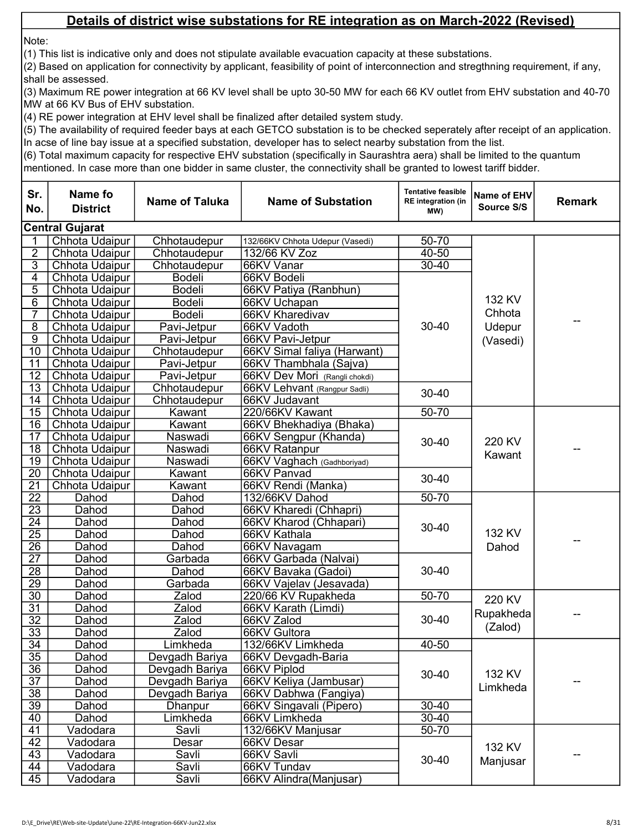Note:

(1) This list is indicative only and does not stipulate available evacuation capacity at these substations.

(2) Based on application for connectivity by applicant, feasibility of point of interconnection and stregthning requirement, if any, shall be assessed.

(3) Maximum RE power integration at 66 KV level shall be upto 30-50 MW for each 66 KV outlet from EHV substation and 40-70 MW at 66 KV Bus of EHV substation.

(4) RE power integration at EHV level shall be finalized after detailed system study.

(5) The availability of required feeder bays at each GETCO substation is to be checked seperately after receipt of an application. In acse of line bay issue at a specified substation, developer has to select nearby substation from the list.

| Sr.<br>No.            | Name fo<br><b>District</b> | <b>Name of Taluka</b>            | <b>Name of Substation</b>                        | <b>Tentative feasible</b><br><b>RE</b> integration (in<br>MW) | Name of EHV<br>Source S/S | <b>Remark</b> |
|-----------------------|----------------------------|----------------------------------|--------------------------------------------------|---------------------------------------------------------------|---------------------------|---------------|
|                       | <b>Central Gujarat</b>     |                                  |                                                  |                                                               |                           |               |
| 1                     | Chhota Udaipur             | Chhotaudepur                     | 132/66KV Chhota Udepur (Vasedi)                  | 50-70                                                         |                           |               |
| $\overline{2}$        | Chhota Udaipur             | Chhotaudepur                     | 132/66 KV Zoz                                    | $40 - 50$                                                     |                           |               |
| $\overline{3}$        | Chhota Udaipur             | Chhotaudepur                     | 66KV Vanar                                       | $30 - 40$                                                     |                           |               |
| $\overline{4}$        | Chhota Udaipur             | <b>Bodeli</b>                    | 66KV Bodeli                                      |                                                               |                           |               |
| $\overline{5}$        | Chhota Udaipur             | <b>Bodeli</b>                    | 66KV Patiya (Ranbhun)                            |                                                               |                           |               |
| 6                     | Chhota Udaipur             | <b>Bodeli</b>                    | 66KV Uchapan                                     |                                                               | 132 KV                    |               |
| 7                     | Chhota Udaipur             | <b>Bodeli</b>                    | 66KV Kharedivav                                  |                                                               | Chhota                    | --            |
| $\overline{8}$        | Chhota Udaipur             | Pavi-Jetpur                      | 66KV Vadoth                                      | 30-40                                                         | Udepur                    |               |
| $\overline{9}$        | Chhota Udaipur             | Pavi-Jetpur                      | 66KV Pavi-Jetpur                                 |                                                               | (Vasedi)                  |               |
| $\overline{10}$       | Chhota Udaipur             | Chhotaudepur                     | 66KV Simal faliya (Harwant)                      |                                                               |                           |               |
| 11                    | Chhota Udaipur             | Pavi-Jetpur                      | 66KV Thambhala (Sajva)                           |                                                               |                           |               |
| 12                    | Chhota Udaipur             | Pavi-Jetpur                      | 66KV Dev Mori (Rangli chokdi)                    |                                                               |                           |               |
| 13                    | Chhota Udaipur             | Chhotaudepur                     | 66KV Lehvant (Rangpur Sadli)                     | $30 - 40$                                                     |                           |               |
| 14                    | Chhota Udaipur             | Chhotaudepur                     | 66KV Judavant                                    |                                                               |                           |               |
| $\overline{15}$       | Chhota Udaipur             | Kawant                           | 220/66KV Kawant                                  | 50-70                                                         |                           |               |
| 16                    | Chhota Udaipur             | Kawant                           | 66KV Bhekhadiya (Bhaka)                          |                                                               |                           |               |
| 17                    | Chhota Udaipur             | Naswadi                          | 66KV Sengpur (Khanda)                            | 30-40                                                         | 220 KV                    |               |
| $\overline{18}$       | Chhota Udaipur             | Naswadi                          | 66KV Ratanpur                                    |                                                               | Kawant                    | --            |
| $\overline{19}$       | Chhota Udaipur             | Naswadi                          | 66KV Vaghach (Gadhboriyad)                       |                                                               |                           |               |
| $\overline{20}$       | Chhota Udaipur             | Kawant                           | 66KV Panvad                                      | $30 - 40$                                                     |                           |               |
| $\overline{21}$       | Chhota Udaipur             | Kawant                           | 66KV Rendi (Manka)                               |                                                               |                           |               |
| $\overline{22}$       | Dahod                      | Dahod                            | 132/66KV Dahod                                   | $50 - 70$                                                     |                           |               |
| $\overline{23}$       | Dahod                      | Dahod                            | 66KV Kharedi (Chhapri)                           |                                                               |                           |               |
| $\overline{24}$       | Dahod                      | Dahod                            | 66KV Kharod (Chhapari)                           | $30 - 40$                                                     |                           |               |
| $\overline{25}$       | Dahod                      | Dahod                            | 66KV Kathala                                     |                                                               | 132 KV                    |               |
| $\overline{26}$       | Dahod                      | Dahod                            | 66KV Navagam                                     |                                                               | Dahod                     |               |
| $\overline{27}$       | Dahod                      | Garbada                          | 66KV Garbada (Nalvai)                            |                                                               |                           |               |
| $\overline{28}$       | Dahod                      | Dahod                            | 66KV Bavaka (Gadoi)                              | 30-40                                                         |                           |               |
| $\overline{29}$       | Dahod                      | Garbada                          | 66KV Vajelav (Jesavada)                          |                                                               |                           |               |
| $\overline{30}$       | Dahod                      | Zalod                            | 220/66 KV Rupakheda                              | $50 - 70$                                                     | 220 KV                    |               |
| $\overline{31}$       | Dahod                      | Zalod                            | 66KV Karath (Limdi)                              |                                                               | Rupakheda                 |               |
| $\overline{32}$       | Dahod                      | Zalod                            | 66KV Zalod                                       | 30-40                                                         | (Zalod)                   |               |
| 33                    | Dahod                      | Zalod                            | 66KV Gultora                                     |                                                               |                           |               |
| $\overline{34}$       | Dahod                      | Limkheda                         | 132/66KV Limkheda                                | $40 - 50$                                                     |                           |               |
| 35<br>$\overline{36}$ | Dahod                      | Devgadh Bariya<br>Devgadh Bariya | 66KV Devgadh-Baria                               |                                                               |                           |               |
|                       | Dahod                      |                                  | 66KV Piplod                                      | 30-40                                                         | 132 KV                    |               |
| $\overline{37}$       | Dahod                      | Devgadh Bariya                   | 66KV Keliya (Jambusar)                           |                                                               | Limkheda                  | --            |
| $\overline{38}$<br>39 | Dahod<br>Dahod             | Devgadh Bariya<br>Dhanpur        | 66KV Dabhwa (Fangiya)<br>66KV Singavali (Pipero) | $30 - 40$                                                     |                           |               |
|                       |                            |                                  |                                                  | $30 - 40$                                                     |                           |               |
| 40<br>41              | Dahod<br>Vadodara          | Limkheda<br>Savli                | 66KV Limkheda<br>132/66KV Manjusar               | $50 - 70$                                                     |                           |               |
| 42                    | Vadodara                   | Desar                            | 66KV Desar                                       |                                                               |                           |               |
| 43                    | Vadodara                   | Savli                            | 66KV Savli                                       |                                                               | 132 KV                    |               |
| $\overline{44}$       | Vadodara                   | Savli                            | 66KV Tundav                                      | $30 - 40$                                                     | Manjusar                  |               |
| $\overline{45}$       | Vadodara                   | Savli                            | 66KV Alindra(Manjusar)                           |                                                               |                           |               |
|                       |                            |                                  |                                                  |                                                               |                           |               |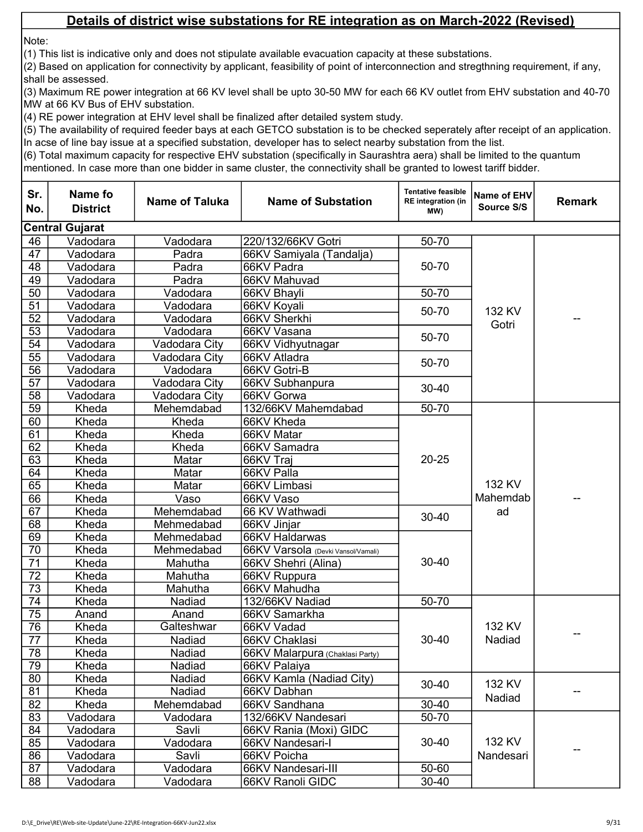Note:

(1) This list is indicative only and does not stipulate available evacuation capacity at these substations.

(2) Based on application for connectivity by applicant, feasibility of point of interconnection and stregthning requirement, if any, shall be assessed.

(3) Maximum RE power integration at 66 KV level shall be upto 30-50 MW for each 66 KV outlet from EHV substation and 40-70 MW at 66 KV Bus of EHV substation.

(4) RE power integration at EHV level shall be finalized after detailed system study.

(5) The availability of required feeder bays at each GETCO substation is to be checked seperately after receipt of an application. In acse of line bay issue at a specified substation, developer has to select nearby substation from the list.

| Sr.<br>No.      | Name fo<br><b>District</b> | <b>Name of Taluka</b> | <b>Name of Substation</b>          | <b>Tentative feasible</b><br><b>RE</b> integration (in<br>MW) | Name of EHV<br>Source S/S | <b>Remark</b> |
|-----------------|----------------------------|-----------------------|------------------------------------|---------------------------------------------------------------|---------------------------|---------------|
|                 | <b>Central Gujarat</b>     |                       |                                    |                                                               |                           |               |
| 46              | Vadodara                   | Vadodara              | 220/132/66KV Gotri                 | 50-70                                                         |                           |               |
| 47              | Vadodara                   | Padra                 | 66KV Samiyala (Tandalja)           |                                                               |                           |               |
| 48              | Vadodara                   | Padra                 | 66KV Padra                         | 50-70                                                         |                           |               |
| 49              | Vadodara                   | Padra                 | 66KV Mahuvad                       |                                                               |                           |               |
| 50              | Vadodara                   | Vadodara              | 66KV Bhayli                        | 50-70                                                         |                           |               |
| 51              | Vadodara                   | Vadodara              | 66KV Koyali                        | 50-70                                                         | 132 KV                    |               |
| 52              | Vadodara                   | Vadodara              | 66KV Sherkhi                       |                                                               | Gotri                     |               |
| 53              | Vadodara                   | Vadodara              | 66KV Vasana                        | 50-70                                                         |                           |               |
| $\overline{54}$ | Vadodara                   | Vadodara City         | 66KV Vidhyutnagar                  |                                                               |                           |               |
| $\overline{55}$ | Vadodara                   | Vadodara City         | 66KV Atladra                       | 50-70                                                         |                           |               |
| $\overline{56}$ | Vadodara                   | Vadodara              | 66KV Gotri-B                       |                                                               |                           |               |
| $\overline{57}$ | Vadodara                   | Vadodara City         | 66KV Subhanpura                    | $30 - 40$                                                     |                           |               |
| 58              | Vadodara                   | Vadodara City         | 66KV Gorwa                         |                                                               |                           |               |
| $\overline{59}$ | Kheda                      | Mehemdabad            | 132/66KV Mahemdabad                | 50-70                                                         |                           |               |
| 60              | Kheda                      | Kheda                 | 66KV Kheda                         |                                                               |                           |               |
| 61              | Kheda                      | Kheda                 | 66KV Matar                         | $20 - 25$                                                     |                           |               |
| 62              | Kheda                      | Kheda                 | 66KV Samadra                       |                                                               |                           |               |
| 63              | Kheda                      | Matar                 | 66KV Traj                          |                                                               |                           |               |
| 64              | Kheda                      | Matar                 | 66KV Palla                         |                                                               |                           |               |
| 65              | Kheda                      | Matar                 | 66KV Limbasi                       |                                                               | 132 KV                    |               |
| 66              | Kheda                      | Vaso                  | 66KV Vaso                          |                                                               | Mahemdab                  |               |
| 67              | Kheda                      | Mehemdabad            | 66 KV Wathwadi                     | $30 - 40$                                                     | ad                        |               |
| 68              | Kheda                      | Mehmedabad            | 66KV Jinjar                        |                                                               |                           |               |
| 69              | Kheda                      | Mehmedabad            | 66KV Haldarwas                     |                                                               |                           |               |
| 70              | Kheda                      | Mehmedabad            | 66KV Varsola (Devki Vansol/Vamali) |                                                               |                           |               |
| 71              | Kheda                      | Mahutha               | 66KV Shehri (Alina)                | $30 - 40$                                                     |                           |               |
| 72              | Kheda                      | Mahutha               | 66KV Ruppura                       |                                                               |                           |               |
| $\overline{73}$ | Kheda                      | Mahutha               | 66KV Mahudha                       |                                                               |                           |               |
| 74              | Kheda                      | Nadiad                | 132/66KV Nadiad                    | 50-70                                                         |                           |               |
| 75              | Anand                      | Anand                 | 66KV Samarkha                      |                                                               |                           |               |
| 76              | Kheda                      | Galteshwar            | 66KV Vadad                         |                                                               | 132 KV                    |               |
| 77              | Kheda                      | Nadiad                | 66KV Chaklasi                      | $30 - 40$                                                     | Nadiad                    |               |
| $\overline{78}$ | Kheda                      | Nadiad                | 66KV Malarpura (Chaklasi Party)    |                                                               |                           |               |
| 79              | Kheda                      | Nadiad                | 66KV Palaiya                       |                                                               |                           |               |
| 80              | Kheda                      | Nadiad                | 66KV Kamla (Nadiad City)           | $30 - 40$                                                     | 132 KV                    |               |
| 81              | Kheda                      | Nadiad                | 66KV Dabhan                        |                                                               |                           |               |
| 82              | Kheda                      | Mehemdabad            | 66KV Sandhana                      | $30 - 40$                                                     | Nadiad                    |               |
| 83              | Vadodara                   | Vadodara              | 132/66KV Nandesari                 | 50-70                                                         |                           |               |
| 84              | Vadodara                   | Savli                 | 66KV Rania (Moxi) GIDC             | $30 - 40$                                                     |                           |               |
| 85              | Vadodara                   | Vadodara              | 66KV Nandesari-I                   |                                                               | 132 KV                    |               |
| 86              | Vadodara                   | Savli                 | 66KV Poicha                        |                                                               | Nandesari                 |               |
| 87              | Vadodara                   | Vadodara              | 66KV Nandesari-III                 | 50-60                                                         |                           |               |
| 88              | Vadodara                   | Vadodara              | 66KV Ranoli GIDC                   | $30 - 40$                                                     |                           |               |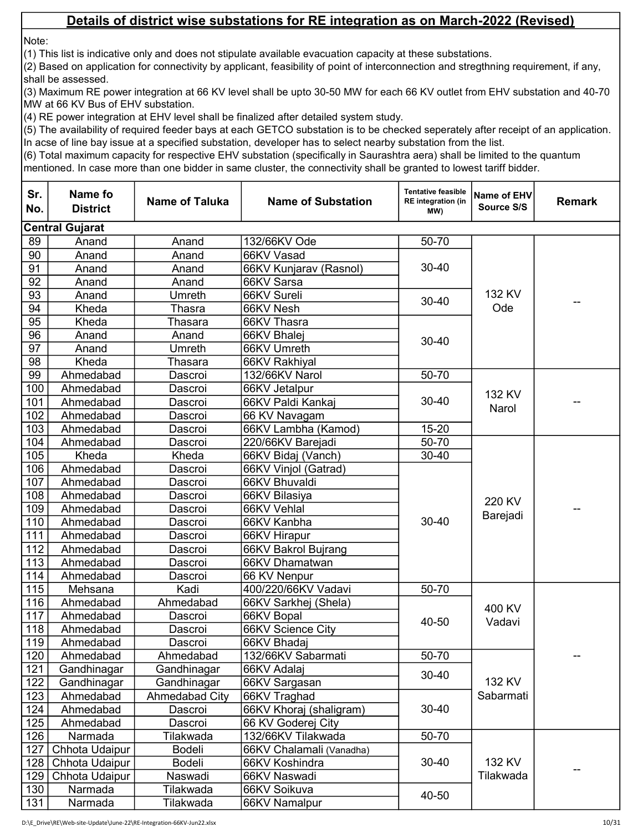Note:

(1) This list is indicative only and does not stipulate available evacuation capacity at these substations.

(2) Based on application for connectivity by applicant, feasibility of point of interconnection and stregthning requirement, if any, shall be assessed.

(3) Maximum RE power integration at 66 KV level shall be upto 30-50 MW for each 66 KV outlet from EHV substation and 40-70 MW at 66 KV Bus of EHV substation.

(4) RE power integration at EHV level shall be finalized after detailed system study.

(5) The availability of required feeder bays at each GETCO substation is to be checked seperately after receipt of an application. In acse of line bay issue at a specified substation, developer has to select nearby substation from the list.

| Sr.<br>No. | Name fo<br><b>District</b> | <b>Name of Taluka</b> | <b>Name of Substation</b> | <b>Tentative feasible</b><br><b>RE</b> integration (in<br>MW) | Name of EHV<br>Source S/S | <b>Remark</b> |
|------------|----------------------------|-----------------------|---------------------------|---------------------------------------------------------------|---------------------------|---------------|
|            | <b>Central Gujarat</b>     |                       |                           |                                                               |                           |               |
| 89         | Anand                      | Anand                 | 132/66KV Ode              | 50-70                                                         |                           |               |
| 90         | Anand                      | Anand                 | 66KV Vasad                |                                                               |                           |               |
| 91         | Anand                      | Anand                 | 66KV Kunjarav (Rasnol)    | $30 - 40$                                                     |                           |               |
| 92         | Anand                      | Anand                 | 66KV Sarsa                |                                                               |                           |               |
| 93         | Anand                      | Umreth                | 66KV Sureli               |                                                               | 132 KV                    |               |
| 94         | Kheda                      | <b>Thasra</b>         | 66KV Nesh                 | $30 - 40$                                                     | Ode                       |               |
| 95         | Kheda                      | Thasara               | 66KV Thasra               |                                                               |                           |               |
| 96         | Anand                      | Anand                 | 66KV Bhalei               | $30 - 40$                                                     |                           |               |
| 97         | Anand                      | Umreth                | 66KV Umreth               |                                                               |                           |               |
| 98         | Kheda                      | Thasara               | 66KV Rakhiyal             |                                                               |                           |               |
| 99         | Ahmedabad                  | Dascroi               | 132/66KV Narol            | 50-70                                                         |                           |               |
| 100        | Ahmedabad                  | Dascroi               | 66KV Jetalpur             |                                                               | 132 KV                    |               |
| 101        | Ahmedabad                  | Dascroi               | 66KV Paldi Kankaj         | $30 - 40$                                                     | Narol                     |               |
| 102        | Ahmedabad                  | Dascroi               | 66 KV Navagam             |                                                               |                           |               |
| 103        | Ahmedabad                  | Dascroi               | 66KV Lambha (Kamod)       | 15-20                                                         |                           |               |
| 104        | Ahmedabad                  | Dascroi               | 220/66KV Barejadi         | $50 - 70$                                                     |                           |               |
| 105        | Kheda                      | Kheda                 | 66KV Bidaj (Vanch)        | $30 - 40$                                                     |                           |               |
| 106        | Ahmedabad                  | Dascroi               | 66KV Vinjol (Gatrad)      |                                                               |                           |               |
| 107        | Ahmedabad                  | Dascroi               | 66KV Bhuvaldi             |                                                               |                           |               |
| 108        | Ahmedabad                  | Dascroi               | 66KV Bilasiya             |                                                               | 220 KV                    |               |
| 109        | Ahmedabad                  | Dascroi               | 66KV Vehlal               |                                                               | Barejadi                  |               |
| 110        | Ahmedabad                  | Dascroi               | 66KV Kanbha               | $30 - 40$                                                     |                           |               |
| 111        | Ahmedabad                  | Dascroi               | 66KV Hirapur              |                                                               |                           |               |
| 112        | Ahmedabad                  | Dascroi               | 66KV Bakrol Bujrang       |                                                               |                           |               |
| 113        | Ahmedabad                  | Dascroi               | 66KV Dhamatwan            |                                                               |                           |               |
| 114        | Ahmedabad                  | Dascroi               | 66 KV Nenpur              |                                                               |                           |               |
| 115        | Mehsana                    | Kadi                  | 400/220/66KV Vadavi       | 50-70                                                         |                           |               |
| 116        | Ahmedabad                  | Ahmedabad             | 66KV Sarkhej (Shela)      |                                                               | 400 KV                    |               |
| 117        | Ahmedabad                  | Dascroi               | 66KV Bopal                | 40-50                                                         | Vadavi                    |               |
| 118        | Ahmedabad                  | Dascroi               | 66KV Science City         |                                                               |                           |               |
| 119        | Ahmedabad                  | Dascroi               | 66KV Bhadaj               |                                                               |                           |               |
| 120        | Ahmedabad                  | Ahmedabad             | 132/66KV Sabarmati        | 50-70                                                         |                           | --            |
| 121        | Gandhinagar                | Gandhinagar           | 66KV Adalaj               | $30 - 40$                                                     |                           |               |
| 122        | Gandhinagar                | Gandhinagar           | 66KV Sargasan             |                                                               | 132 KV                    |               |
| 123        | Ahmedabad                  | Ahmedabad City        | 66KV Traghad              |                                                               | Sabarmati                 |               |
| 124        | Ahmedabad                  | Dascroi               | 66KV Khoraj (shaligram)   | $30 - 40$                                                     |                           |               |
| 125        | Ahmedabad                  | Dascroi               | 66 KV Goderej City        |                                                               |                           |               |
| 126        | Narmada                    | Tilakwada             | 132/66KV Tilakwada        | 50-70                                                         |                           |               |
| 127        | Chhota Udaipur             | Bodeli                | 66KV Chalamali (Vanadha)  | $30 - 40$                                                     |                           | --            |
| 128        | Chhota Udaipur             | Bodeli                | 66KV Koshindra            |                                                               | 132 KV                    |               |
| 129        | Chhota Udaipur             | Naswadi               | 66KV Naswadi              |                                                               | Tilakwada                 |               |
| 130        | Narmada                    | Tilakwada             | 66KV Soikuva              | 40-50                                                         |                           |               |
| 131        | Narmada                    | Tilakwada             | 66KV Namalpur             |                                                               |                           |               |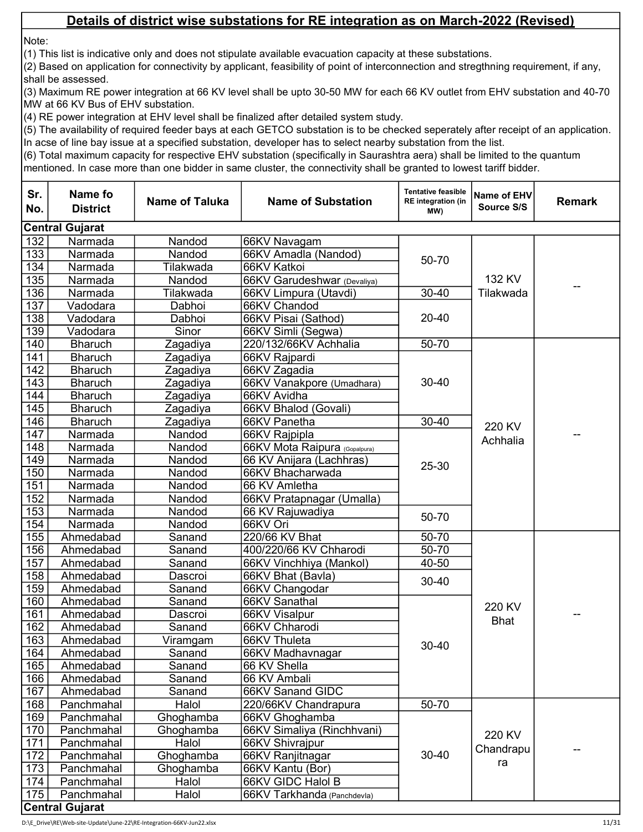Note:

(1) This list is indicative only and does not stipulate available evacuation capacity at these substations.

(2) Based on application for connectivity by applicant, feasibility of point of interconnection and stregthning requirement, if any, shall be assessed.

(3) Maximum RE power integration at 66 KV level shall be upto 30-50 MW for each 66 KV outlet from EHV substation and 40-70 MW at 66 KV Bus of EHV substation.

(4) RE power integration at EHV level shall be finalized after detailed system study.

(5) The availability of required feeder bays at each GETCO substation is to be checked seperately after receipt of an application. In acse of line bay issue at a specified substation, developer has to select nearby substation from the list.

| Sr.<br>No.       | Name fo<br><b>District</b>           | <b>Name of Taluka</b> | <b>Name of Substation</b>     | <b>Tentative feasible</b><br><b>RE</b> integration (in<br>MW) | Name of EHV<br>Source S/S | <b>Remark</b> |
|------------------|--------------------------------------|-----------------------|-------------------------------|---------------------------------------------------------------|---------------------------|---------------|
|                  | <b>Central Gujarat</b>               |                       |                               |                                                               |                           |               |
| 132              | Narmada                              | Nandod                | 66KV Navagam                  |                                                               |                           |               |
| 133              | Narmada                              | Nandod                | 66KV Amadla (Nandod)          |                                                               |                           |               |
| 134              | Narmada                              | Tilakwada             | 66KV Katkoi                   | 50-70                                                         |                           |               |
| 135              | Narmada                              | Nandod                | 66KV Garudeshwar (Devaliya)   |                                                               | 132 KV                    |               |
| 136              | Narmada                              | Tilakwada             | 66KV Limpura (Utavdi)         | $30 - 40$                                                     | Tilakwada                 | --            |
| 137              | Vadodara                             | Dabhoi                | 66KV Chandod                  |                                                               |                           |               |
| 138              | Vadodara                             | Dabhoi                | 66KV Pisai (Sathod)           | 20-40                                                         |                           |               |
| 139              | Vadodara                             | Sinor                 | 66KV Simli (Segwa)            |                                                               |                           |               |
| 140              | <b>Bharuch</b>                       | Zagadiya              | 220/132/66KV Achhalia         | 50-70                                                         |                           |               |
| 141              | <b>Bharuch</b>                       | Zagadiya              | 66KV Rajpardi                 |                                                               |                           |               |
| $\overline{142}$ | <b>Bharuch</b>                       | Zagadiya              | 66KV Zagadia                  |                                                               |                           |               |
| 143              | <b>Bharuch</b>                       | Zagadiya              | 66KV Vanakpore (Umadhara)     | $30 - 40$                                                     |                           |               |
| 144              | <b>Bharuch</b>                       | Zagadiya              | 66KV Avidha                   |                                                               |                           |               |
| 145              | <b>Bharuch</b>                       | Zagadiya              | 66KV Bhalod (Govali)          |                                                               |                           |               |
| 146              | <b>Bharuch</b>                       | Zagadiya              | 66KV Panetha                  | $30 - 40$                                                     | 220 KV<br>Achhalia        |               |
| 147              | Narmada                              | Nandod                | 66KV Rajpipla                 | 25-30                                                         |                           |               |
| 148              | Narmada                              | Nandod                | 66KV Mota Raipura (Gopalpura) |                                                               |                           |               |
| 149              | Narmada                              | Nandod                | 66 KV Anijara (Lachhras)      |                                                               |                           |               |
| 150              | Narmada                              | Nandod                | 66KV Bhacharwada              |                                                               |                           |               |
| 151              | Narmada                              | Nandod                | 66 KV Amletha                 |                                                               |                           |               |
| 152              | Narmada                              | Nandod                | 66KV Pratapnagar (Umalla)     |                                                               |                           |               |
| 153              | Narmada                              | Nandod                | 66 KV Rajuwadiya              | 50-70                                                         |                           |               |
| 154              | Narmada                              | Nandod                | 66KV Ori                      |                                                               |                           |               |
| 155              | Ahmedabad                            | Sanand                | 220/66 KV Bhat                | 50-70                                                         |                           |               |
| 156              | Ahmedabad                            | Sanand                | 400/220/66 KV Chharodi        | $50 - 70$                                                     |                           |               |
| 157              | Ahmedabad                            | Sanand                | 66KV Vinchhiya (Mankol)       | 40-50                                                         |                           |               |
| 158              | Ahmedabad                            | Dascroi               | 66KV Bhat (Bavla)             | $30 - 40$                                                     |                           |               |
| 159              | Ahmedabad                            | Sanand                | 66KV Changodar                |                                                               |                           |               |
| 160              | Ahmedabad                            | Sanand                | 66KV Sanathal                 |                                                               | 220 KV                    |               |
| 161              | Ahmedabad                            | Dascroi               | 66KV Visalpur                 |                                                               | <b>Bhat</b>               | --            |
| 162              | Ahmedabad                            | Sanand                | 66KV Chharodi                 |                                                               |                           |               |
| 163              | Ahmedabad                            | Viramgam              | 66KV Thuleta                  | $30 - 40$                                                     |                           |               |
| 164              | Ahmedabad                            | Sanand                | 66KV Madhavnagar              |                                                               |                           |               |
| 165              | Ahmedabad                            | Sanand                | 66 KV Shella                  |                                                               |                           |               |
| 166              | Ahmedabad                            | Sanand                | 66 KV Ambali                  |                                                               |                           |               |
| 167              | Ahmedabad                            | Sanand                | 66KV Sanand GIDC              |                                                               |                           |               |
| 168              | Panchmahal                           | Halol                 | 220/66KV Chandrapura          | $50 - 70$                                                     |                           |               |
| 169              | Panchmahal                           | Ghoghamba             | 66KV Ghoghamba                |                                                               |                           |               |
| 170              | Panchmahal                           | Ghoghamba             | 66KV Simaliya (Rinchhvani)    |                                                               | 220 KV                    |               |
| 171              | Panchmahal                           | Halol                 | 66KV Shivrajpur               |                                                               | Chandrapu                 |               |
| 172              | Panchmahal                           | Ghoghamba             | 66KV Ranjitnagar              | $30 - 40$                                                     | ra                        |               |
| 173              | Panchmahal                           | Ghoghamba             | 66KV Kantu (Bor)              |                                                               |                           |               |
| 174              | Panchmahal                           | Halol                 | 66KV GIDC Halol B             |                                                               |                           |               |
| 175              | Panchmahal<br><b>Central Gujarat</b> | Halol                 | 66KV Tarkhanda (Panchdevla)   |                                                               |                           |               |
|                  |                                      |                       |                               |                                                               |                           |               |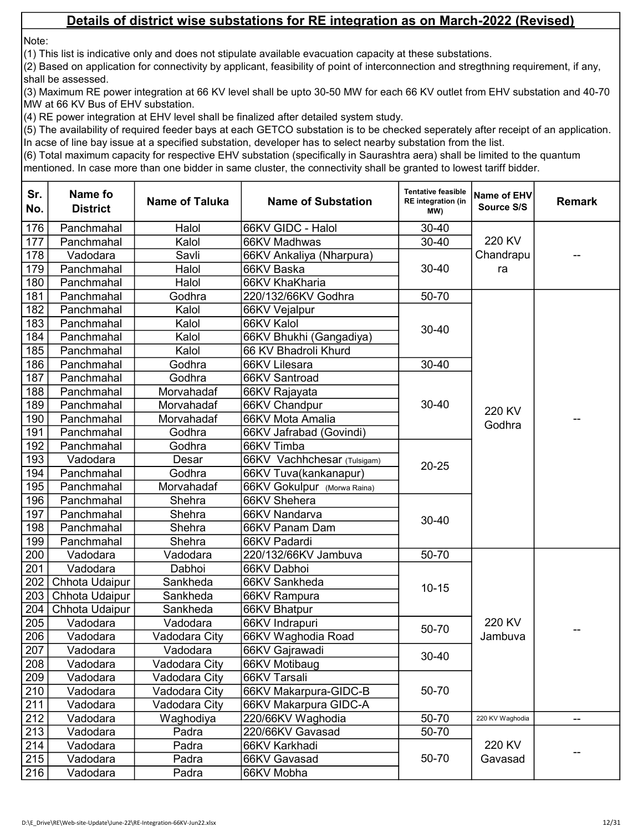Note:

(1) This list is indicative only and does not stipulate available evacuation capacity at these substations.

(2) Based on application for connectivity by applicant, feasibility of point of interconnection and stregthning requirement, if any, shall be assessed.

(3) Maximum RE power integration at 66 KV level shall be upto 30-50 MW for each 66 KV outlet from EHV substation and 40-70 MW at 66 KV Bus of EHV substation.

(4) RE power integration at EHV level shall be finalized after detailed system study.

(5) The availability of required feeder bays at each GETCO substation is to be checked seperately after receipt of an application. In acse of line bay issue at a specified substation, developer has to select nearby substation from the list.

| Sr.<br>No. | Name fo<br><b>District</b> | <b>Name of Taluka</b> | <b>Name of Substation</b>   | <b>Tentative feasible</b><br><b>RE</b> integration (in<br>MW) | Name of EHV<br>Source S/S | <b>Remark</b> |
|------------|----------------------------|-----------------------|-----------------------------|---------------------------------------------------------------|---------------------------|---------------|
| 176        | Panchmahal                 | Halol                 | 66KV GIDC - Halol           | $30 - 40$                                                     |                           |               |
| 177        | Panchmahal                 | Kalol                 | 66KV Madhwas                | $30 - 40$                                                     | 220 KV                    |               |
| 178        | Vadodara                   | Savli                 | 66KV Ankaliya (Nharpura)    |                                                               | Chandrapu                 |               |
| 179        | Panchmahal                 | Halol                 | 66KV Baska                  | $30 - 40$                                                     | ra                        |               |
| 180        | Panchmahal                 | Halol                 | 66KV KhaKharia              |                                                               |                           |               |
| 181        | Panchmahal                 | Godhra                | 220/132/66KV Godhra         | 50-70                                                         |                           |               |
| 182        | Panchmahal                 | Kalol                 | 66KV Vejalpur               |                                                               |                           |               |
| 183        | Panchmahal                 | Kalol                 | 66KV Kalol                  |                                                               |                           |               |
| 184        | Panchmahal                 | Kalol                 | 66KV Bhukhi (Gangadiya)     | $30 - 40$                                                     |                           |               |
| 185        | Panchmahal                 | Kalol                 | 66 KV Bhadroli Khurd        |                                                               |                           |               |
| 186        | Panchmahal                 | Godhra                | 66KV Lilesara               | $30 - 40$                                                     |                           |               |
| 187        | Panchmahal                 | Godhra                | 66KV Santroad               |                                                               |                           |               |
| 188        | Panchmahal                 | Morvahadaf            | 66KV Rajayata               |                                                               |                           |               |
| 189        | Panchmahal                 | Morvahadaf            | 66KV Chandpur               | $30 - 40$                                                     | 220 KV                    |               |
| 190        | Panchmahal                 | Morvahadaf            | 66KV Mota Amalia            |                                                               |                           |               |
| 191        | Panchmahal                 | Godhra                | 66KV Jafrabad (Govindi)     |                                                               | Godhra                    |               |
| 192        | Panchmahal                 | Godhra                | 66KV Timba                  |                                                               |                           |               |
| 193        | Vadodara                   | Desar                 | 66KV Vachhchesar (Tulsigam) | $20 - 25$                                                     |                           |               |
| 194        | Panchmahal                 | Godhra                | 66KV Tuva(kankanapur)       |                                                               |                           |               |
| 195        | Panchmahal                 | Morvahadaf            | 66KV Gokulpur (Morwa Raina) |                                                               |                           |               |
| 196        | Panchmahal                 | Shehra                | 66KV Shehera                |                                                               |                           |               |
| 197        | Panchmahal                 | Shehra                | 66KV Nandarva               | $30 - 40$                                                     |                           |               |
| 198        | Panchmahal                 | Shehra                | 66KV Panam Dam              |                                                               |                           |               |
| 199        | Panchmahal                 | Shehra                | 66KV Padardi                |                                                               |                           |               |
| 200        | Vadodara                   | Vadodara              | 220/132/66KV Jambuva        | 50-70                                                         |                           |               |
| 201        | Vadodara                   | Dabhoi                | 66KV Dabhoi                 |                                                               |                           |               |
| 202        | Chhota Udaipur             | Sankheda              | 66KV Sankheda               | $10 - 15$                                                     |                           |               |
| 203        | Chhota Udaipur             | Sankheda              | 66KV Rampura                |                                                               |                           |               |
| 204        | Chhota Udaipur             | Sankheda              | 66KV Bhatpur                |                                                               |                           |               |
| 205        | Vadodara                   | Vadodara              | 66KV Indrapuri              | 50-70                                                         | 220 KV                    |               |
| 206        | Vadodara                   | Vadodara City         | 66KV Waghodia Road          |                                                               | Jambuva                   |               |
| 207        | Vadodara                   | Vadodara              | 66KV Gajrawadi              | 30-40                                                         |                           |               |
| 208        | Vadodara                   | Vadodara City         | 66KV Motibaug               |                                                               |                           |               |
| 209        | Vadodara                   | Vadodara City         | 66KV Tarsali                |                                                               |                           |               |
| 210        | Vadodara                   | Vadodara City         | 66KV Makarpura-GIDC-B       | 50-70                                                         |                           |               |
| 211        | Vadodara                   | Vadodara City         | 66KV Makarpura GIDC-A       |                                                               |                           |               |
| 212        | Vadodara                   | Waghodiya             | 220/66KV Waghodia           | 50-70                                                         | 220 KV Waghodia           | --            |
| 213        | Vadodara                   | Padra                 | 220/66KV Gavasad            | 50-70                                                         |                           |               |
| 214        | Vadodara                   | Padra                 | 66KV Karkhadi               |                                                               | 220 KV<br>Gavasad         |               |
| 215        | Vadodara                   | Padra                 | 66KV Gavasad                | 50-70                                                         |                           |               |
| 216        | Vadodara                   | Padra                 | 66KV Mobha                  |                                                               |                           |               |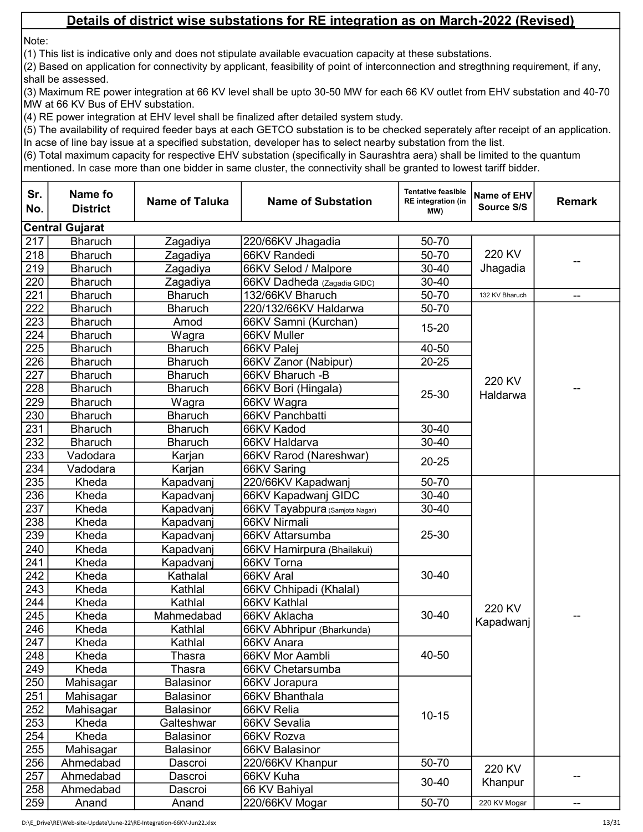Note:

(1) This list is indicative only and does not stipulate available evacuation capacity at these substations.

(2) Based on application for connectivity by applicant, feasibility of point of interconnection and stregthning requirement, if any, shall be assessed.

(3) Maximum RE power integration at 66 KV level shall be upto 30-50 MW for each 66 KV outlet from EHV substation and 40-70 MW at 66 KV Bus of EHV substation.

(4) RE power integration at EHV level shall be finalized after detailed system study.

(5) The availability of required feeder bays at each GETCO substation is to be checked seperately after receipt of an application. In acse of line bay issue at a specified substation, developer has to select nearby substation from the list.

| Sr.<br>No. | Name fo<br><b>District</b> | <b>Name of Taluka</b> | <b>Name of Substation</b>      | <b>Tentative feasible</b><br><b>RE</b> integration (in<br>MW) | Name of EHV<br>Source S/S | <b>Remark</b>            |
|------------|----------------------------|-----------------------|--------------------------------|---------------------------------------------------------------|---------------------------|--------------------------|
|            | <b>Central Gujarat</b>     |                       |                                |                                                               |                           |                          |
| 217        | <b>Bharuch</b>             | Zagadiya              | 220/66KV Jhagadia              | 50-70                                                         |                           |                          |
| 218        | <b>Bharuch</b>             | Zagadiya              | 66KV Randedi                   | 50-70                                                         | 220 KV                    |                          |
| 219        | <b>Bharuch</b>             | Zagadiya              | 66KV Selod / Malpore           | 30-40                                                         | Jhagadia                  |                          |
| 220        | <b>Bharuch</b>             | Zagadiya              | 66KV Dadheda (Zagadia GIDC)    | $30 - 40$                                                     |                           |                          |
| 221        | <b>Bharuch</b>             | <b>Bharuch</b>        | 132/66KV Bharuch               | 50-70                                                         | 132 KV Bharuch            | --                       |
| 222        | <b>Bharuch</b>             | <b>Bharuch</b>        | 220/132/66KV Haldarwa          | 50-70                                                         |                           |                          |
| 223        | <b>Bharuch</b>             | Amod                  | 66KV Samni (Kurchan)           | $15 - 20$                                                     |                           |                          |
| 224        | <b>Bharuch</b>             | Wagra                 | 66KV Muller                    |                                                               |                           |                          |
| 225        | <b>Bharuch</b>             | <b>Bharuch</b>        | 66KV Palej                     | 40-50                                                         |                           |                          |
| 226        | <b>Bharuch</b>             | <b>Bharuch</b>        | 66KV Zanor (Nabipur)           | $20 - 25$                                                     |                           |                          |
| 227        | <b>Bharuch</b>             | <b>Bharuch</b>        | 66KV Bharuch - B               |                                                               | 220 KV                    |                          |
| 228        | <b>Bharuch</b>             | <b>Bharuch</b>        | 66KV Bori (Hingala)            | 25-30                                                         | Haldarwa                  |                          |
| 229        | <b>Bharuch</b>             | Wagra                 | 66KV Wagra                     |                                                               |                           |                          |
| 230        | <b>Bharuch</b>             | <b>Bharuch</b>        | 66KV Panchbatti                |                                                               |                           |                          |
| 231        | <b>Bharuch</b>             | <b>Bharuch</b>        | 66KV Kadod                     | 30-40                                                         |                           |                          |
| 232        | <b>Bharuch</b>             | <b>Bharuch</b>        | 66KV Haldarva                  | $30 - 40$                                                     |                           |                          |
| 233        | Vadodara                   | Karjan                | 66KV Rarod (Nareshwar)         | $20 - 25$                                                     |                           |                          |
| 234        | Vadodara                   | Karjan                | 66KV Saring                    |                                                               |                           |                          |
| 235        | Kheda                      | Kapadvanj             | 220/66KV Kapadwanj             | 50-70                                                         |                           |                          |
| 236        | Kheda                      | Kapadvanj             | 66KV Kapadwanj GIDC            | $30 - 40$                                                     |                           |                          |
| 237        | Kheda                      | Kapadvanj             | 66KV Tayabpura (Samjota Nagar) | 30-40                                                         |                           |                          |
| 238        | Kheda                      | Kapadvanj             | 66KV Nirmali                   |                                                               |                           |                          |
| 239        | Kheda                      | Kapadvanj             | 66KV Attarsumba                | 25-30                                                         |                           |                          |
| 240        | Kheda                      | Kapadvanj             | 66KV Hamirpura (Bhailakui)     |                                                               |                           |                          |
| 241        | Kheda                      | Kapadvanj             | 66KV Torna                     |                                                               |                           |                          |
| 242        | Kheda                      | Kathalal              | 66KV Aral                      | $30 - 40$                                                     |                           |                          |
| 243        | Kheda                      | Kathlal               | 66KV Chhipadi (Khalal)         |                                                               |                           |                          |
| 244        | Kheda                      | Kathlal               | 66KV Kathlal                   |                                                               | 220 KV                    |                          |
| 245        | Kheda                      | Mahmedabad            | 66KV Aklacha                   | $30 - 40$                                                     | Kapadwanj                 |                          |
| 246        | Kheda                      | Kathlal               | 66KV Abhripur (Bharkunda)      |                                                               |                           |                          |
| 247        | Kheda                      | Kathlal               | 66KV Anara                     |                                                               |                           |                          |
| 248        | Kheda                      | Thasra                | 66KV Mor Aambli                | 40-50                                                         |                           |                          |
| 249        | Kheda                      | Thasra                | 66KV Chetarsumba               |                                                               |                           |                          |
| 250        | Mahisagar                  | Balasinor             | 66KV Jorapura                  |                                                               |                           |                          |
| 251        | Mahisagar                  | Balasinor             | 66KV Bhanthala                 |                                                               |                           |                          |
| 252        | Mahisagar                  | <b>Balasinor</b>      | 66KV Relia                     | $10 - 15$                                                     |                           |                          |
| 253        | Kheda                      | Galteshwar            | 66KV Sevalia                   |                                                               |                           |                          |
| 254        | Kheda                      | <b>Balasinor</b>      | 66KV Rozva                     |                                                               |                           |                          |
| 255        | Mahisagar                  | Balasinor             | 66KV Balasinor                 |                                                               |                           |                          |
| 256        | Ahmedabad                  | Dascroi               | 220/66KV Khanpur               | 50-70                                                         | 220 KV                    |                          |
| 257        | Ahmedabad                  | Dascroi               | 66KV Kuha                      | $30 - 40$                                                     | Khanpur                   |                          |
| 258        | Ahmedabad                  | Dascroi               | 66 KV Bahiyal                  |                                                               |                           |                          |
| 259        | Anand                      | Anand                 | 220/66KV Mogar                 | 50-70                                                         | 220 KV Mogar              | $\overline{\phantom{m}}$ |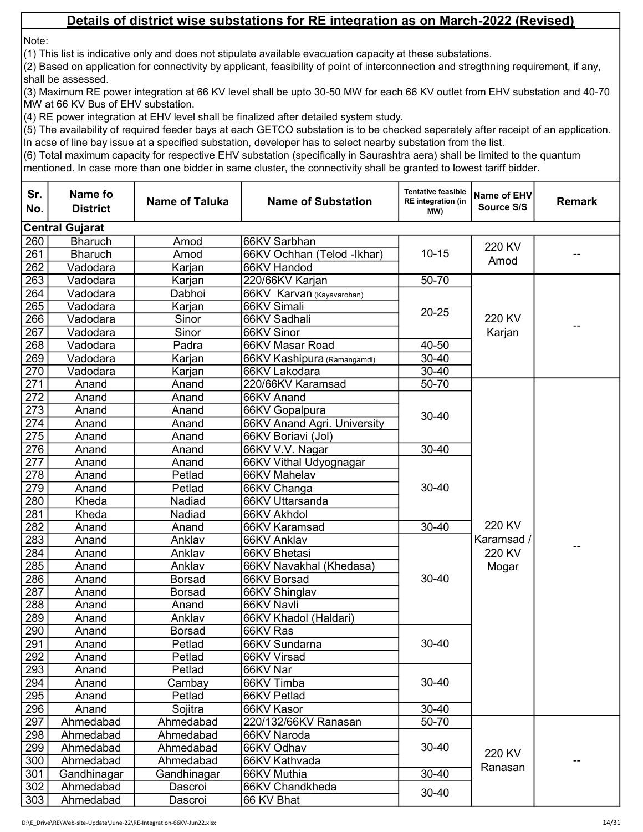Note:

(1) This list is indicative only and does not stipulate available evacuation capacity at these substations.

(2) Based on application for connectivity by applicant, feasibility of point of interconnection and stregthning requirement, if any, shall be assessed.

(3) Maximum RE power integration at 66 KV level shall be upto 30-50 MW for each 66 KV outlet from EHV substation and 40-70 MW at 66 KV Bus of EHV substation.

(4) RE power integration at EHV level shall be finalized after detailed system study.

(5) The availability of required feeder bays at each GETCO substation is to be checked seperately after receipt of an application. In acse of line bay issue at a specified substation, developer has to select nearby substation from the list.

| Sr.<br>No.       | <b>Name fo</b><br><b>District</b> | <b>Name of Taluka</b> | <b>Name of Substation</b>   | <b>Tentative feasible</b><br><b>RE</b> integration (in<br>MW) | Name of EHV<br>Source S/S      | <b>Remark</b> |
|------------------|-----------------------------------|-----------------------|-----------------------------|---------------------------------------------------------------|--------------------------------|---------------|
|                  | <b>Central Gujarat</b>            |                       |                             |                                                               |                                |               |
| 260              | <b>Bharuch</b>                    | Amod                  | 66KV Sarbhan                |                                                               | 220 KV                         |               |
| 261              | <b>Bharuch</b>                    | Amod                  | 66KV Ochhan (Telod -Ikhar)  | $10 - 15$                                                     |                                |               |
| 262              | Vadodara                          | Karjan                | 66KV Handod                 |                                                               | Amod                           |               |
| $\overline{263}$ | Vadodara                          | Karjan                | 220/66KV Karjan             | 50-70                                                         |                                |               |
| 264              | Vadodara                          | Dabhoi                | 66KV Karvan (Kayavarohan)   |                                                               |                                |               |
| 265              | Vadodara                          | Karjan                | 66KV Simali                 | $20 - 25$                                                     |                                |               |
| 266              | Vadodara                          | Sinor                 | 66KV Sadhali                |                                                               | 220 KV                         |               |
| 267              | Vadodara                          | Sinor                 | 66KV Sinor                  |                                                               | Karjan                         | --            |
| 268              | Vadodara                          | Padra                 | 66KV Masar Road             | 40-50                                                         |                                |               |
| 269              | Vadodara                          | Karjan                | 66KV Kashipura (Ramangamdi) | $30 - 40$                                                     |                                |               |
| 270              | Vadodara                          | Karjan                | 66KV Lakodara               | 30-40                                                         |                                |               |
| 271              | Anand                             | Anand                 | 220/66KV Karamsad           | 50-70                                                         |                                |               |
| 272              | Anand                             | Anand                 | 66KV Anand                  |                                                               |                                |               |
| 273              | Anand                             | Anand                 | 66KV Gopalpura              | 30-40                                                         |                                |               |
| 274              | Anand                             | Anand                 | 66KV Anand Agri. University |                                                               |                                |               |
| 275              | Anand                             | Anand                 | 66KV Boriavi (Jol)          |                                                               |                                |               |
| 276              | Anand                             | Anand                 | 66KV V.V. Nagar             | $30 - 40$                                                     |                                |               |
| $\overline{277}$ | Anand                             | Anand                 | 66KV Vithal Udyognagar      |                                                               |                                |               |
| 278              | Anand                             | Petlad                | 66KV Mahelav                |                                                               |                                |               |
| 279              | Anand                             | Petlad                | 66KV Changa                 | 30-40                                                         |                                |               |
| 280              | Kheda                             | Nadiad                | 66KV Uttarsanda             |                                                               |                                | --            |
| 281              | Kheda                             | Nadiad                | 66KV Akhdol                 |                                                               | 220 KV<br>Karamsad /<br>220 KV |               |
| 282              | Anand                             | Anand                 | 66KV Karamsad               | $30 - 40$                                                     |                                |               |
| 283              | Anand                             | Anklav                | 66KV Anklav                 |                                                               |                                |               |
| 284              | Anand                             | Anklav                | 66KV Bhetasi                |                                                               |                                |               |
| 285              | Anand                             | Anklav                | 66KV Navakhal (Khedasa)     |                                                               | Mogar                          |               |
| 286              | Anand                             | <b>Borsad</b>         | 66KV Borsad                 | 30-40                                                         |                                |               |
| 287              | Anand                             | <b>Borsad</b>         | 66KV Shinglav               |                                                               |                                |               |
| 288              | Anand                             | Anand                 | 66KV Navli                  |                                                               |                                |               |
| 289              | Anand                             | Anklav                | 66KV Khadol (Haldari)       |                                                               |                                |               |
| 290              | Anand                             | <b>Borsad</b>         | 66KV Ras                    |                                                               |                                |               |
| 291              | Anand                             | Petlad                | 66KV Sundarna               | 30-40                                                         |                                |               |
| 292              | Anand                             | Petlad                | 66KV Virsad                 |                                                               |                                |               |
| 293              | Anand                             | Petlad                | 66KV Nar                    |                                                               |                                |               |
| 294              | Anand                             | Cambay                | 66KV Timba                  | $30 - 40$                                                     |                                |               |
| $\overline{295}$ | Anand                             | Petlad                | 66KV Petlad                 |                                                               |                                |               |
| 296              | Anand                             | Sojitra               | 66KV Kasor                  | $30 - 40$                                                     |                                |               |
| 297              | Ahmedabad                         | Ahmedabad             | 220/132/66KV Ranasan        | 50-70                                                         |                                |               |
| 298              | Ahmedabad                         | Ahmedabad             | 66KV Naroda                 |                                                               |                                |               |
| 299              | Ahmedabad                         | Ahmedabad             | 66KV Odhav                  | 30-40                                                         | 220 KV                         |               |
| 300              | Ahmedabad                         | Ahmedabad             | 66KV Kathvada               |                                                               | Ranasan                        |               |
| 301              | Gandhinagar                       | Gandhinagar           | 66KV Muthia                 | 30-40                                                         |                                |               |
| 302              | Ahmedabad                         | Dascroi               | 66KV Chandkheda             | $30 - 40$                                                     |                                |               |
| 303              | Ahmedabad                         | Dascroi               | 66 KV Bhat                  |                                                               |                                |               |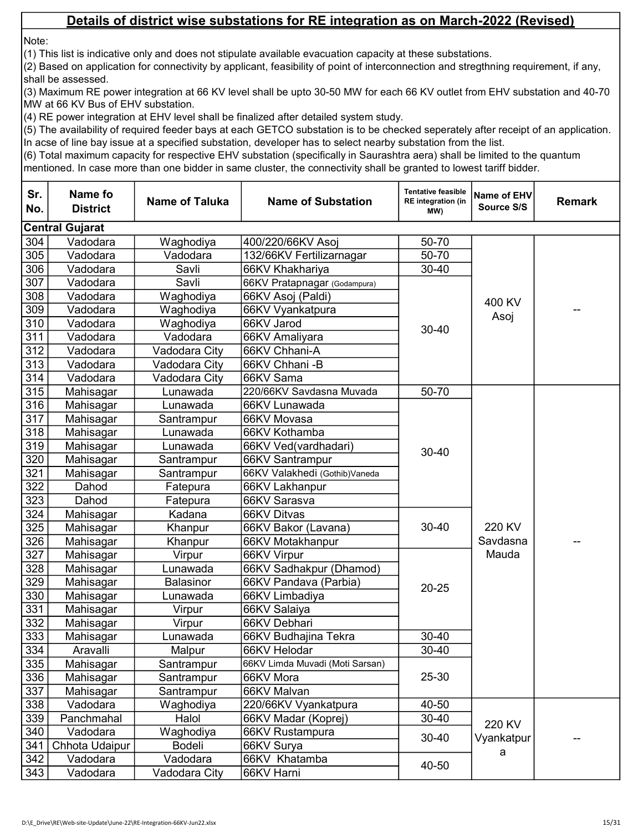Note:

(1) This list is indicative only and does not stipulate available evacuation capacity at these substations.

(2) Based on application for connectivity by applicant, feasibility of point of interconnection and stregthning requirement, if any, shall be assessed.

(3) Maximum RE power integration at 66 KV level shall be upto 30-50 MW for each 66 KV outlet from EHV substation and 40-70 MW at 66 KV Bus of EHV substation.

(4) RE power integration at EHV level shall be finalized after detailed system study.

(5) The availability of required feeder bays at each GETCO substation is to be checked seperately after receipt of an application. In acse of line bay issue at a specified substation, developer has to select nearby substation from the list.

| Sr.<br>No. | Name fo<br><b>District</b> | <b>Name of Taluka</b> | <b>Name of Substation</b>       | <b>Tentative feasible</b><br><b>RE</b> integration (in<br>(MW | Name of EHV<br>Source S/S | <b>Remark</b> |
|------------|----------------------------|-----------------------|---------------------------------|---------------------------------------------------------------|---------------------------|---------------|
|            | <b>Central Gujarat</b>     |                       |                                 |                                                               |                           |               |
| 304        | Vadodara                   | Waghodiya             | 400/220/66KV Asoj               | 50-70                                                         |                           |               |
| 305        | Vadodara                   | Vadodara              | 132/66KV Fertilizarnagar        | 50-70                                                         |                           |               |
| 306        | Vadodara                   | Savli                 | 66KV Khakhariya                 | $30 - 40$                                                     |                           |               |
| 307        | Vadodara                   | Savli                 | 66KV Pratapnagar (Godampura)    |                                                               |                           |               |
| 308        | Vadodara                   | Waghodiya             | 66KV Asoj (Paldi)               |                                                               | 400 KV                    |               |
| 309        | Vadodara                   | Waghodiya             | 66KV Vyankatpura                |                                                               |                           |               |
| 310        | Vadodara                   | Waghodiya             | 66KV Jarod                      | $30 - 40$                                                     | Asoj                      |               |
| 311        | Vadodara                   | Vadodara              | 66KV Amaliyara                  |                                                               |                           |               |
| 312        | Vadodara                   | Vadodara City         | 66KV Chhani-A                   |                                                               |                           |               |
| 313        | Vadodara                   | Vadodara City         | 66KV Chhani - B                 |                                                               |                           |               |
| 314        | Vadodara                   | Vadodara City         | 66KV Sama                       |                                                               |                           |               |
| 315        | Mahisagar                  | Lunawada              | 220/66KV Savdasna Muvada        | 50-70                                                         |                           |               |
| 316        | Mahisagar                  | Lunawada              | 66KV Lunawada                   |                                                               |                           |               |
| 317        | Mahisagar                  | Santrampur            | 66KV Movasa                     |                                                               |                           |               |
| 318        | Mahisagar                  | Lunawada              | 66KV Kothamba                   | $30 - 40$                                                     |                           |               |
| 319        | Mahisagar                  | Lunawada              | 66KV Ved(vardhadari)            |                                                               |                           |               |
| 320        | Mahisagar                  | Santrampur            | 66KV Santrampur                 |                                                               |                           |               |
| 321        | Mahisagar                  | Santrampur            | 66KV Valakhedi (Gothib)Vaneda   |                                                               |                           |               |
| 322        | Dahod                      | Fatepura              | 66KV Lakhanpur                  |                                                               | 220 KV                    |               |
| 323        | Dahod                      | Fatepura              | 66KV Sarasva                    |                                                               |                           |               |
| 324        | Mahisagar                  | Kadana                | 66KV Ditvas                     |                                                               |                           |               |
| 325        | Mahisagar                  | Khanpur               | 66KV Bakor (Lavana)             | $30 - 40$                                                     |                           |               |
| 326        | Mahisagar                  | Khanpur               | 66KV Motakhanpur                |                                                               | Savdasna                  |               |
| 327        | Mahisagar                  | Virpur                | 66KV Virpur                     |                                                               | Mauda                     |               |
| 328        | Mahisagar                  | Lunawada              | 66KV Sadhakpur (Dhamod)         |                                                               |                           |               |
| 329        | Mahisagar                  | <b>Balasinor</b>      | 66KV Pandava (Parbia)           | $20 - 25$                                                     |                           |               |
| 330        | Mahisagar                  | Lunawada              | 66KV Limbadiya                  |                                                               |                           |               |
| 331        | Mahisagar                  | Virpur                | 66KV Salaiya                    |                                                               |                           |               |
| 332        | Mahisagar                  | Virpur                | 66KV Debhari                    |                                                               |                           |               |
| 333        | Mahisagar                  | Lunawada              | 66KV Budhajina Tekra            | $30 - 40$                                                     |                           |               |
| 334        | Aravalli                   | Malpur                | 66KV Helodar                    | 30-40                                                         |                           |               |
| 335        | Mahisagar                  | Santrampur            | 66KV Limda Muvadi (Moti Sarsan) |                                                               |                           |               |
| 336        | Mahisagar                  | Santrampur            | 66KV Mora                       | 25-30                                                         |                           |               |
| 337        | Mahisagar                  | Santrampur            | 66KV Malvan                     |                                                               |                           |               |
| 338        | Vadodara                   | Waghodiya             | 220/66KV Vyankatpura            | 40-50                                                         |                           |               |
| 339        | Panchmahal                 | Halol                 | 66KV Madar (Koprej)             | $30 - 40$                                                     |                           |               |
| 340        | Vadodara                   | Waghodiya             | 66KV Rustampura                 |                                                               | 220 KV                    |               |
| 341        | Chhota Udaipur             | <b>Bodeli</b>         | 66KV Surya                      | $30 - 40$                                                     | Vyankatpur                |               |
| 342        | Vadodara                   | Vadodara              | 66KV Khatamba                   |                                                               | a                         |               |
| 343        | Vadodara                   | Vadodara City         | 66KV Harni                      | 40-50                                                         |                           |               |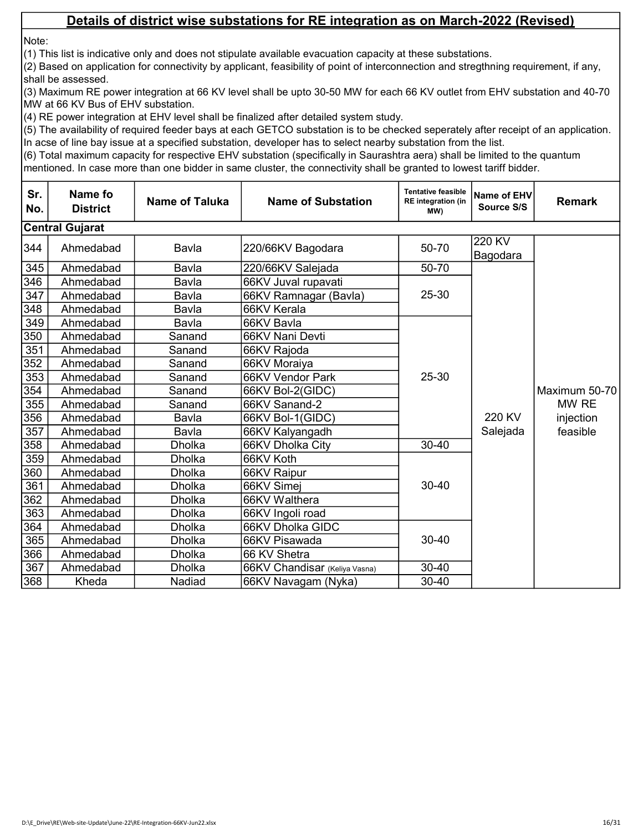Note:

(1) This list is indicative only and does not stipulate available evacuation capacity at these substations.

(2) Based on application for connectivity by applicant, feasibility of point of interconnection and stregthning requirement, if any, shall be assessed.

(3) Maximum RE power integration at 66 KV level shall be upto 30-50 MW for each 66 KV outlet from EHV substation and 40-70 MW at 66 KV Bus of EHV substation.

(4) RE power integration at EHV level shall be finalized after detailed system study.

(5) The availability of required feeder bays at each GETCO substation is to be checked seperately after receipt of an application. In acse of line bay issue at a specified substation, developer has to select nearby substation from the list.

| Sr.<br>No.       | Name fo<br><b>District</b> | <b>Name of Taluka</b> | <b>Name of Substation</b>     | <b>Tentative feasible</b><br><b>RE</b> integration (in<br>MW) | Name of EHV<br>Source S/S | <b>Remark</b>                                   |
|------------------|----------------------------|-----------------------|-------------------------------|---------------------------------------------------------------|---------------------------|-------------------------------------------------|
|                  | <b>Central Gujarat</b>     |                       |                               |                                                               |                           |                                                 |
| 344              | Ahmedabad                  | Bavla                 | 220/66KV Bagodara             | 50-70                                                         | 220 KV<br>Bagodara        |                                                 |
| 345              | Ahmedabad                  | Bavla                 | 220/66KV Salejada             | 50-70                                                         |                           |                                                 |
| 346              | Ahmedabad                  | Bavla                 | 66KV Juval rupavati           |                                                               |                           |                                                 |
| 347              | Ahmedabad                  | Bavla                 | 66KV Ramnagar (Bavla)         | 25-30                                                         |                           |                                                 |
| $\overline{348}$ | Ahmedabad                  | Bavla                 | 66KV Kerala                   |                                                               |                           |                                                 |
| 349              | Ahmedabad                  | Bavla                 | 66KV Bavla                    |                                                               |                           | Maximum 50-70<br>MW RE<br>injection<br>feasible |
| 350              | Ahmedabad                  | Sanand                | 66KV Nani Devti               |                                                               |                           |                                                 |
| 351              | Ahmedabad                  | Sanand                | 66KV Rajoda                   |                                                               |                           |                                                 |
| 352              | Ahmedabad                  | Sanand                | 66KV Moraiya                  |                                                               |                           |                                                 |
| 353              | Ahmedabad                  | Sanand                | 66KV Vendor Park              | 25-30                                                         |                           |                                                 |
| 354              | Ahmedabad                  | Sanand                | 66KV Bol-2(GIDC)              |                                                               | 220 KV                    |                                                 |
| 355              | Ahmedabad                  | Sanand                | 66KV Sanand-2                 |                                                               |                           |                                                 |
| 356              | Ahmedabad                  | Bavla                 | 66KV Bol-1(GIDC)              |                                                               |                           |                                                 |
| 357              | Ahmedabad                  | Bavla                 | 66KV Kalyangadh               |                                                               | Salejada                  |                                                 |
| 358              | Ahmedabad                  | <b>Dholka</b>         | 66KV Dholka City              | $30 - 40$                                                     |                           |                                                 |
| 359              | Ahmedabad                  | <b>Dholka</b>         | 66KV Koth                     |                                                               |                           |                                                 |
| 360              | Ahmedabad                  | <b>Dholka</b>         | 66KV Raipur                   |                                                               |                           |                                                 |
| 361              | Ahmedabad                  | <b>Dholka</b>         | 66KV Simej                    | $30 - 40$                                                     |                           |                                                 |
| 362              | Ahmedabad                  | <b>Dholka</b>         | 66KV Walthera                 |                                                               |                           |                                                 |
| 363              | Ahmedabad                  | <b>Dholka</b>         | 66KV Ingoli road              |                                                               |                           |                                                 |
| 364              | Ahmedabad                  | <b>Dholka</b>         | 66KV Dholka GIDC              |                                                               |                           |                                                 |
| 365              | Ahmedabad                  | <b>Dholka</b>         | 66KV Pisawada                 | $30 - 40$                                                     |                           |                                                 |
| 366              | Ahmedabad                  | <b>Dholka</b>         | 66 KV Shetra                  |                                                               |                           |                                                 |
| 367              | Ahmedabad                  | <b>Dholka</b>         | 66KV Chandisar (Keliya Vasna) | $30 - 40$                                                     |                           |                                                 |
| 368              | Kheda                      | Nadiad                | 66KV Navagam (Nyka)           | 30-40                                                         |                           |                                                 |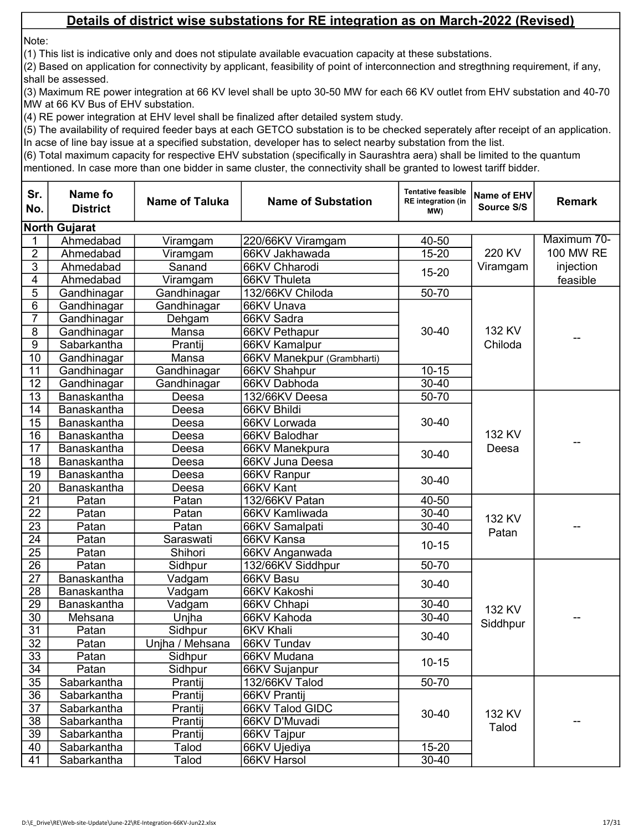Note:

(1) This list is indicative only and does not stipulate available evacuation capacity at these substations.

(2) Based on application for connectivity by applicant, feasibility of point of interconnection and stregthning requirement, if any, shall be assessed.

(3) Maximum RE power integration at 66 KV level shall be upto 30-50 MW for each 66 KV outlet from EHV substation and 40-70 MW at 66 KV Bus of EHV substation.

(4) RE power integration at EHV level shall be finalized after detailed system study.

(5) The availability of required feeder bays at each GETCO substation is to be checked seperately after receipt of an application. In acse of line bay issue at a specified substation, developer has to select nearby substation from the list.

| Sr.<br>No.      | Name fo<br><b>District</b> | <b>Name of Taluka</b> | <b>Name of Substation</b>  | <b>Tentative feasible</b><br><b>RE</b> integration (in<br>MW) | Name of EHV<br>Source S/S | <b>Remark</b>    |
|-----------------|----------------------------|-----------------------|----------------------------|---------------------------------------------------------------|---------------------------|------------------|
|                 | <b>North Gujarat</b>       |                       |                            |                                                               |                           |                  |
|                 | Ahmedabad                  | Viramgam              | 220/66KV Viramgam          | 40-50                                                         |                           | Maximum 70-      |
| $\overline{2}$  | Ahmedabad                  | Viramgam              | 66KV Jakhawada             | $15 - 20$                                                     | 220 KV                    | <b>100 MW RE</b> |
| $\overline{3}$  | Ahmedabad                  | Sanand                | 66KV Chharodi              |                                                               | Viramgam                  | injection        |
| $\overline{4}$  | Ahmedabad                  | Viramgam              | 66KV Thuleta               | $15 - 20$                                                     |                           | feasible         |
| 5               | Gandhinagar                | Gandhinagar           | 132/66KV Chiloda           | 50-70                                                         |                           |                  |
| 6               | Gandhinagar                | Gandhinagar           | 66KV Unava                 |                                                               |                           |                  |
| 7               | Gandhinagar                | Dehgam                | 66KV Sadra                 |                                                               |                           |                  |
| $\overline{8}$  | Gandhinagar                | Mansa                 | 66KV Pethapur              | $30 - 40$                                                     | 132 KV                    |                  |
| $\overline{9}$  | Sabarkantha                | Prantij               | 66KV Kamalpur              |                                                               | Chiloda                   | --               |
| 10              | Gandhinagar                | Mansa                 | 66KV Manekpur (Grambharti) |                                                               |                           |                  |
| 11              | Gandhinagar                | Gandhinagar           | 66KV Shahpur               | $10 - 15$                                                     |                           |                  |
| 12              | Gandhinagar                | Gandhinagar           | 66KV Dabhoda               | $30 - 40$                                                     |                           |                  |
| $\overline{13}$ | Banaskantha                | Deesa                 | 132/66KV Deesa             | $50 - 70$                                                     |                           |                  |
| 14              | Banaskantha                | Deesa                 | 66KV Bhildi                |                                                               |                           |                  |
| $\overline{15}$ | Banaskantha                | Deesa                 | 66KV Lorwada               | $30 - 40$                                                     |                           |                  |
| 16              | Banaskantha                | Deesa                 | 66KV Balodhar              |                                                               | 132 KV                    |                  |
| 17              | Banaskantha                | Deesa                 | 66KV Manekpura             | $30 - 40$                                                     | Deesa                     |                  |
| 18              | Banaskantha                | Deesa                 | 66KV Juna Deesa            |                                                               |                           |                  |
| 19              | Banaskantha                | Deesa                 | 66KV Ranpur                | $30 - 40$                                                     |                           |                  |
| 20              | Banaskantha                | Deesa                 | 66KV Kant                  |                                                               |                           |                  |
| $\overline{21}$ | Patan                      | Patan                 | 132/66KV Patan             | 40-50                                                         |                           |                  |
| $\overline{22}$ | Patan                      | Patan                 | 66KV Kamliwada             | $30 - 40$                                                     | 132 KV                    |                  |
| 23              | Patan                      | Patan                 | 66KV Samalpati             | $30 - 40$                                                     | Patan                     |                  |
| 24              | Patan                      | Saraswati             | 66KV Kansa                 | $10 - 15$                                                     |                           |                  |
| $\overline{25}$ | Patan                      | Shihori               | 66KV Anganwada             |                                                               |                           |                  |
| $\overline{26}$ | Patan                      | Sidhpur               | 132/66KV Siddhpur          | $50 - 70$                                                     |                           |                  |
| $\overline{27}$ | Banaskantha                | Vadgam                | 66KV Basu                  | $30 - 40$                                                     |                           |                  |
| 28              | Banaskantha                | Vadgam                | 66KV Kakoshi               |                                                               |                           |                  |
| $\overline{29}$ | Banaskantha                | Vadgam                | 66KV Chhapi                | $30 - 40$                                                     | 132 KV                    |                  |
| $\overline{30}$ | Mehsana                    | Unjha                 | 66KV Kahoda                | $30 - 40$                                                     | Siddhpur                  |                  |
| $\overline{31}$ | Patan                      | Sidhpur               | <b>6KV Khali</b>           | $30 - 40$                                                     |                           |                  |
| $\overline{32}$ | Patan                      | Uniha / Mehsana       | 66KV Tundav                |                                                               |                           |                  |
| 33              | Patan                      | Sidhpur               | 66KV Mudana                | $10 - 15$                                                     |                           |                  |
| $\overline{34}$ | Patan                      | Sidhpur               | 66KV Sujanpur              |                                                               |                           |                  |
| 35              | Sabarkantha                | Prantij               | 132/66KV Talod             | $50 - 70$                                                     |                           |                  |
| 36              | Sabarkantha                | Prantij               | 66KV Prantij               |                                                               |                           |                  |
| 37              | Sabarkantha                | Prantij               | 66KV Talod GIDC            | 132 KV<br>$30 - 40$<br>Talod                                  |                           |                  |
| $\overline{38}$ | Sabarkantha                | Prantij               | 66KV D'Muvadi              |                                                               |                           |                  |
| 39              | Sabarkantha                | Prantij               | 66KV Tajpur                |                                                               |                           |                  |
| 40              | Sabarkantha                | Talod                 | 66KV Ujediya               | $15 - 20$                                                     |                           |                  |
| 41              | Sabarkantha                | Talod                 | 66KV Harsol                | $30 - 40$                                                     |                           |                  |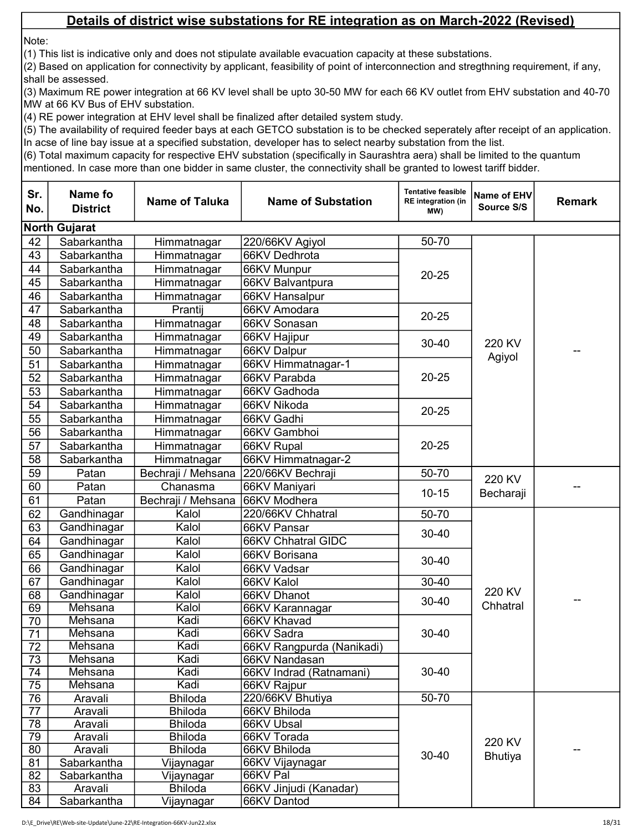Note:

(1) This list is indicative only and does not stipulate available evacuation capacity at these substations.

(2) Based on application for connectivity by applicant, feasibility of point of interconnection and stregthning requirement, if any, shall be assessed.

(3) Maximum RE power integration at 66 KV level shall be upto 30-50 MW for each 66 KV outlet from EHV substation and 40-70 MW at 66 KV Bus of EHV substation.

(4) RE power integration at EHV level shall be finalized after detailed system study.

(5) The availability of required feeder bays at each GETCO substation is to be checked seperately after receipt of an application. In acse of line bay issue at a specified substation, developer has to select nearby substation from the list.

| <b>North Gujarat</b><br>42<br>Sabarkantha<br>50-70<br>Himmatnagar<br>220/66KV Agiyol<br>43<br>Sabarkantha<br>66KV Dedhrota<br>Himmatnagar<br>44<br>Sabarkantha<br>Himmatnagar<br>66KV Munpur<br>$20 - 25$<br>45<br>Sabarkantha<br>Himmatnagar<br>66KV Balvantpura<br>46<br>Sabarkantha<br>Himmatnagar<br>66KV Hansalpur<br>47<br>66KV Amodara<br>Sabarkantha<br>Prantij<br>$20 - 25$<br>48<br>66KV Sonasan<br>Sabarkantha<br>Himmatnagar<br>49<br>66KV Hajipur<br>Sabarkantha<br>Himmatnagar<br>220 KV<br>$30 - 40$<br>50<br>Sabarkantha<br>66KV Dalpur<br>Himmatnagar<br>Agiyol<br>51<br>66KV Himmatnagar-1<br>Sabarkantha<br>Himmatnagar<br>52<br>66KV Parabda<br>$20 - 25$<br>Sabarkantha<br>Himmatnagar<br>53<br>66KV Gadhoda<br>Sabarkantha<br>Himmatnagar<br>66KV Nikoda<br>54<br>Himmatnagar<br>Sabarkantha<br>$20 - 25$<br>55<br>Himmatnagar<br>66KV Gadhi<br>Sabarkantha<br>56<br>66KV Gambhoi<br>Sabarkantha<br>Himmatnagar<br>57<br>$20 - 25$<br>Himmatnagar<br>66KV Rupal<br>Sabarkantha<br>58<br>66KV Himmatnagar-2<br>Sabarkantha<br>Himmatnagar<br>59<br>50-70<br>220/66KV Bechraji<br>Bechraji / Mehsana<br>Patan<br>220 KV<br>60<br>Patan<br>Chanasma<br>66KV Maniyari<br>$10 - 15$<br>Becharaji<br>61<br>Patan<br>Bechraji / Mehsana<br>66KV Modhera<br>62<br>50-70<br>Gandhinagar<br>Kalol<br>220/66KV Chhatral<br>Kalol<br>63<br>Gandhinagar<br>66KV Pansar<br>$30 - 40$<br>64<br>Kalol<br>Gandhinagar<br>66KV Chhatral GIDC<br>65<br>Gandhinagar<br>Kalol<br>66KV Borisana<br>$30 - 40$<br>Gandhinagar<br>Kalol<br>66<br>66KV Vadsar<br>Kalol<br>67<br>Gandhinagar<br>66KV Kalol<br>30-40<br>220 KV<br>Gandhinagar<br>Kalol<br>68<br>66KV Dhanot<br>30-40<br>Chhatral<br>Mehsana<br>Kalol<br>69<br>66KV Karannagar<br>Mehsana<br>Kadi<br>70<br>66KV Khavad<br>Kadi<br>Mehsana<br>30-40<br>71<br>66KV Sadra<br>$\overline{72}$<br>Kadi<br>Mehsana<br>66KV Rangpurda (Nanikadi)<br>73<br>Mehsana<br>Kadi<br>66KV Nandasan<br>Kadi<br>30-40<br>74<br>Mehsana<br>66KV Indrad (Ratnamani)<br>Mehsana<br>Kadi<br>75<br>66KV Rajpur<br>76<br>$50 - 70$<br>Aravali<br>220/66KV Bhutiya<br><b>Bhiloda</b><br>77<br>Aravali<br><b>Bhiloda</b><br>66KV Bhiloda<br>78<br>Aravali<br><b>Bhiloda</b><br>66KV Ubsal<br>79<br>66KV Torada<br>Aravali<br><b>Bhiloda</b><br>220 KV<br>80<br>Aravali<br><b>Bhiloda</b><br>66KV Bhiloda<br>30-40<br><b>Bhutiya</b><br>81<br>Sabarkantha<br>66KV Vijaynagar<br>Vijaynagar<br>82<br>66KV Pal<br>Sabarkantha<br>Vijaynagar<br>83<br><b>Bhiloda</b><br>66KV Jinjudi (Kanadar)<br>Aravali | Sr.<br>No. | Name fo<br><b>District</b> | <b>Name of Taluka</b> | <b>Name of Substation</b> | <b>Tentative feasible</b><br><b>RE</b> integration (in<br>MW) | Name of EHV<br>Source S/S | <b>Remark</b> |
|---------------------------------------------------------------------------------------------------------------------------------------------------------------------------------------------------------------------------------------------------------------------------------------------------------------------------------------------------------------------------------------------------------------------------------------------------------------------------------------------------------------------------------------------------------------------------------------------------------------------------------------------------------------------------------------------------------------------------------------------------------------------------------------------------------------------------------------------------------------------------------------------------------------------------------------------------------------------------------------------------------------------------------------------------------------------------------------------------------------------------------------------------------------------------------------------------------------------------------------------------------------------------------------------------------------------------------------------------------------------------------------------------------------------------------------------------------------------------------------------------------------------------------------------------------------------------------------------------------------------------------------------------------------------------------------------------------------------------------------------------------------------------------------------------------------------------------------------------------------------------------------------------------------------------------------------------------------------------------------------------------------------------------------------------------------------------------------------------------------------------------------------------------------------------------------------------------------------------------------------------------------------------------------------------------------------------------------------------------------------------------------------------------------------------------------------------------------------------------------------------------------------------------------|------------|----------------------------|-----------------------|---------------------------|---------------------------------------------------------------|---------------------------|---------------|
|                                                                                                                                                                                                                                                                                                                                                                                                                                                                                                                                                                                                                                                                                                                                                                                                                                                                                                                                                                                                                                                                                                                                                                                                                                                                                                                                                                                                                                                                                                                                                                                                                                                                                                                                                                                                                                                                                                                                                                                                                                                                                                                                                                                                                                                                                                                                                                                                                                                                                                                                       |            |                            |                       |                           |                                                               |                           |               |
|                                                                                                                                                                                                                                                                                                                                                                                                                                                                                                                                                                                                                                                                                                                                                                                                                                                                                                                                                                                                                                                                                                                                                                                                                                                                                                                                                                                                                                                                                                                                                                                                                                                                                                                                                                                                                                                                                                                                                                                                                                                                                                                                                                                                                                                                                                                                                                                                                                                                                                                                       |            |                            |                       |                           |                                                               |                           |               |
|                                                                                                                                                                                                                                                                                                                                                                                                                                                                                                                                                                                                                                                                                                                                                                                                                                                                                                                                                                                                                                                                                                                                                                                                                                                                                                                                                                                                                                                                                                                                                                                                                                                                                                                                                                                                                                                                                                                                                                                                                                                                                                                                                                                                                                                                                                                                                                                                                                                                                                                                       |            |                            |                       |                           |                                                               |                           |               |
|                                                                                                                                                                                                                                                                                                                                                                                                                                                                                                                                                                                                                                                                                                                                                                                                                                                                                                                                                                                                                                                                                                                                                                                                                                                                                                                                                                                                                                                                                                                                                                                                                                                                                                                                                                                                                                                                                                                                                                                                                                                                                                                                                                                                                                                                                                                                                                                                                                                                                                                                       |            |                            |                       |                           |                                                               |                           |               |
|                                                                                                                                                                                                                                                                                                                                                                                                                                                                                                                                                                                                                                                                                                                                                                                                                                                                                                                                                                                                                                                                                                                                                                                                                                                                                                                                                                                                                                                                                                                                                                                                                                                                                                                                                                                                                                                                                                                                                                                                                                                                                                                                                                                                                                                                                                                                                                                                                                                                                                                                       |            |                            |                       |                           |                                                               |                           |               |
|                                                                                                                                                                                                                                                                                                                                                                                                                                                                                                                                                                                                                                                                                                                                                                                                                                                                                                                                                                                                                                                                                                                                                                                                                                                                                                                                                                                                                                                                                                                                                                                                                                                                                                                                                                                                                                                                                                                                                                                                                                                                                                                                                                                                                                                                                                                                                                                                                                                                                                                                       |            |                            |                       |                           |                                                               |                           |               |
|                                                                                                                                                                                                                                                                                                                                                                                                                                                                                                                                                                                                                                                                                                                                                                                                                                                                                                                                                                                                                                                                                                                                                                                                                                                                                                                                                                                                                                                                                                                                                                                                                                                                                                                                                                                                                                                                                                                                                                                                                                                                                                                                                                                                                                                                                                                                                                                                                                                                                                                                       |            |                            |                       |                           |                                                               |                           |               |
|                                                                                                                                                                                                                                                                                                                                                                                                                                                                                                                                                                                                                                                                                                                                                                                                                                                                                                                                                                                                                                                                                                                                                                                                                                                                                                                                                                                                                                                                                                                                                                                                                                                                                                                                                                                                                                                                                                                                                                                                                                                                                                                                                                                                                                                                                                                                                                                                                                                                                                                                       |            |                            |                       |                           |                                                               |                           |               |
|                                                                                                                                                                                                                                                                                                                                                                                                                                                                                                                                                                                                                                                                                                                                                                                                                                                                                                                                                                                                                                                                                                                                                                                                                                                                                                                                                                                                                                                                                                                                                                                                                                                                                                                                                                                                                                                                                                                                                                                                                                                                                                                                                                                                                                                                                                                                                                                                                                                                                                                                       |            |                            |                       |                           |                                                               |                           |               |
|                                                                                                                                                                                                                                                                                                                                                                                                                                                                                                                                                                                                                                                                                                                                                                                                                                                                                                                                                                                                                                                                                                                                                                                                                                                                                                                                                                                                                                                                                                                                                                                                                                                                                                                                                                                                                                                                                                                                                                                                                                                                                                                                                                                                                                                                                                                                                                                                                                                                                                                                       |            |                            |                       |                           |                                                               |                           |               |
|                                                                                                                                                                                                                                                                                                                                                                                                                                                                                                                                                                                                                                                                                                                                                                                                                                                                                                                                                                                                                                                                                                                                                                                                                                                                                                                                                                                                                                                                                                                                                                                                                                                                                                                                                                                                                                                                                                                                                                                                                                                                                                                                                                                                                                                                                                                                                                                                                                                                                                                                       |            |                            |                       |                           |                                                               |                           |               |
|                                                                                                                                                                                                                                                                                                                                                                                                                                                                                                                                                                                                                                                                                                                                                                                                                                                                                                                                                                                                                                                                                                                                                                                                                                                                                                                                                                                                                                                                                                                                                                                                                                                                                                                                                                                                                                                                                                                                                                                                                                                                                                                                                                                                                                                                                                                                                                                                                                                                                                                                       |            |                            |                       |                           |                                                               |                           |               |
|                                                                                                                                                                                                                                                                                                                                                                                                                                                                                                                                                                                                                                                                                                                                                                                                                                                                                                                                                                                                                                                                                                                                                                                                                                                                                                                                                                                                                                                                                                                                                                                                                                                                                                                                                                                                                                                                                                                                                                                                                                                                                                                                                                                                                                                                                                                                                                                                                                                                                                                                       |            |                            |                       |                           |                                                               |                           |               |
|                                                                                                                                                                                                                                                                                                                                                                                                                                                                                                                                                                                                                                                                                                                                                                                                                                                                                                                                                                                                                                                                                                                                                                                                                                                                                                                                                                                                                                                                                                                                                                                                                                                                                                                                                                                                                                                                                                                                                                                                                                                                                                                                                                                                                                                                                                                                                                                                                                                                                                                                       |            |                            |                       |                           |                                                               |                           |               |
|                                                                                                                                                                                                                                                                                                                                                                                                                                                                                                                                                                                                                                                                                                                                                                                                                                                                                                                                                                                                                                                                                                                                                                                                                                                                                                                                                                                                                                                                                                                                                                                                                                                                                                                                                                                                                                                                                                                                                                                                                                                                                                                                                                                                                                                                                                                                                                                                                                                                                                                                       |            |                            |                       |                           |                                                               |                           |               |
|                                                                                                                                                                                                                                                                                                                                                                                                                                                                                                                                                                                                                                                                                                                                                                                                                                                                                                                                                                                                                                                                                                                                                                                                                                                                                                                                                                                                                                                                                                                                                                                                                                                                                                                                                                                                                                                                                                                                                                                                                                                                                                                                                                                                                                                                                                                                                                                                                                                                                                                                       |            |                            |                       |                           |                                                               |                           |               |
|                                                                                                                                                                                                                                                                                                                                                                                                                                                                                                                                                                                                                                                                                                                                                                                                                                                                                                                                                                                                                                                                                                                                                                                                                                                                                                                                                                                                                                                                                                                                                                                                                                                                                                                                                                                                                                                                                                                                                                                                                                                                                                                                                                                                                                                                                                                                                                                                                                                                                                                                       |            |                            |                       |                           |                                                               |                           |               |
|                                                                                                                                                                                                                                                                                                                                                                                                                                                                                                                                                                                                                                                                                                                                                                                                                                                                                                                                                                                                                                                                                                                                                                                                                                                                                                                                                                                                                                                                                                                                                                                                                                                                                                                                                                                                                                                                                                                                                                                                                                                                                                                                                                                                                                                                                                                                                                                                                                                                                                                                       |            |                            |                       |                           |                                                               |                           |               |
|                                                                                                                                                                                                                                                                                                                                                                                                                                                                                                                                                                                                                                                                                                                                                                                                                                                                                                                                                                                                                                                                                                                                                                                                                                                                                                                                                                                                                                                                                                                                                                                                                                                                                                                                                                                                                                                                                                                                                                                                                                                                                                                                                                                                                                                                                                                                                                                                                                                                                                                                       |            |                            |                       |                           |                                                               |                           |               |
|                                                                                                                                                                                                                                                                                                                                                                                                                                                                                                                                                                                                                                                                                                                                                                                                                                                                                                                                                                                                                                                                                                                                                                                                                                                                                                                                                                                                                                                                                                                                                                                                                                                                                                                                                                                                                                                                                                                                                                                                                                                                                                                                                                                                                                                                                                                                                                                                                                                                                                                                       |            |                            |                       |                           |                                                               |                           |               |
|                                                                                                                                                                                                                                                                                                                                                                                                                                                                                                                                                                                                                                                                                                                                                                                                                                                                                                                                                                                                                                                                                                                                                                                                                                                                                                                                                                                                                                                                                                                                                                                                                                                                                                                                                                                                                                                                                                                                                                                                                                                                                                                                                                                                                                                                                                                                                                                                                                                                                                                                       |            |                            |                       |                           |                                                               |                           |               |
|                                                                                                                                                                                                                                                                                                                                                                                                                                                                                                                                                                                                                                                                                                                                                                                                                                                                                                                                                                                                                                                                                                                                                                                                                                                                                                                                                                                                                                                                                                                                                                                                                                                                                                                                                                                                                                                                                                                                                                                                                                                                                                                                                                                                                                                                                                                                                                                                                                                                                                                                       |            |                            |                       |                           |                                                               |                           |               |
|                                                                                                                                                                                                                                                                                                                                                                                                                                                                                                                                                                                                                                                                                                                                                                                                                                                                                                                                                                                                                                                                                                                                                                                                                                                                                                                                                                                                                                                                                                                                                                                                                                                                                                                                                                                                                                                                                                                                                                                                                                                                                                                                                                                                                                                                                                                                                                                                                                                                                                                                       |            |                            |                       |                           |                                                               |                           |               |
|                                                                                                                                                                                                                                                                                                                                                                                                                                                                                                                                                                                                                                                                                                                                                                                                                                                                                                                                                                                                                                                                                                                                                                                                                                                                                                                                                                                                                                                                                                                                                                                                                                                                                                                                                                                                                                                                                                                                                                                                                                                                                                                                                                                                                                                                                                                                                                                                                                                                                                                                       |            |                            |                       |                           |                                                               |                           |               |
|                                                                                                                                                                                                                                                                                                                                                                                                                                                                                                                                                                                                                                                                                                                                                                                                                                                                                                                                                                                                                                                                                                                                                                                                                                                                                                                                                                                                                                                                                                                                                                                                                                                                                                                                                                                                                                                                                                                                                                                                                                                                                                                                                                                                                                                                                                                                                                                                                                                                                                                                       |            |                            |                       |                           |                                                               |                           |               |
|                                                                                                                                                                                                                                                                                                                                                                                                                                                                                                                                                                                                                                                                                                                                                                                                                                                                                                                                                                                                                                                                                                                                                                                                                                                                                                                                                                                                                                                                                                                                                                                                                                                                                                                                                                                                                                                                                                                                                                                                                                                                                                                                                                                                                                                                                                                                                                                                                                                                                                                                       |            |                            |                       |                           |                                                               |                           |               |
|                                                                                                                                                                                                                                                                                                                                                                                                                                                                                                                                                                                                                                                                                                                                                                                                                                                                                                                                                                                                                                                                                                                                                                                                                                                                                                                                                                                                                                                                                                                                                                                                                                                                                                                                                                                                                                                                                                                                                                                                                                                                                                                                                                                                                                                                                                                                                                                                                                                                                                                                       |            |                            |                       |                           |                                                               |                           |               |
|                                                                                                                                                                                                                                                                                                                                                                                                                                                                                                                                                                                                                                                                                                                                                                                                                                                                                                                                                                                                                                                                                                                                                                                                                                                                                                                                                                                                                                                                                                                                                                                                                                                                                                                                                                                                                                                                                                                                                                                                                                                                                                                                                                                                                                                                                                                                                                                                                                                                                                                                       |            |                            |                       |                           |                                                               |                           |               |
|                                                                                                                                                                                                                                                                                                                                                                                                                                                                                                                                                                                                                                                                                                                                                                                                                                                                                                                                                                                                                                                                                                                                                                                                                                                                                                                                                                                                                                                                                                                                                                                                                                                                                                                                                                                                                                                                                                                                                                                                                                                                                                                                                                                                                                                                                                                                                                                                                                                                                                                                       |            |                            |                       |                           |                                                               |                           |               |
|                                                                                                                                                                                                                                                                                                                                                                                                                                                                                                                                                                                                                                                                                                                                                                                                                                                                                                                                                                                                                                                                                                                                                                                                                                                                                                                                                                                                                                                                                                                                                                                                                                                                                                                                                                                                                                                                                                                                                                                                                                                                                                                                                                                                                                                                                                                                                                                                                                                                                                                                       |            |                            |                       |                           |                                                               |                           |               |
|                                                                                                                                                                                                                                                                                                                                                                                                                                                                                                                                                                                                                                                                                                                                                                                                                                                                                                                                                                                                                                                                                                                                                                                                                                                                                                                                                                                                                                                                                                                                                                                                                                                                                                                                                                                                                                                                                                                                                                                                                                                                                                                                                                                                                                                                                                                                                                                                                                                                                                                                       |            |                            |                       |                           |                                                               |                           |               |
|                                                                                                                                                                                                                                                                                                                                                                                                                                                                                                                                                                                                                                                                                                                                                                                                                                                                                                                                                                                                                                                                                                                                                                                                                                                                                                                                                                                                                                                                                                                                                                                                                                                                                                                                                                                                                                                                                                                                                                                                                                                                                                                                                                                                                                                                                                                                                                                                                                                                                                                                       |            |                            |                       |                           |                                                               |                           |               |
|                                                                                                                                                                                                                                                                                                                                                                                                                                                                                                                                                                                                                                                                                                                                                                                                                                                                                                                                                                                                                                                                                                                                                                                                                                                                                                                                                                                                                                                                                                                                                                                                                                                                                                                                                                                                                                                                                                                                                                                                                                                                                                                                                                                                                                                                                                                                                                                                                                                                                                                                       |            |                            |                       |                           |                                                               |                           |               |
|                                                                                                                                                                                                                                                                                                                                                                                                                                                                                                                                                                                                                                                                                                                                                                                                                                                                                                                                                                                                                                                                                                                                                                                                                                                                                                                                                                                                                                                                                                                                                                                                                                                                                                                                                                                                                                                                                                                                                                                                                                                                                                                                                                                                                                                                                                                                                                                                                                                                                                                                       |            |                            |                       |                           |                                                               |                           |               |
|                                                                                                                                                                                                                                                                                                                                                                                                                                                                                                                                                                                                                                                                                                                                                                                                                                                                                                                                                                                                                                                                                                                                                                                                                                                                                                                                                                                                                                                                                                                                                                                                                                                                                                                                                                                                                                                                                                                                                                                                                                                                                                                                                                                                                                                                                                                                                                                                                                                                                                                                       |            |                            |                       |                           |                                                               |                           |               |
|                                                                                                                                                                                                                                                                                                                                                                                                                                                                                                                                                                                                                                                                                                                                                                                                                                                                                                                                                                                                                                                                                                                                                                                                                                                                                                                                                                                                                                                                                                                                                                                                                                                                                                                                                                                                                                                                                                                                                                                                                                                                                                                                                                                                                                                                                                                                                                                                                                                                                                                                       |            |                            |                       |                           |                                                               |                           |               |
|                                                                                                                                                                                                                                                                                                                                                                                                                                                                                                                                                                                                                                                                                                                                                                                                                                                                                                                                                                                                                                                                                                                                                                                                                                                                                                                                                                                                                                                                                                                                                                                                                                                                                                                                                                                                                                                                                                                                                                                                                                                                                                                                                                                                                                                                                                                                                                                                                                                                                                                                       |            |                            |                       |                           |                                                               |                           |               |
|                                                                                                                                                                                                                                                                                                                                                                                                                                                                                                                                                                                                                                                                                                                                                                                                                                                                                                                                                                                                                                                                                                                                                                                                                                                                                                                                                                                                                                                                                                                                                                                                                                                                                                                                                                                                                                                                                                                                                                                                                                                                                                                                                                                                                                                                                                                                                                                                                                                                                                                                       |            |                            |                       |                           |                                                               |                           |               |
|                                                                                                                                                                                                                                                                                                                                                                                                                                                                                                                                                                                                                                                                                                                                                                                                                                                                                                                                                                                                                                                                                                                                                                                                                                                                                                                                                                                                                                                                                                                                                                                                                                                                                                                                                                                                                                                                                                                                                                                                                                                                                                                                                                                                                                                                                                                                                                                                                                                                                                                                       |            |                            |                       |                           |                                                               |                           |               |
|                                                                                                                                                                                                                                                                                                                                                                                                                                                                                                                                                                                                                                                                                                                                                                                                                                                                                                                                                                                                                                                                                                                                                                                                                                                                                                                                                                                                                                                                                                                                                                                                                                                                                                                                                                                                                                                                                                                                                                                                                                                                                                                                                                                                                                                                                                                                                                                                                                                                                                                                       |            |                            |                       |                           |                                                               |                           |               |
|                                                                                                                                                                                                                                                                                                                                                                                                                                                                                                                                                                                                                                                                                                                                                                                                                                                                                                                                                                                                                                                                                                                                                                                                                                                                                                                                                                                                                                                                                                                                                                                                                                                                                                                                                                                                                                                                                                                                                                                                                                                                                                                                                                                                                                                                                                                                                                                                                                                                                                                                       |            |                            |                       |                           |                                                               |                           |               |
|                                                                                                                                                                                                                                                                                                                                                                                                                                                                                                                                                                                                                                                                                                                                                                                                                                                                                                                                                                                                                                                                                                                                                                                                                                                                                                                                                                                                                                                                                                                                                                                                                                                                                                                                                                                                                                                                                                                                                                                                                                                                                                                                                                                                                                                                                                                                                                                                                                                                                                                                       |            |                            |                       |                           |                                                               |                           |               |
|                                                                                                                                                                                                                                                                                                                                                                                                                                                                                                                                                                                                                                                                                                                                                                                                                                                                                                                                                                                                                                                                                                                                                                                                                                                                                                                                                                                                                                                                                                                                                                                                                                                                                                                                                                                                                                                                                                                                                                                                                                                                                                                                                                                                                                                                                                                                                                                                                                                                                                                                       | 84         | Sabarkantha                | Vijaynagar            | 66KV Dantod               |                                                               |                           |               |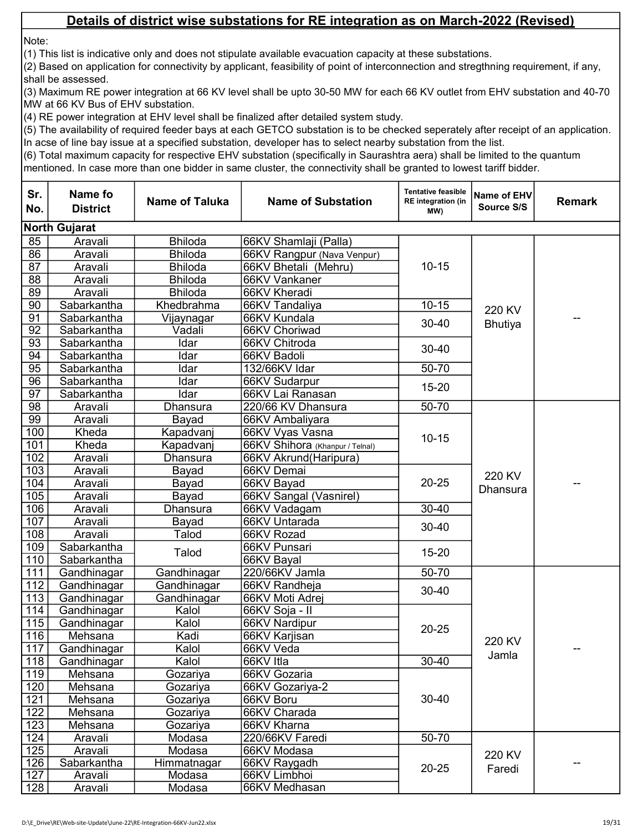Note:

(1) This list is indicative only and does not stipulate available evacuation capacity at these substations.

(2) Based on application for connectivity by applicant, feasibility of point of interconnection and stregthning requirement, if any, shall be assessed.

(3) Maximum RE power integration at 66 KV level shall be upto 30-50 MW for each 66 KV outlet from EHV substation and 40-70 MW at 66 KV Bus of EHV substation.

(4) RE power integration at EHV level shall be finalized after detailed system study.

(5) The availability of required feeder bays at each GETCO substation is to be checked seperately after receipt of an application. In acse of line bay issue at a specified substation, developer has to select nearby substation from the list.

| Sr.<br>No.       | Name fo<br><b>District</b> | <b>Name of Taluka</b> | <b>Name of Substation</b>       | <b>Tentative feasible</b><br><b>RE</b> integration (in<br>MW) | Name of EHV<br>Source S/S | <b>Remark</b> |
|------------------|----------------------------|-----------------------|---------------------------------|---------------------------------------------------------------|---------------------------|---------------|
|                  | <b>North Gujarat</b>       |                       |                                 |                                                               |                           |               |
| 85               | Aravali                    | <b>Bhiloda</b>        | 66KV Shamlaji (Palla)           |                                                               |                           |               |
| 86               | Aravali                    | <b>Bhiloda</b>        | 66KV Rangpur (Nava Venpur)      |                                                               |                           |               |
| $\overline{87}$  | Aravali                    | <b>Bhiloda</b>        | 66KV Bhetali (Mehru)            | $10 - 15$                                                     |                           |               |
| $\overline{88}$  | Aravali                    | <b>Bhiloda</b>        | 66KV Vankaner                   |                                                               |                           |               |
| 89               | Aravali                    | <b>Bhiloda</b>        | 66KV Kheradi                    |                                                               |                           |               |
| $\overline{90}$  | Sabarkantha                | Khedbrahma            | 66KV Tandaliya                  | $10 - 15$                                                     | 220 KV                    |               |
| 91               | Sabarkantha                | Vijaynagar            | 66KV Kundala                    | $30 - 40$                                                     |                           |               |
| $\overline{92}$  | Sabarkantha                | Vadali                | 66KV Choriwad                   |                                                               | <b>Bhutiya</b>            |               |
| 93               | Sabarkantha                | Idar                  | 66KV Chitroda                   | $30 - 40$                                                     |                           |               |
| 94               | Sabarkantha                | Idar                  | 66KV Badoli                     |                                                               |                           |               |
| $\overline{95}$  | Sabarkantha                | Idar                  | 132/66KV Idar                   | 50-70                                                         |                           |               |
| 96               | Sabarkantha                | Idar                  | 66KV Sudarpur                   | $15 - 20$                                                     |                           |               |
| $\overline{97}$  | Sabarkantha                | Idar                  | 66KV Lai Ranasan                |                                                               |                           |               |
| 98               | Aravali                    | <b>Dhansura</b>       | 220/66 KV Dhansura              | 50-70                                                         |                           |               |
| 99               | Aravali                    | Bayad                 | 66KV Ambaliyara                 |                                                               |                           |               |
| 100              | Kheda                      | Kapadvanj             | 66KV Vyas Vasna                 | $10 - 15$                                                     |                           |               |
| 101              | Kheda                      | Kapadvanj             | 66KV Shihora (Khanpur / Telnal) |                                                               |                           |               |
| 102              | Aravali                    | <b>Dhansura</b>       | 66KV Akrund(Haripura)           |                                                               |                           |               |
| $\overline{103}$ | Aravali                    | Bayad                 | 66KV Demai                      | $20 - 25$                                                     | 220 KV                    |               |
| 104              | Aravali                    | Bayad                 | 66KV Bayad                      |                                                               | <b>Dhansura</b>           |               |
| 105              | Aravali                    | Bayad                 | 66KV Sangal (Vasnirel)          |                                                               |                           |               |
| 106              | Aravali                    | Dhansura              | 66KV Vadagam                    | $30 - 40$                                                     |                           |               |
| 107              | Aravali                    | Bayad                 | 66KV Untarada                   | $30 - 40$                                                     |                           |               |
| 108              | Aravali                    | Talod                 | 66KV Rozad                      |                                                               |                           |               |
| 109              | Sabarkantha                | Talod                 | 66KV Punsari                    | $15 - 20$                                                     |                           |               |
| 110              | Sabarkantha                |                       | 66KV Bayal                      |                                                               |                           |               |
| 111              | Gandhinagar                | Gandhinagar           | 220/66KV Jamla                  | 50-70                                                         |                           |               |
| 112              | Gandhinagar                | Gandhinagar           | 66KV Randheja                   | $30 - 40$                                                     |                           |               |
| 113              | Gandhinagar                | Gandhinagar           | 66KV Moti Adrej                 |                                                               |                           |               |
| 114              | Gandhinagar                | Kalol                 | 66KV Soja - II                  |                                                               |                           |               |
| 115              | Gandhinagar                | Kalol                 | 66KV Nardipur                   | $20 - 25$                                                     |                           |               |
| 116              | Mehsana                    | Kadi                  | 66KV Karjisan                   |                                                               | 220 KV                    |               |
| 117              | Gandhinagar                | Kalol                 | 66KV Veda                       |                                                               | Jamla                     |               |
| 118              | Gandhinagar                | Kalol                 | 66KV Itla                       | 30-40                                                         |                           |               |
| 119              | Mehsana                    | Gozariya              | 66KV Gozaria                    |                                                               |                           |               |
| 120              | Mehsana                    | Gozariya              | 66KV Gozariya-2                 |                                                               |                           |               |
| 121              | Mehsana                    | Gozariya              | 66KV Boru                       | 30-40                                                         |                           |               |
| 122              | Mehsana                    | Gozariya              | 66KV Charada                    |                                                               |                           |               |
| 123              | Mehsana                    | Gozariya              | 66KV Kharna                     |                                                               |                           |               |
| 124              | Aravali                    | Modasa                | 220/66KV Faredi                 | 50-70                                                         |                           |               |
| 125              | Aravali                    | Modasa                | 66KV Modasa                     |                                                               | 220 KV                    |               |
| 126              | Sabarkantha                | Himmatnagar           | 66KV Raygadh                    | $20 - 25$                                                     | Faredi                    |               |
| 127              | Aravali                    | Modasa                | 66KV Limbhoi                    |                                                               |                           |               |
| 128              | Aravali                    | Modasa                | 66KV Medhasan                   |                                                               |                           |               |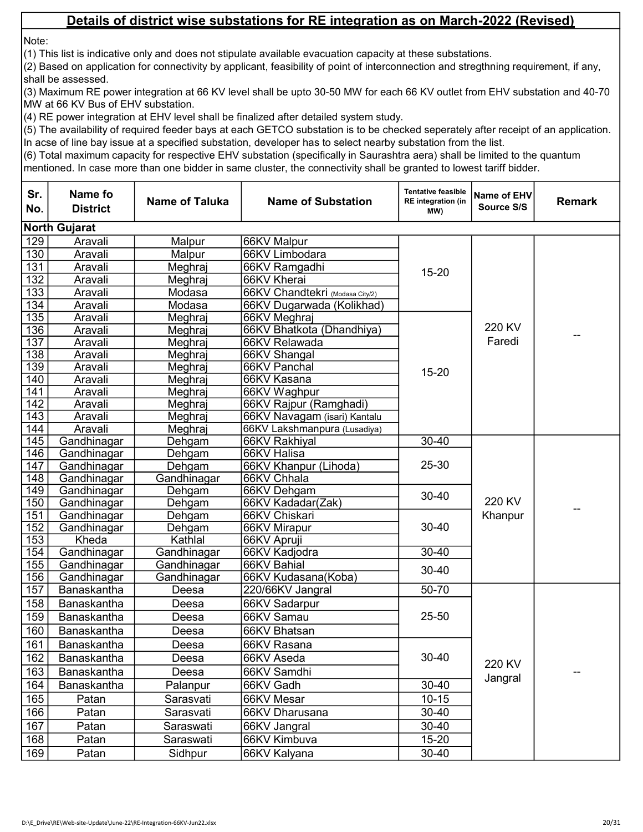Note:

(1) This list is indicative only and does not stipulate available evacuation capacity at these substations.

(2) Based on application for connectivity by applicant, feasibility of point of interconnection and stregthning requirement, if any, shall be assessed.

(3) Maximum RE power integration at 66 KV level shall be upto 30-50 MW for each 66 KV outlet from EHV substation and 40-70 MW at 66 KV Bus of EHV substation.

(4) RE power integration at EHV level shall be finalized after detailed system study.

(5) The availability of required feeder bays at each GETCO substation is to be checked seperately after receipt of an application. In acse of line bay issue at a specified substation, developer has to select nearby substation from the list.

| <b>North Gujarat</b><br>129<br>Aravali<br>Malpur<br>66KV Malpur<br>130<br>Aravali<br>Malpur<br>66KV Limbodara<br>131<br>Aravali<br>Meghraj<br>66KV Ramgadhi<br>$15 - 20$<br>132<br>66KV Kherai<br>Aravali<br>Meghraj<br>133<br>66KV Chandtekri (Modasa City/2)<br>Aravali<br>Modasa<br>134<br>Modasa<br>66KV Dugarwada (Kolikhad)<br>Aravali<br>135<br>Meghraj<br>Aravali<br>66KV Meghraj<br>220 KV<br>136<br>66KV Bhatkota (Dhandhiya)<br>Aravali<br>Meghraj<br>Faredi<br>137<br>Aravali<br>66KV Relawada<br>Meghraj<br>$\overline{138}$<br>Aravali<br>66KV Shangal<br>Meghraj<br>$\overline{139}$<br>66KV Panchal<br>Aravali<br>Meghraj<br>$15 - 20$<br>140<br>66KV Kasana<br>Aravali<br>Meghraj<br>$\overline{141}$<br>66KV Waghpur<br>Aravali<br>Meghraj<br>$\overline{142}$<br>66KV Rajpur (Ramghadi)<br>Aravali<br>Meghraj<br>$\overline{143}$<br>Aravali<br>Meghraj<br>66KV Navagam (isari) Kantalu<br>144<br>Aravali<br>Meghraj<br>66KV Lakshmanpura (Lusadiya)<br>145<br>Gandhinagar<br>$30 - 40$<br>Dehgam<br>66KV Rakhiyal<br>146<br>Gandhinagar<br>66KV Halisa<br>Dehgam<br>25-30<br>147<br>Gandhinagar<br>Dehgam<br>66KV Khanpur (Lihoda)<br>148<br>Gandhinagar<br>Gandhinagar<br>66KV Chhala<br>149<br>Gandhinagar<br>Dehgam<br>66KV Dehgam<br>$30 - 40$<br>220 KV<br>150<br>66KV Kadadar(Zak)<br>Gandhinagar<br>Dehgam<br>151<br>66KV Chiskari<br>Khanpur<br>Gandhinagar<br>Dehgam<br>152<br>$30 - 40$<br>Dehgam<br>66KV Mirapur<br>Gandhinagar<br>153<br>Kheda<br>Kathlal<br>66KV Apruji<br>154<br>Gandhinagar<br>Gandhinagar<br>30-40<br>66KV Kadjodra<br>155<br>66KV Bahial<br>Gandhinagar<br>Gandhinagar<br>$30 - 40$<br>156<br>Gandhinagar<br>Gandhinagar<br>66KV Kudasana(Koba)<br>157<br>50-70<br>Banaskantha<br>220/66KV Jangral<br>Deesa<br>158<br>Banaskantha<br>Deesa<br>66KV Sadarpur<br>159<br>25-50<br>Banaskantha<br>66KV Samau<br>Deesa<br>160<br>Banaskantha<br>66KV Bhatsan<br>Deesa<br>161<br>66KV Rasana<br>Banaskantha<br>Deesa<br>30-40<br>162<br>Banaskantha<br>66KV Aseda<br>Deesa<br>220 KV<br>163<br>Banaskantha<br>66KV Samdhi<br>Deesa<br>Jangral<br>66KV Gadh<br>$30 - 40$<br>164<br>Banaskantha<br>Palanpur<br>165<br>$10 - 15$<br>66KV Mesar<br>Patan<br>Sarasvati<br>166<br>$30 - 40$<br>Patan<br>66KV Dharusana<br>Sarasvati<br>167<br>$30 - 40$<br>Patan<br>Saraswati<br>66KV Jangral<br>168<br>$15 - 20$<br>66KV Kimbuva<br>Patan<br>Saraswati | Sr.<br>No. | Name fo<br><b>District</b> | <b>Name of Taluka</b> | <b>Name of Substation</b> | <b>Tentative feasible</b><br><b>RE</b> integration (in<br>MW) | Name of EHV<br>Source S/S | <b>Remark</b> |
|--------------------------------------------------------------------------------------------------------------------------------------------------------------------------------------------------------------------------------------------------------------------------------------------------------------------------------------------------------------------------------------------------------------------------------------------------------------------------------------------------------------------------------------------------------------------------------------------------------------------------------------------------------------------------------------------------------------------------------------------------------------------------------------------------------------------------------------------------------------------------------------------------------------------------------------------------------------------------------------------------------------------------------------------------------------------------------------------------------------------------------------------------------------------------------------------------------------------------------------------------------------------------------------------------------------------------------------------------------------------------------------------------------------------------------------------------------------------------------------------------------------------------------------------------------------------------------------------------------------------------------------------------------------------------------------------------------------------------------------------------------------------------------------------------------------------------------------------------------------------------------------------------------------------------------------------------------------------------------------------------------------------------------------------------------------------------------------------------------------------------------------------------------------------------------------------------------------------------------------------------------------------------------------------------------------------------------------------------------------------------------------------------|------------|----------------------------|-----------------------|---------------------------|---------------------------------------------------------------|---------------------------|---------------|
|                                                                                                                                                                                                                                                                                                                                                                                                                                                                                                                                                                                                                                                                                                                                                                                                                                                                                                                                                                                                                                                                                                                                                                                                                                                                                                                                                                                                                                                                                                                                                                                                                                                                                                                                                                                                                                                                                                                                                                                                                                                                                                                                                                                                                                                                                                                                                                                                  |            |                            |                       |                           |                                                               |                           |               |
|                                                                                                                                                                                                                                                                                                                                                                                                                                                                                                                                                                                                                                                                                                                                                                                                                                                                                                                                                                                                                                                                                                                                                                                                                                                                                                                                                                                                                                                                                                                                                                                                                                                                                                                                                                                                                                                                                                                                                                                                                                                                                                                                                                                                                                                                                                                                                                                                  |            |                            |                       |                           |                                                               |                           |               |
|                                                                                                                                                                                                                                                                                                                                                                                                                                                                                                                                                                                                                                                                                                                                                                                                                                                                                                                                                                                                                                                                                                                                                                                                                                                                                                                                                                                                                                                                                                                                                                                                                                                                                                                                                                                                                                                                                                                                                                                                                                                                                                                                                                                                                                                                                                                                                                                                  |            |                            |                       |                           |                                                               |                           |               |
|                                                                                                                                                                                                                                                                                                                                                                                                                                                                                                                                                                                                                                                                                                                                                                                                                                                                                                                                                                                                                                                                                                                                                                                                                                                                                                                                                                                                                                                                                                                                                                                                                                                                                                                                                                                                                                                                                                                                                                                                                                                                                                                                                                                                                                                                                                                                                                                                  |            |                            |                       |                           |                                                               |                           |               |
|                                                                                                                                                                                                                                                                                                                                                                                                                                                                                                                                                                                                                                                                                                                                                                                                                                                                                                                                                                                                                                                                                                                                                                                                                                                                                                                                                                                                                                                                                                                                                                                                                                                                                                                                                                                                                                                                                                                                                                                                                                                                                                                                                                                                                                                                                                                                                                                                  |            |                            |                       |                           |                                                               |                           |               |
|                                                                                                                                                                                                                                                                                                                                                                                                                                                                                                                                                                                                                                                                                                                                                                                                                                                                                                                                                                                                                                                                                                                                                                                                                                                                                                                                                                                                                                                                                                                                                                                                                                                                                                                                                                                                                                                                                                                                                                                                                                                                                                                                                                                                                                                                                                                                                                                                  |            |                            |                       |                           |                                                               |                           |               |
|                                                                                                                                                                                                                                                                                                                                                                                                                                                                                                                                                                                                                                                                                                                                                                                                                                                                                                                                                                                                                                                                                                                                                                                                                                                                                                                                                                                                                                                                                                                                                                                                                                                                                                                                                                                                                                                                                                                                                                                                                                                                                                                                                                                                                                                                                                                                                                                                  |            |                            |                       |                           |                                                               |                           |               |
|                                                                                                                                                                                                                                                                                                                                                                                                                                                                                                                                                                                                                                                                                                                                                                                                                                                                                                                                                                                                                                                                                                                                                                                                                                                                                                                                                                                                                                                                                                                                                                                                                                                                                                                                                                                                                                                                                                                                                                                                                                                                                                                                                                                                                                                                                                                                                                                                  |            |                            |                       |                           |                                                               |                           |               |
|                                                                                                                                                                                                                                                                                                                                                                                                                                                                                                                                                                                                                                                                                                                                                                                                                                                                                                                                                                                                                                                                                                                                                                                                                                                                                                                                                                                                                                                                                                                                                                                                                                                                                                                                                                                                                                                                                                                                                                                                                                                                                                                                                                                                                                                                                                                                                                                                  |            |                            |                       |                           |                                                               |                           |               |
|                                                                                                                                                                                                                                                                                                                                                                                                                                                                                                                                                                                                                                                                                                                                                                                                                                                                                                                                                                                                                                                                                                                                                                                                                                                                                                                                                                                                                                                                                                                                                                                                                                                                                                                                                                                                                                                                                                                                                                                                                                                                                                                                                                                                                                                                                                                                                                                                  |            |                            |                       |                           |                                                               |                           |               |
|                                                                                                                                                                                                                                                                                                                                                                                                                                                                                                                                                                                                                                                                                                                                                                                                                                                                                                                                                                                                                                                                                                                                                                                                                                                                                                                                                                                                                                                                                                                                                                                                                                                                                                                                                                                                                                                                                                                                                                                                                                                                                                                                                                                                                                                                                                                                                                                                  |            |                            |                       |                           |                                                               |                           |               |
|                                                                                                                                                                                                                                                                                                                                                                                                                                                                                                                                                                                                                                                                                                                                                                                                                                                                                                                                                                                                                                                                                                                                                                                                                                                                                                                                                                                                                                                                                                                                                                                                                                                                                                                                                                                                                                                                                                                                                                                                                                                                                                                                                                                                                                                                                                                                                                                                  |            |                            |                       |                           |                                                               |                           |               |
|                                                                                                                                                                                                                                                                                                                                                                                                                                                                                                                                                                                                                                                                                                                                                                                                                                                                                                                                                                                                                                                                                                                                                                                                                                                                                                                                                                                                                                                                                                                                                                                                                                                                                                                                                                                                                                                                                                                                                                                                                                                                                                                                                                                                                                                                                                                                                                                                  |            |                            |                       |                           |                                                               |                           |               |
|                                                                                                                                                                                                                                                                                                                                                                                                                                                                                                                                                                                                                                                                                                                                                                                                                                                                                                                                                                                                                                                                                                                                                                                                                                                                                                                                                                                                                                                                                                                                                                                                                                                                                                                                                                                                                                                                                                                                                                                                                                                                                                                                                                                                                                                                                                                                                                                                  |            |                            |                       |                           |                                                               |                           |               |
|                                                                                                                                                                                                                                                                                                                                                                                                                                                                                                                                                                                                                                                                                                                                                                                                                                                                                                                                                                                                                                                                                                                                                                                                                                                                                                                                                                                                                                                                                                                                                                                                                                                                                                                                                                                                                                                                                                                                                                                                                                                                                                                                                                                                                                                                                                                                                                                                  |            |                            |                       |                           |                                                               |                           |               |
|                                                                                                                                                                                                                                                                                                                                                                                                                                                                                                                                                                                                                                                                                                                                                                                                                                                                                                                                                                                                                                                                                                                                                                                                                                                                                                                                                                                                                                                                                                                                                                                                                                                                                                                                                                                                                                                                                                                                                                                                                                                                                                                                                                                                                                                                                                                                                                                                  |            |                            |                       |                           |                                                               |                           |               |
|                                                                                                                                                                                                                                                                                                                                                                                                                                                                                                                                                                                                                                                                                                                                                                                                                                                                                                                                                                                                                                                                                                                                                                                                                                                                                                                                                                                                                                                                                                                                                                                                                                                                                                                                                                                                                                                                                                                                                                                                                                                                                                                                                                                                                                                                                                                                                                                                  |            |                            |                       |                           |                                                               |                           |               |
|                                                                                                                                                                                                                                                                                                                                                                                                                                                                                                                                                                                                                                                                                                                                                                                                                                                                                                                                                                                                                                                                                                                                                                                                                                                                                                                                                                                                                                                                                                                                                                                                                                                                                                                                                                                                                                                                                                                                                                                                                                                                                                                                                                                                                                                                                                                                                                                                  |            |                            |                       |                           |                                                               |                           |               |
|                                                                                                                                                                                                                                                                                                                                                                                                                                                                                                                                                                                                                                                                                                                                                                                                                                                                                                                                                                                                                                                                                                                                                                                                                                                                                                                                                                                                                                                                                                                                                                                                                                                                                                                                                                                                                                                                                                                                                                                                                                                                                                                                                                                                                                                                                                                                                                                                  |            |                            |                       |                           |                                                               |                           |               |
|                                                                                                                                                                                                                                                                                                                                                                                                                                                                                                                                                                                                                                                                                                                                                                                                                                                                                                                                                                                                                                                                                                                                                                                                                                                                                                                                                                                                                                                                                                                                                                                                                                                                                                                                                                                                                                                                                                                                                                                                                                                                                                                                                                                                                                                                                                                                                                                                  |            |                            |                       |                           |                                                               |                           |               |
|                                                                                                                                                                                                                                                                                                                                                                                                                                                                                                                                                                                                                                                                                                                                                                                                                                                                                                                                                                                                                                                                                                                                                                                                                                                                                                                                                                                                                                                                                                                                                                                                                                                                                                                                                                                                                                                                                                                                                                                                                                                                                                                                                                                                                                                                                                                                                                                                  |            |                            |                       |                           |                                                               |                           |               |
|                                                                                                                                                                                                                                                                                                                                                                                                                                                                                                                                                                                                                                                                                                                                                                                                                                                                                                                                                                                                                                                                                                                                                                                                                                                                                                                                                                                                                                                                                                                                                                                                                                                                                                                                                                                                                                                                                                                                                                                                                                                                                                                                                                                                                                                                                                                                                                                                  |            |                            |                       |                           |                                                               |                           |               |
|                                                                                                                                                                                                                                                                                                                                                                                                                                                                                                                                                                                                                                                                                                                                                                                                                                                                                                                                                                                                                                                                                                                                                                                                                                                                                                                                                                                                                                                                                                                                                                                                                                                                                                                                                                                                                                                                                                                                                                                                                                                                                                                                                                                                                                                                                                                                                                                                  |            |                            |                       |                           |                                                               |                           |               |
|                                                                                                                                                                                                                                                                                                                                                                                                                                                                                                                                                                                                                                                                                                                                                                                                                                                                                                                                                                                                                                                                                                                                                                                                                                                                                                                                                                                                                                                                                                                                                                                                                                                                                                                                                                                                                                                                                                                                                                                                                                                                                                                                                                                                                                                                                                                                                                                                  |            |                            |                       |                           |                                                               |                           |               |
|                                                                                                                                                                                                                                                                                                                                                                                                                                                                                                                                                                                                                                                                                                                                                                                                                                                                                                                                                                                                                                                                                                                                                                                                                                                                                                                                                                                                                                                                                                                                                                                                                                                                                                                                                                                                                                                                                                                                                                                                                                                                                                                                                                                                                                                                                                                                                                                                  |            |                            |                       |                           |                                                               |                           |               |
|                                                                                                                                                                                                                                                                                                                                                                                                                                                                                                                                                                                                                                                                                                                                                                                                                                                                                                                                                                                                                                                                                                                                                                                                                                                                                                                                                                                                                                                                                                                                                                                                                                                                                                                                                                                                                                                                                                                                                                                                                                                                                                                                                                                                                                                                                                                                                                                                  |            |                            |                       |                           |                                                               |                           |               |
|                                                                                                                                                                                                                                                                                                                                                                                                                                                                                                                                                                                                                                                                                                                                                                                                                                                                                                                                                                                                                                                                                                                                                                                                                                                                                                                                                                                                                                                                                                                                                                                                                                                                                                                                                                                                                                                                                                                                                                                                                                                                                                                                                                                                                                                                                                                                                                                                  |            |                            |                       |                           |                                                               |                           |               |
|                                                                                                                                                                                                                                                                                                                                                                                                                                                                                                                                                                                                                                                                                                                                                                                                                                                                                                                                                                                                                                                                                                                                                                                                                                                                                                                                                                                                                                                                                                                                                                                                                                                                                                                                                                                                                                                                                                                                                                                                                                                                                                                                                                                                                                                                                                                                                                                                  |            |                            |                       |                           |                                                               |                           |               |
|                                                                                                                                                                                                                                                                                                                                                                                                                                                                                                                                                                                                                                                                                                                                                                                                                                                                                                                                                                                                                                                                                                                                                                                                                                                                                                                                                                                                                                                                                                                                                                                                                                                                                                                                                                                                                                                                                                                                                                                                                                                                                                                                                                                                                                                                                                                                                                                                  |            |                            |                       |                           |                                                               |                           |               |
|                                                                                                                                                                                                                                                                                                                                                                                                                                                                                                                                                                                                                                                                                                                                                                                                                                                                                                                                                                                                                                                                                                                                                                                                                                                                                                                                                                                                                                                                                                                                                                                                                                                                                                                                                                                                                                                                                                                                                                                                                                                                                                                                                                                                                                                                                                                                                                                                  |            |                            |                       |                           |                                                               |                           |               |
|                                                                                                                                                                                                                                                                                                                                                                                                                                                                                                                                                                                                                                                                                                                                                                                                                                                                                                                                                                                                                                                                                                                                                                                                                                                                                                                                                                                                                                                                                                                                                                                                                                                                                                                                                                                                                                                                                                                                                                                                                                                                                                                                                                                                                                                                                                                                                                                                  |            |                            |                       |                           |                                                               |                           |               |
|                                                                                                                                                                                                                                                                                                                                                                                                                                                                                                                                                                                                                                                                                                                                                                                                                                                                                                                                                                                                                                                                                                                                                                                                                                                                                                                                                                                                                                                                                                                                                                                                                                                                                                                                                                                                                                                                                                                                                                                                                                                                                                                                                                                                                                                                                                                                                                                                  |            |                            |                       |                           |                                                               |                           |               |
|                                                                                                                                                                                                                                                                                                                                                                                                                                                                                                                                                                                                                                                                                                                                                                                                                                                                                                                                                                                                                                                                                                                                                                                                                                                                                                                                                                                                                                                                                                                                                                                                                                                                                                                                                                                                                                                                                                                                                                                                                                                                                                                                                                                                                                                                                                                                                                                                  |            |                            |                       |                           |                                                               |                           |               |
|                                                                                                                                                                                                                                                                                                                                                                                                                                                                                                                                                                                                                                                                                                                                                                                                                                                                                                                                                                                                                                                                                                                                                                                                                                                                                                                                                                                                                                                                                                                                                                                                                                                                                                                                                                                                                                                                                                                                                                                                                                                                                                                                                                                                                                                                                                                                                                                                  |            |                            |                       |                           |                                                               |                           |               |
|                                                                                                                                                                                                                                                                                                                                                                                                                                                                                                                                                                                                                                                                                                                                                                                                                                                                                                                                                                                                                                                                                                                                                                                                                                                                                                                                                                                                                                                                                                                                                                                                                                                                                                                                                                                                                                                                                                                                                                                                                                                                                                                                                                                                                                                                                                                                                                                                  |            |                            |                       |                           |                                                               |                           |               |
|                                                                                                                                                                                                                                                                                                                                                                                                                                                                                                                                                                                                                                                                                                                                                                                                                                                                                                                                                                                                                                                                                                                                                                                                                                                                                                                                                                                                                                                                                                                                                                                                                                                                                                                                                                                                                                                                                                                                                                                                                                                                                                                                                                                                                                                                                                                                                                                                  |            |                            |                       |                           |                                                               |                           |               |
|                                                                                                                                                                                                                                                                                                                                                                                                                                                                                                                                                                                                                                                                                                                                                                                                                                                                                                                                                                                                                                                                                                                                                                                                                                                                                                                                                                                                                                                                                                                                                                                                                                                                                                                                                                                                                                                                                                                                                                                                                                                                                                                                                                                                                                                                                                                                                                                                  |            |                            |                       |                           |                                                               |                           |               |
|                                                                                                                                                                                                                                                                                                                                                                                                                                                                                                                                                                                                                                                                                                                                                                                                                                                                                                                                                                                                                                                                                                                                                                                                                                                                                                                                                                                                                                                                                                                                                                                                                                                                                                                                                                                                                                                                                                                                                                                                                                                                                                                                                                                                                                                                                                                                                                                                  |            |                            |                       |                           |                                                               |                           |               |
|                                                                                                                                                                                                                                                                                                                                                                                                                                                                                                                                                                                                                                                                                                                                                                                                                                                                                                                                                                                                                                                                                                                                                                                                                                                                                                                                                                                                                                                                                                                                                                                                                                                                                                                                                                                                                                                                                                                                                                                                                                                                                                                                                                                                                                                                                                                                                                                                  |            |                            |                       |                           |                                                               |                           |               |
|                                                                                                                                                                                                                                                                                                                                                                                                                                                                                                                                                                                                                                                                                                                                                                                                                                                                                                                                                                                                                                                                                                                                                                                                                                                                                                                                                                                                                                                                                                                                                                                                                                                                                                                                                                                                                                                                                                                                                                                                                                                                                                                                                                                                                                                                                                                                                                                                  |            |                            |                       |                           |                                                               |                           |               |
|                                                                                                                                                                                                                                                                                                                                                                                                                                                                                                                                                                                                                                                                                                                                                                                                                                                                                                                                                                                                                                                                                                                                                                                                                                                                                                                                                                                                                                                                                                                                                                                                                                                                                                                                                                                                                                                                                                                                                                                                                                                                                                                                                                                                                                                                                                                                                                                                  |            |                            |                       |                           |                                                               |                           |               |
|                                                                                                                                                                                                                                                                                                                                                                                                                                                                                                                                                                                                                                                                                                                                                                                                                                                                                                                                                                                                                                                                                                                                                                                                                                                                                                                                                                                                                                                                                                                                                                                                                                                                                                                                                                                                                                                                                                                                                                                                                                                                                                                                                                                                                                                                                                                                                                                                  | 169        | Patan                      | Sidhpur               | 66KV Kalyana              | $30 - 40$                                                     |                           |               |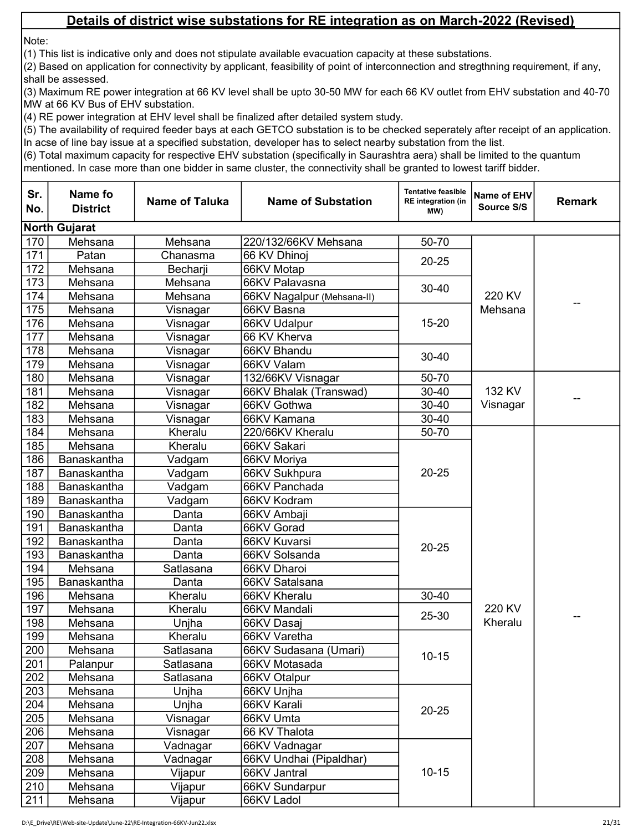Note:

(1) This list is indicative only and does not stipulate available evacuation capacity at these substations.

(2) Based on application for connectivity by applicant, feasibility of point of interconnection and stregthning requirement, if any, shall be assessed.

(3) Maximum RE power integration at 66 KV level shall be upto 30-50 MW for each 66 KV outlet from EHV substation and 40-70 MW at 66 KV Bus of EHV substation.

(4) RE power integration at EHV level shall be finalized after detailed system study.

(5) The availability of required feeder bays at each GETCO substation is to be checked seperately after receipt of an application. In acse of line bay issue at a specified substation, developer has to select nearby substation from the list.

| Sr.<br>No. | Name fo<br><b>District</b> | <b>Name of Taluka</b> | <b>Name of Substation</b>  | <b>Tentative feasible</b><br><b>RE</b> integration (in<br>MW) | Name of EHV<br>Source S/S | <b>Remark</b> |
|------------|----------------------------|-----------------------|----------------------------|---------------------------------------------------------------|---------------------------|---------------|
|            | <b>North Gujarat</b>       |                       |                            |                                                               |                           |               |
| 170        | Mehsana                    | Mehsana               | 220/132/66KV Mehsana       | 50-70                                                         |                           |               |
| 171        | Patan                      | Chanasma              | 66 KV Dhinoj               |                                                               |                           |               |
| 172        | Mehsana                    | Becharji              | 66KV Motap                 | $20 - 25$                                                     |                           |               |
| 173        | Mehsana                    | Mehsana               | 66KV Palavasna             |                                                               |                           |               |
| 174        | Mehsana                    | Mehsana               | 66KV Nagalpur (Mehsana-II) | $30 - 40$                                                     | 220 KV                    |               |
| 175        | Mehsana                    | Visnagar              | 66KV Basna                 |                                                               | Mehsana                   |               |
| 176        | Mehsana                    | Visnagar              | 66KV Udalpur               | $15 - 20$                                                     |                           |               |
| 177        | Mehsana                    | Visnagar              | 66 KV Kherva               |                                                               |                           |               |
| 178        | Mehsana                    | Visnagar              | 66KV Bhandu                | $30 - 40$                                                     |                           |               |
| 179        | Mehsana                    | Visnagar              | 66KV Valam                 |                                                               |                           |               |
| 180        | Mehsana                    | Visnagar              | 132/66KV Visnagar          | 50-70                                                         |                           |               |
| 181        | Mehsana                    | Visnagar              | 66KV Bhalak (Transwad)     | $30 - 40$                                                     | 132 KV                    |               |
| 182        | Mehsana                    | Visnagar              | 66KV Gothwa                | 30-40                                                         | Visnagar                  |               |
| 183        | Mehsana                    | Visnagar              | 66KV Kamana                | $30 - 40$                                                     |                           |               |
| 184        | Mehsana                    | Kheralu               | 220/66KV Kheralu           | 50-70                                                         |                           |               |
| 185        | Mehsana                    | Kheralu               | 66KV Sakari                |                                                               |                           |               |
| 186        | Banaskantha                | Vadgam                | 66KV Moriya                |                                                               |                           |               |
| 187        | Banaskantha                | Vadgam                | 66KV Sukhpura              | $20 - 25$                                                     |                           |               |
| 188        | Banaskantha                | Vadgam                | 66KV Panchada              |                                                               |                           |               |
| 189        | Banaskantha                | Vadgam                | 66KV Kodram                |                                                               |                           |               |
| 190        | Banaskantha                | Danta                 | 66KV Ambaji                |                                                               |                           |               |
| 191        | Banaskantha                | Danta                 | 66KV Gorad                 |                                                               |                           |               |
| 192        | Banaskantha                | Danta                 | 66KV Kuvarsi               | $20 - 25$                                                     |                           |               |
| 193        | Banaskantha                | Danta                 | 66KV Solsanda              |                                                               |                           |               |
| 194        | Mehsana                    | Satlasana             | 66KV Dharoi                |                                                               |                           |               |
| 195        | Banaskantha                | Danta                 | 66KV Satalsana             |                                                               |                           |               |
| 196        | Mehsana                    | Kheralu               | 66KV Kheralu               | $30 - 40$                                                     |                           |               |
| 197        | Mehsana                    | Kheralu               | 66KV Mandali               | 25-30                                                         | 220 KV                    |               |
| 198        | Mehsana                    | Unjha                 | 66KV Dasaj                 |                                                               | Kheralu                   |               |
| 199        | Mehsana                    | Kheralu               | 66KV Varetha               |                                                               |                           |               |
| 200        | Mehsana                    | Satlasana             | 66KV Sudasana (Umari)      | $10 - 15$                                                     |                           |               |
| 201        | Palanpur                   | Satlasana             | 66KV Motasada              |                                                               |                           |               |
| 202        | Mehsana                    | Satlasana             | 66KV Otalpur               |                                                               |                           |               |
| 203        | Mehsana                    | Unjha                 | 66KV Unjha                 |                                                               |                           |               |
| 204        | Mehsana                    | Unjha                 | 66KV Karali                | $20 - 25$                                                     |                           |               |
| 205        | Mehsana                    | Visnagar              | 66KV Umta                  |                                                               |                           |               |
| 206        | Mehsana                    | Visnagar              | 66 KV Thalota              |                                                               |                           |               |
| 207        | Mehsana                    | Vadnagar              | 66KV Vadnagar              |                                                               |                           |               |
| 208        | Mehsana                    | Vadnagar              | 66KV Undhai (Pipaldhar)    |                                                               |                           |               |
| 209        | Mehsana                    | Vijapur               | 66KV Jantral               | $10 - 15$                                                     |                           |               |
| 210        | Mehsana                    | Vijapur               | 66KV Sundarpur             |                                                               |                           |               |
| 211        | Mehsana                    | Vijapur               | 66KV Ladol                 |                                                               |                           |               |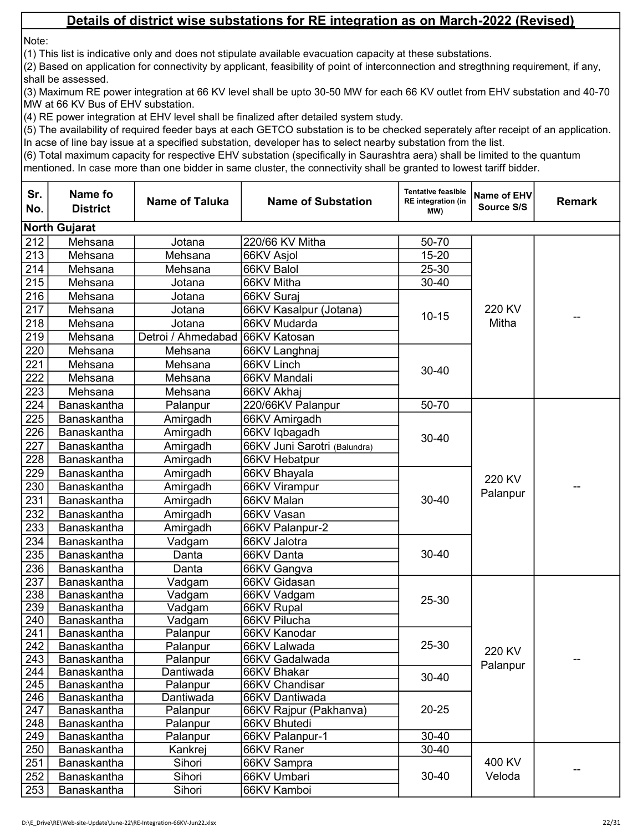Note:

(1) This list is indicative only and does not stipulate available evacuation capacity at these substations.

(2) Based on application for connectivity by applicant, feasibility of point of interconnection and stregthning requirement, if any, shall be assessed.

(3) Maximum RE power integration at 66 KV level shall be upto 30-50 MW for each 66 KV outlet from EHV substation and 40-70 MW at 66 KV Bus of EHV substation.

(4) RE power integration at EHV level shall be finalized after detailed system study.

(5) The availability of required feeder bays at each GETCO substation is to be checked seperately after receipt of an application. In acse of line bay issue at a specified substation, developer has to select nearby substation from the list.

| Sr.<br>No. | Name fo<br><b>District</b> | <b>Name of Taluka</b>           | <b>Name of Substation</b>              | <b>Tentative feasible</b><br><b>RE</b> integration (in<br>MW) | Name of EHV<br>Source S/S | <b>Remark</b> |
|------------|----------------------------|---------------------------------|----------------------------------------|---------------------------------------------------------------|---------------------------|---------------|
|            | <b>North Gujarat</b>       |                                 |                                        |                                                               |                           |               |
| 212        | Mehsana                    | Jotana                          | 220/66 KV Mitha                        | 50-70                                                         |                           |               |
| 213        | Mehsana                    | Mehsana                         | 66KV Asjol                             | $15 - 20$                                                     |                           |               |
| 214        | Mehsana                    | Mehsana                         | 66KV Balol                             | 25-30                                                         |                           |               |
| 215        | Mehsana                    | Jotana                          | 66KV Mitha                             | $30 - 40$                                                     |                           |               |
| 216        | Mehsana                    | Jotana                          | 66KV Suraj                             |                                                               |                           |               |
| 217        | Mehsana                    | Jotana                          | 66KV Kasalpur (Jotana)                 | $10 - 15$                                                     | 220 KV                    |               |
| 218        | Mehsana                    | Jotana                          | 66KV Mudarda                           |                                                               | Mitha                     |               |
| 219        | Mehsana                    | Detroi / Ahmedabad 66KV Katosan |                                        |                                                               |                           |               |
| 220        | Mehsana                    | Mehsana                         | 66KV Langhnaj                          |                                                               |                           |               |
| 221        | Mehsana                    | Mehsana                         | 66KV Linch                             |                                                               |                           |               |
| 222        | Mehsana                    | Mehsana                         | 66KV Mandali                           | 30-40                                                         |                           |               |
| 223        | Mehsana                    | Mehsana                         | 66KV Akhaj                             |                                                               |                           |               |
| 224        | Banaskantha                | Palanpur                        | 220/66KV Palanpur                      | 50-70                                                         |                           |               |
| 225        | Banaskantha                | Amirgadh                        | 66KV Amirgadh                          |                                                               |                           |               |
| 226        | Banaskantha                | Amirgadh                        | 66KV Iqbagadh                          |                                                               |                           |               |
| 227        | Banaskantha                | Amirgadh                        | 66KV Juni Sarotri (Balundra)           | 30-40                                                         |                           |               |
| 228        | Banaskantha                | Amirgadh                        | 66KV Hebatpur                          |                                                               |                           |               |
| 229        | Banaskantha                | Amirgadh                        | 66KV Bhayala                           |                                                               | 220 KV                    |               |
| 230        | Banaskantha                | Amirgadh                        | 66KV Virampur                          |                                                               | Palanpur                  |               |
| 231        | Banaskantha                | Amirgadh                        | 66KV Malan                             | 30-40                                                         |                           |               |
| 232        | Banaskantha                | Amirgadh                        | 66KV Vasan                             |                                                               |                           |               |
| 233        | Banaskantha                | Amirgadh                        | 66KV Palanpur-2                        |                                                               |                           |               |
| 234        | Banaskantha                | Vadgam                          | 66KV Jalotra                           |                                                               |                           |               |
| 235        | Banaskantha                | Danta                           | 66KV Danta                             | 30-40                                                         |                           |               |
| 236        | Banaskantha                | Danta                           | 66KV Gangva                            |                                                               |                           |               |
| 237        | Banaskantha                | Vadgam                          | 66KV Gidasan                           |                                                               |                           |               |
| 238        | Banaskantha                | Vadgam                          | 66KV Vadgam                            | 25-30                                                         |                           |               |
| 239        | Banaskantha                | Vadgam                          | 66KV Rupal                             |                                                               |                           |               |
| 240        | <b>Banaskantha</b>         | Vadgam                          | 66KV Pilucha                           |                                                               |                           |               |
| 241        | Banaskantha                | Palanpur                        | 66KV Kanodar                           |                                                               |                           |               |
| 242        | Banaskantha                | Palanpur                        | 66KV Lalwada                           | 25-30                                                         | 220 KV                    |               |
| 243        | Banaskantha                | Palanpur                        | 66KV Gadalwada                         |                                                               | Palanpur                  |               |
| 244        | Banaskantha                | Dantiwada                       | 66KV Bhakar                            | $30 - 40$                                                     |                           |               |
| 245        | Banaskantha                | Palanpur                        | 66KV Chandisar                         |                                                               |                           |               |
| 246<br>247 | Banaskantha                | Dantiwada                       | 66KV Dantiwada                         | $20 - 25$                                                     |                           |               |
| 248        | Banaskantha<br>Banaskantha | Palanpur<br>Palanpur            | 66KV Rajpur (Pakhanva)<br>66KV Bhutedi |                                                               |                           |               |
| 249        | Banaskantha                | Palanpur                        | 66KV Palanpur-1                        | $30 - 40$                                                     |                           |               |
| 250        | Banaskantha                | Kankrej                         | 66KV Raner                             | $30 - 40$                                                     |                           |               |
| 251        | Banaskantha                | Sihori                          | 66KV Sampra                            |                                                               | 400 KV                    | --            |
| 252        | Banaskantha                | Sihori                          | 66KV Umbari                            | $30 - 40$                                                     | Veloda                    |               |
| 253        | Banaskantha                | Sihori                          | 66KV Kamboi                            |                                                               |                           |               |
|            |                            |                                 |                                        |                                                               |                           |               |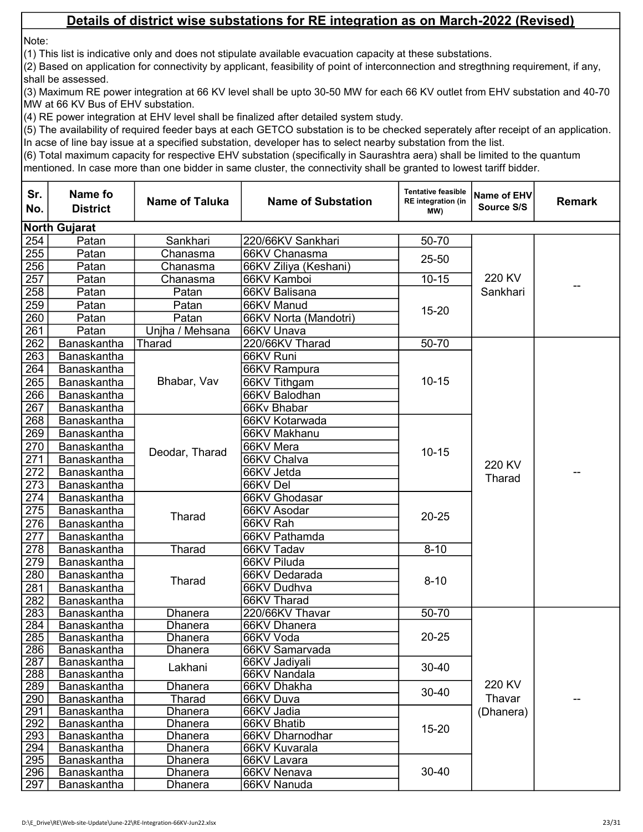Note:

(1) This list is indicative only and does not stipulate available evacuation capacity at these substations.

(2) Based on application for connectivity by applicant, feasibility of point of interconnection and stregthning requirement, if any, shall be assessed.

(3) Maximum RE power integration at 66 KV level shall be upto 30-50 MW for each 66 KV outlet from EHV substation and 40-70 MW at 66 KV Bus of EHV substation.

(4) RE power integration at EHV level shall be finalized after detailed system study.

(5) The availability of required feeder bays at each GETCO substation is to be checked seperately after receipt of an application. In acse of line bay issue at a specified substation, developer has to select nearby substation from the list.

| Sr.<br>No. | Name fo<br><b>District</b>               | <b>Name of Taluka</b> | <b>Name of Substation</b> | <b>Tentative feasible</b><br><b>RE</b> integration (in<br>(MW | Name of EHV<br>Source S/S | <b>Remark</b> |
|------------|------------------------------------------|-----------------------|---------------------------|---------------------------------------------------------------|---------------------------|---------------|
|            | <b>North Gujarat</b>                     |                       |                           |                                                               |                           |               |
| 254        | Patan                                    | Sankhari              | 220/66KV Sankhari         | 50-70                                                         |                           |               |
| 255        | Patan                                    | Chanasma              | 66KV Chanasma             | 25-50                                                         |                           |               |
| 256        | Patan                                    | Chanasma              | 66KV Ziliya (Keshani)     |                                                               |                           |               |
| 257        | Patan                                    | Chanasma              | 66KV Kamboi               | $10 - 15$                                                     | 220 KV                    |               |
| 258        | Patan                                    | Patan                 | 66KV Balisana             |                                                               | Sankhari                  |               |
| 259        | Patan                                    | Patan                 | 66KV Manud                | $15 - 20$                                                     |                           |               |
| 260        | Patan                                    | Patan                 | 66KV Norta (Mandotri)     |                                                               |                           |               |
| 261        | Patan                                    | Unjha / Mehsana       | 66KV Unava                |                                                               |                           |               |
| 262        | Banaskantha                              | Tharad                | 220/66KV Tharad           | 50-70                                                         |                           |               |
| 263        | Banaskantha                              |                       | 66KV Runi                 |                                                               |                           |               |
| 264        | <b>Banaskantha</b>                       |                       | 66KV Rampura              |                                                               |                           |               |
| 265        | Banaskantha                              | Bhabar, Vav           | 66KV Tithgam              | $10 - 15$                                                     |                           |               |
| 266        | Banaskantha                              |                       | 66KV Balodhan             |                                                               |                           |               |
| 267        | Banaskantha                              |                       | 66Kv Bhabar               |                                                               |                           |               |
| 268        | Banaskantha                              |                       | 66KV Kotarwada            |                                                               |                           |               |
| 269        | Banaskantha                              |                       | 66KV Makhanu              |                                                               | 220 KV<br>Tharad          |               |
| 270        | Banaskantha                              | Deodar, Tharad        | 66KV Mera                 | $10 - 15$                                                     |                           |               |
| 271        | Banaskantha                              |                       | 66KV Chalva               |                                                               |                           |               |
| 272        | Banaskantha                              |                       | 66KV Jetda                |                                                               |                           |               |
| 273        | Banaskantha                              |                       | 66KV Del                  |                                                               |                           |               |
| 274        | Banaskantha                              |                       | 66KV Ghodasar             |                                                               |                           |               |
| 275        | Banaskantha                              | Tharad                | 66KV Asodar               | $20 - 25$                                                     |                           |               |
| 276        | Banaskantha                              |                       | 66KV Rah                  |                                                               |                           |               |
| 277        | Banaskantha                              |                       | 66KV Pathamda             |                                                               |                           |               |
| 278        | Banaskantha                              | Tharad                | 66KV Tadav                | $8 - 10$                                                      |                           |               |
| 279        | Banaskantha                              |                       | 66KV Piluda               |                                                               |                           |               |
| 280        | Banaskantha                              | Tharad                | 66KV Dedarada             | $8 - 10$                                                      |                           |               |
| 281        | Banaskantha                              |                       | 66KV Dudhva               |                                                               |                           |               |
| 282        | Banaskantha                              |                       | 66KV Tharad               |                                                               |                           |               |
| 283        | Banaskantha                              | <b>Dhanera</b>        | 220/66KV Thavar           | $50 - 70$                                                     |                           |               |
| 284        | Banaskantha                              | <b>Dhanera</b>        | 66KV Dhanera              |                                                               |                           |               |
| 285        | Banaskantha                              | Dhanera               | 66KV Voda                 | $20 - 25$                                                     |                           |               |
| 286        | Banaskantha                              | Dhanera               | 66KV Samarvada            |                                                               |                           |               |
| 287        | Banaskantha                              | Lakhani               | 66KV Jadiyali             | $30 - 40$                                                     |                           |               |
| 288        | Banaskantha                              |                       | 66KV Nandala              |                                                               | 220 KV                    |               |
| 289        | <b>Banaskantha</b>                       | Dhanera               | 66KV Dhakha               | $30 - 40$                                                     |                           |               |
| 290        | <b>Banaskantha</b><br><b>Banaskantha</b> | Tharad                | 66KV Duva                 |                                                               | Thavar                    |               |
| 291<br>292 | <b>Banaskantha</b>                       | Dhanera<br>Dhanera    | 66KV Jadia<br>66KV Bhatib |                                                               | (Dhanera)                 |               |
| 293        | Banaskantha                              | Dhanera               | 66KV Dharnodhar           | $15 - 20$                                                     |                           |               |
| 294        | Banaskantha                              | Dhanera               | 66KV Kuvarala             |                                                               |                           |               |
| 295        | Banaskantha                              | Dhanera               | 66KV Lavara               |                                                               |                           |               |
| 296        | <b>Banaskantha</b>                       | Dhanera               | 66KV Nenava               | $30 - 40$                                                     |                           |               |
| 297        | <b>Banaskantha</b>                       | <b>Dhanera</b>        | 66KV Nanuda               |                                                               |                           |               |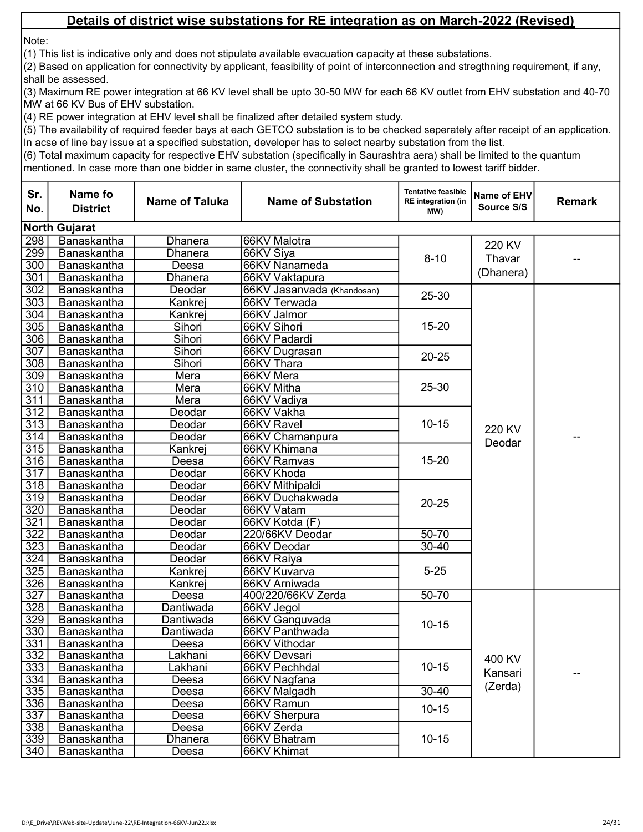Note:

(1) This list is indicative only and does not stipulate available evacuation capacity at these substations.

(2) Based on application for connectivity by applicant, feasibility of point of interconnection and stregthning requirement, if any, shall be assessed.

(3) Maximum RE power integration at 66 KV level shall be upto 30-50 MW for each 66 KV outlet from EHV substation and 40-70 MW at 66 KV Bus of EHV substation.

(4) RE power integration at EHV level shall be finalized after detailed system study.

(5) The availability of required feeder bays at each GETCO substation is to be checked seperately after receipt of an application. In acse of line bay issue at a specified substation, developer has to select nearby substation from the list.

| Sr.<br>No. | Name fo<br><b>District</b> | <b>Name of Taluka</b> | <b>Name of Substation</b>   | <b>Tentative feasible</b><br><b>RE</b> integration (in<br>MW) | Name of EHV<br>Source S/S | <b>Remark</b> |
|------------|----------------------------|-----------------------|-----------------------------|---------------------------------------------------------------|---------------------------|---------------|
|            | <b>North Gujarat</b>       |                       |                             |                                                               |                           |               |
| 298        | Banaskantha                | Dhanera               | 66KV Malotra                |                                                               | 220 KV                    |               |
| 299        | Banaskantha                | Dhanera               | 66KV Siya                   | $8 - 10$                                                      | Thavar                    |               |
| 300        | Banaskantha                | Deesa                 | 66KV Nanameda               |                                                               | (Dhanera)                 |               |
| 301        | Banaskantha                | Dhanera               | 66KV Vaktapura              |                                                               |                           |               |
| 302        | Banaskantha                | Deodar                | 66KV Jasanvada (Khandosan)  | 25-30                                                         |                           |               |
| 303        | Banaskantha                | Kankrej               | 66KV Terwada                |                                                               |                           |               |
| 304        | Banaskantha                | Kankrej               | 66KV Jalmor                 |                                                               |                           |               |
| 305        | Banaskantha                | Sihori                | 66KV Sihori                 | 15-20                                                         |                           |               |
| 306        | Banaskantha                | Sihori                | 66KV Padardi                |                                                               |                           |               |
| 307        | Banaskantha                | Sihori                | 66KV Dugrasan               | $20 - 25$                                                     |                           |               |
| 308        | Banaskantha                | Sihori                | 66KV Thara                  |                                                               |                           |               |
| 309        | Banaskantha                | Mera                  | 66KV Mera                   |                                                               |                           |               |
| 310        | Banaskantha                | Mera                  | 66KV Mitha                  | 25-30                                                         |                           |               |
| 311        | Banaskantha                | Mera                  | 66KV Vadiya                 |                                                               |                           |               |
| 312        | Banaskantha                | Deodar                | 66KV Vakha                  |                                                               |                           |               |
| 313        | Banaskantha                | Deodar                | 66KV Ravel                  | $10 - 15$                                                     | 220 KV                    |               |
| 314        | Banaskantha                | Deodar                | 66KV Chamanpura             |                                                               | Deodar                    |               |
| 315        | Banaskantha                | Kankrej               | 66KV Khimana                |                                                               |                           |               |
| 316        | Banaskantha                | Deesa                 | 66KV Ramvas                 | $15 - 20$                                                     |                           |               |
| 317        | Banaskantha                | Deodar                | 66KV Khoda                  |                                                               |                           |               |
| 318        | Banaskantha                | Deodar                | 66KV Mithipaldi             |                                                               |                           |               |
| 319        | Banaskantha                | Deodar                | 66KV Duchakwada             | $20 - 25$                                                     |                           |               |
| 320        | Banaskantha                | Deodar                | 66KV Vatam                  |                                                               |                           |               |
| 321        | Banaskantha                | Deodar                | 66KV Kotda (F)              |                                                               |                           |               |
| 322        | Banaskantha                | Deodar                | 220/66KV Deodar             | 50-70                                                         |                           |               |
| 323        | Banaskantha                | Deodar                | 66KV Deodar                 | $30 - 40$                                                     |                           |               |
| 324        | Banaskantha                | Deodar                | 66KV Raiya                  |                                                               |                           |               |
| 325        | Banaskantha                | Kankrej               | 66KV Kuvarva                | $5 - 25$                                                      |                           |               |
| 326        | Banaskantha                | Kankrej               | 66KV Arniwada               |                                                               |                           |               |
| 327        | Banaskantha                | Deesa                 | 400/220/66KV Zerda          | $50 - 70$                                                     |                           |               |
| 328        | Banaskantha                | Dantiwada             | 66KV Jegol                  |                                                               |                           |               |
| 329        | Banaskantha                | Dantiwada             | 66KV Ganguvada              | $10 - 15$                                                     |                           |               |
| 330        | <b>Banaskantha</b>         | Dantiwada             | 66KV Panthwada              |                                                               |                           |               |
| 331        | <b>Banaskantha</b>         | Deesa                 | 66KV Vithodar               |                                                               |                           |               |
| 332        | Banaskantha                | Lakhani               | 66KV Devsari                |                                                               | 400 KV                    |               |
| 333        | Banaskantha                | Lakhani               | 66KV Pechhdal               | $10 - 15$                                                     | Kansari                   |               |
| 334        | Banaskantha                | Deesa                 | 66KV Nagfana                |                                                               | (Zerda)                   |               |
| 335        | Banaskantha                | Deesa                 | 66KV Malgadh                | $30 - 40$                                                     |                           |               |
| 336        | Banaskantha                | Deesa                 | 66KV Ramun                  | $10 - 15$                                                     |                           |               |
| 337        | <b>Banaskantha</b>         | Deesa                 | 66KV Sherpura               |                                                               |                           |               |
| 338        | Banaskantha<br>Banaskantha | Deesa                 | 66KV Zerda                  | $10 - 15$                                                     |                           |               |
| 339<br>340 | Banaskantha                | Dhanera               | 66KV Bhatram<br>66KV Khimat |                                                               |                           |               |
|            |                            | Deesa                 |                             |                                                               |                           |               |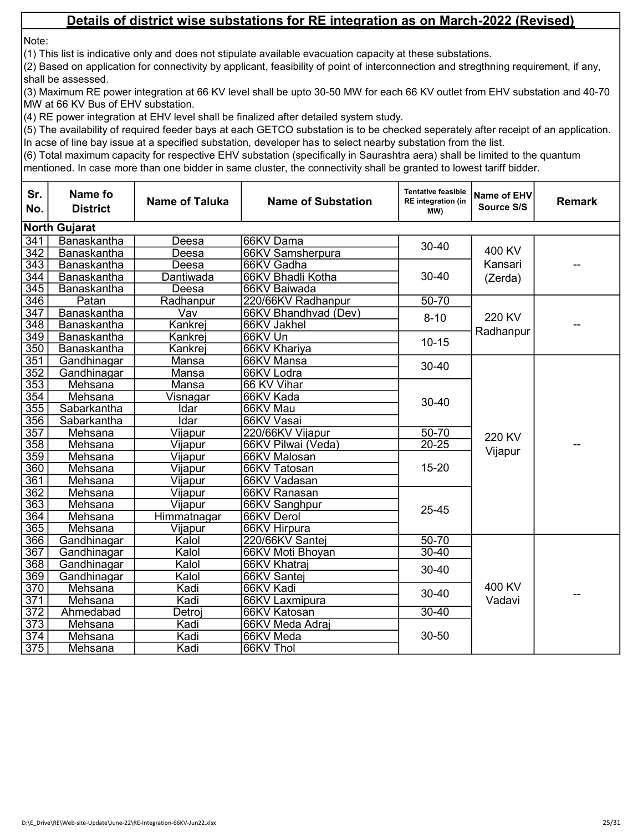Note:

(1) This list is indicative only and does not stipulate available evacuation capacity at these substations.

(2) Based on application for connectivity by applicant, feasibility of point of interconnection and stregthning requirement, if any, shall be assessed.

(3) Maximum RE power integration at 66 KV level shall be upto 30-50 MW for each 66 KV outlet from EHV substation and 40-70 MW at 66 KV Bus of EHV substation.

(4) RE power integration at EHV level shall be finalized after detailed system study.

(5) The availability of required feeder bays at each GETCO substation is to be checked seperately after receipt of an application. In acse of line bay issue at a specified substation, developer has to select nearby substation from the list.

| Sr.<br>No.       | Name fo<br><b>District</b> | <b>Name of Taluka</b> | <b>Name of Substation</b> | <b>Tentative feasible</b><br><b>RE</b> integration (in<br>(MW | Name of EHV<br>Source S/S | <b>Remark</b> |  |  |  |
|------------------|----------------------------|-----------------------|---------------------------|---------------------------------------------------------------|---------------------------|---------------|--|--|--|
|                  | <b>North Gujarat</b>       |                       |                           |                                                               |                           |               |  |  |  |
| $\overline{341}$ | Banaskantha                | Deesa                 | 66KV Dama                 | $30 - 40$                                                     |                           |               |  |  |  |
| 342              | Banaskantha                | Deesa                 | 66KV Samsherpura          |                                                               | 400 KV                    |               |  |  |  |
| 343              | Banaskantha                | Deesa                 | 66KV Gadha                |                                                               | Kansari                   |               |  |  |  |
| 344              | Banaskantha                | Dantiwada             | 66KV Bhadli Kotha         | $30 - 40$                                                     | (Zerda)                   |               |  |  |  |
| 345              | Banaskantha                | Deesa                 | 66KV Baiwada              |                                                               |                           |               |  |  |  |
| 346              | Patan                      | Radhanpur             | 220/66KV Radhanpur        | $50 - 70$                                                     |                           |               |  |  |  |
| $\overline{347}$ | Banaskantha                | Vav                   | 66KV Bhandhvad (Dev)      | $8 - 10$                                                      | 220 KV                    |               |  |  |  |
| 348              | Banaskantha                | Kankrej               | 66KV Jakhel               |                                                               |                           |               |  |  |  |
| 349              | Banaskantha                | Kankrej               | 66KV Un                   | $10 - 15$                                                     | Radhanpur                 |               |  |  |  |
| 350              | Banaskantha                | Kankrej               | 66KV Khariya              |                                                               |                           |               |  |  |  |
| 351              | Gandhinagar                | Mansa                 | 66KV Mansa                | 30-40                                                         |                           |               |  |  |  |
| 352              | Gandhinagar                | Mansa                 | 66KV Lodra                |                                                               |                           |               |  |  |  |
| $\overline{353}$ | Mehsana                    | Mansa                 | 66 KV Vihar               |                                                               |                           |               |  |  |  |
| 354              | Mehsana                    | Visnagar              | 66KV Kada                 | $30 - 40$                                                     |                           |               |  |  |  |
| 355              | Sabarkantha                | Idar                  | 66KV Mau                  |                                                               |                           |               |  |  |  |
| 356              | Sabarkantha                | Idar                  | 66KV Vasai                |                                                               |                           |               |  |  |  |
| 357              | Mehsana                    | Vijapur               | 220/66KV Vijapur          | $50 - 70$                                                     | 220 KV                    |               |  |  |  |
| 358              | Mehsana                    | <u>Vijapur</u>        | 66KV Pilwai (Veda)        | $20 - 25$                                                     |                           |               |  |  |  |
| 359              | Mehsana                    | Vijapur               | 66KV Malosan              |                                                               | Vijapur                   |               |  |  |  |
| 360              | Mehsana                    | Vijapur               | 66KV Tatosan              | $15 - 20$                                                     |                           |               |  |  |  |
| 361              | Mehsana                    | Vijapur               | 66KV Vadasan              |                                                               |                           |               |  |  |  |
| 362              | Mehsana                    | Vijapur               | 66KV Ranasan              |                                                               |                           |               |  |  |  |
| 363              | Mehsana                    | Vijapur               | 66KV Sanghpur             | 25-45                                                         |                           |               |  |  |  |
| 364              | Mehsana                    | Himmatnagar           | 66KV Derol                |                                                               |                           |               |  |  |  |
| 365              | Mehsana                    | Vijapur               | 66KV Hirpura              |                                                               |                           |               |  |  |  |
| 366              | Gandhinagar                | Kalol                 | 220/66KV Santej           | $50 - 70$                                                     |                           |               |  |  |  |
| 367              | Gandhinagar                | Kalol                 | 66KV Moti Bhoyan          | $30 - 40$                                                     |                           |               |  |  |  |
| 368              | Gandhinagar                | Kalol                 | 66KV Khatraj              | $30 - 40$                                                     |                           |               |  |  |  |
| 369              | Gandhinagar                | Kalol                 | 66KV Santej               |                                                               |                           |               |  |  |  |
| 370              | Mehsana                    | Kadi                  | 66KV Kadi                 | $30 - 40$                                                     | 400 KV                    |               |  |  |  |
| 371              | Mehsana                    | Kadi                  | 66KV Laxmipura            |                                                               | Vadavi                    |               |  |  |  |
| 372              | Ahmedabad                  | Detroj                | 66KV Katosan              | $30 - 40$                                                     |                           |               |  |  |  |
| $\overline{373}$ | Mehsana                    | Kadi                  | 66KV Meda Adraj           |                                                               |                           |               |  |  |  |
| 374              | Mehsana                    | Kadi                  | 66KV Meda                 | 30-50                                                         |                           |               |  |  |  |
| 375              | Mehsana                    | Kadi                  | 66KV Thol                 |                                                               |                           |               |  |  |  |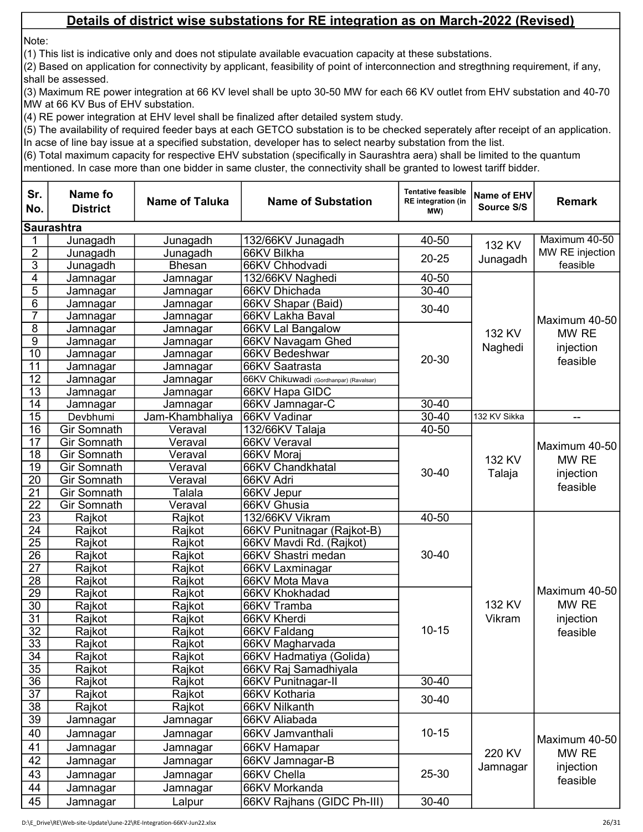Note:

(1) This list is indicative only and does not stipulate available evacuation capacity at these substations.

(2) Based on application for connectivity by applicant, feasibility of point of interconnection and stregthning requirement, if any, shall be assessed.

(3) Maximum RE power integration at 66 KV level shall be upto 30-50 MW for each 66 KV outlet from EHV substation and 40-70 MW at 66 KV Bus of EHV substation.

(4) RE power integration at EHV level shall be finalized after detailed system study.

(5) The availability of required feeder bays at each GETCO substation is to be checked seperately after receipt of an application. In acse of line bay issue at a specified substation, developer has to select nearby substation from the list.

| Sr.<br>No.            | Name fo<br><b>District</b> | <b>Name of Taluka</b> | <b>Name of Substation</b>                     | <b>Tentative feasible</b><br><b>RE</b> integration (in<br>MW) | Name of EHV<br>Source S/S | <b>Remark</b>                                   |
|-----------------------|----------------------------|-----------------------|-----------------------------------------------|---------------------------------------------------------------|---------------------------|-------------------------------------------------|
|                       | <b>Saurashtra</b>          |                       |                                               |                                                               |                           |                                                 |
|                       | Junagadh                   | Junagadh              | 132/66KV Junagadh                             | 40-50                                                         | 132 KV                    | Maximum 40-50                                   |
| $\overline{2}$        | Junagadh                   | Junagadh              | 66KV Bilkha                                   | $20 - 25$                                                     |                           | MW RE injection                                 |
| $\overline{3}$        | Junagadh                   | <b>Bhesan</b>         | 66KV Chhodvadi                                |                                                               | Junagadh                  | feasible                                        |
| 4                     | Jamnagar                   | Jamnagar              | 132/66KV Naghedi                              | 40-50                                                         |                           |                                                 |
| $\overline{5}$        | Jamnagar                   | Jamnagar              | 66KV Dhichada                                 | $30 - 40$                                                     |                           |                                                 |
| $\overline{6}$        | Jamnagar                   | Jamnagar              | 66KV Shapar (Baid)                            | $30 - 40$                                                     |                           |                                                 |
| 7                     | Jamnagar                   | Jamnagar              | 66KV Lakha Baval                              |                                                               |                           | Maximum 40-50                                   |
| $\bf 8$               | Jamnagar                   | Jamnagar              | 66KV Lal Bangalow                             |                                                               | 132 KV                    | MW RE                                           |
| $\overline{9}$        | <b>Jamnagar</b>            | Jamnagar              | 66KV Navagam Ghed                             |                                                               | Naghedi                   | injection                                       |
| $\overline{10}$       | Jamnagar                   | Jamnagar              | 66KV Bedeshwar                                | $20 - 30$                                                     |                           | feasible                                        |
| 11                    | Jamnagar                   | Jamnagar              | 66KV Saatrasta                                |                                                               |                           |                                                 |
| $\overline{12}$       | Jamnagar                   | Jamnagar              | 66KV Chikuwadi (Gordhanpar) (Ravalsar)        |                                                               |                           |                                                 |
| $\overline{13}$       | Jamnagar                   | Jamnagar              | 66KV Hapa GIDC                                |                                                               |                           |                                                 |
| 14                    | Jamnagar                   | Jamnagar              | 66KV Jamnagar-C                               | 30-40                                                         |                           |                                                 |
| $\overline{15}$       | Devbhumi                   | Jam-Khambhaliya       | 66KV Vadinar                                  | $30 - 40$                                                     | 132 KV Sikka              | $\overline{\phantom{a}}$                        |
| $\overline{16}$       | <b>Gir Somnath</b>         | Veraval               | 132/66KV Talaja                               | 40-50                                                         |                           | Maximum 40-50<br>MW RE<br>injection<br>feasible |
| $\overline{17}$       | <b>Gir Somnath</b>         | Veraval               | 66KV Veraval                                  | $30 - 40$                                                     | 132 KV<br>Talaja          |                                                 |
| 18                    | <b>Gir Somnath</b>         | Veraval               | 66KV Moraj                                    |                                                               |                           |                                                 |
| 19                    | <b>Gir Somnath</b>         | Veraval               | 66KV Chandkhatal                              |                                                               |                           |                                                 |
| 20                    | <b>Gir Somnath</b>         | Veraval               | 66KV Adri                                     |                                                               |                           |                                                 |
| $\overline{21}$       | <b>Gir Somnath</b>         | Talala                | 66KV Jepur                                    |                                                               |                           |                                                 |
| $\overline{22}$       | Gir Somnath                | Veraval               | 66KV Ghusia                                   |                                                               |                           |                                                 |
| $\overline{23}$       | Rajkot                     | Rajkot                | 132/66KV Vikram                               | 40-50                                                         |                           |                                                 |
| 24<br>$\overline{25}$ | Rajkot                     | Rajkot                | 66KV Punitnagar (Rajkot-B)                    |                                                               |                           |                                                 |
| $\overline{26}$       | Rajkot                     | Rajkot                | 66KV Mavdi Rd. (Rajkot)<br>66KV Shastri medan | $30 - 40$                                                     |                           |                                                 |
| $\overline{27}$       | Rajkot<br>Rajkot           | Rajkot<br>Rajkot      | 66KV Laxminagar                               |                                                               |                           |                                                 |
| $\overline{28}$       | Rajkot                     | Rajkot                | 66KV Mota Mava                                |                                                               |                           |                                                 |
| $\overline{29}$       | Rajkot                     | Rajkot                | 66KV Khokhadad                                |                                                               |                           | Maximum 40-50                                   |
| $\overline{30}$       | Rajkot                     | Rajkot                | 66KV Tramba                                   |                                                               | 132 KV                    | MW RE                                           |
| $\overline{31}$       | Rajkot                     | Rajkot                | 66KV Kherdi                                   |                                                               | Vikram                    | injection                                       |
| $\overline{32}$       | Rajkot                     | Rajkot                | 66KV Faldang                                  | $10 - 15$                                                     |                           | feasible                                        |
| $\overline{33}$       | Rajkot                     | Rajkot                | 66KV Magharvada                               |                                                               |                           |                                                 |
| 34                    | Rajkot                     | Rajkot                | 66KV Hadmatiya (Golida)                       |                                                               |                           |                                                 |
| $\overline{35}$       | Rajkot                     | Rajkot                | 66KV Raj Samadhiyala                          |                                                               |                           |                                                 |
| $\overline{36}$       | Rajkot                     | Rajkot                | 66KV Punitnagar-II                            | 30-40                                                         |                           |                                                 |
| $\overline{37}$       | Rajkot                     | Rajkot                | 66KV Kotharia                                 |                                                               |                           |                                                 |
| $\overline{38}$       | Rajkot                     | Rajkot                | 66KV Nilkanth                                 | $30 - 40$                                                     |                           |                                                 |
| 39                    | Jamnagar                   | Jamnagar              | 66KV Aliabada                                 |                                                               |                           |                                                 |
| 40                    | Jamnagar                   | Jamnagar              | 66KV Jamvanthali                              | $10 - 15$<br>25-30                                            |                           |                                                 |
| 41                    | Jamnagar                   | Jamnagar              | 66KV Hamapar                                  |                                                               |                           | Maximum 40-50                                   |
| 42                    | Jamnagar                   | Jamnagar              | 66KV Jamnagar-B                               |                                                               | 220 KV                    | MW RE                                           |
| 43                    |                            |                       | 66KV Chella                                   |                                                               | Jamnagar                  | injection                                       |
|                       | Jamnagar                   | Jamnagar              |                                               |                                                               |                           | feasible                                        |
| 44                    | Jamnagar                   | Jamnagar              | 66KV Morkanda                                 |                                                               |                           |                                                 |
| 45                    | Jamnagar                   | Lalpur                | 66KV Rajhans (GIDC Ph-III)                    | 30-40                                                         |                           |                                                 |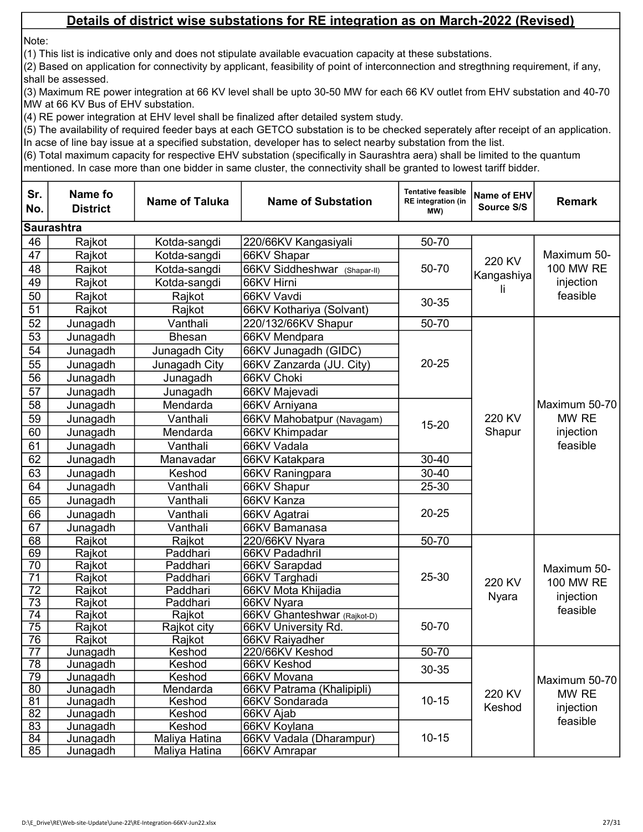Note:

(1) This list is indicative only and does not stipulate available evacuation capacity at these substations.

(2) Based on application for connectivity by applicant, feasibility of point of interconnection and stregthning requirement, if any, shall be assessed.

(3) Maximum RE power integration at 66 KV level shall be upto 30-50 MW for each 66 KV outlet from EHV substation and 40-70 MW at 66 KV Bus of EHV substation.

(4) RE power integration at EHV level shall be finalized after detailed system study.

(5) The availability of required feeder bays at each GETCO substation is to be checked seperately after receipt of an application. In acse of line bay issue at a specified substation, developer has to select nearby substation from the list.

| Sr.<br>No.                         | Name fo<br><b>District</b> | <b>Name of Taluka</b> | <b>Name of Substation</b>    | <b>Tentative feasible</b><br><b>RE</b> integration (in<br>MW) | Name of EHV<br>Source S/S | <b>Remark</b>                                     |  |  |  |
|------------------------------------|----------------------------|-----------------------|------------------------------|---------------------------------------------------------------|---------------------------|---------------------------------------------------|--|--|--|
|                                    | <b>Saurashtra</b>          |                       |                              |                                                               |                           |                                                   |  |  |  |
| 46                                 | Rajkot                     | Kotda-sangdi          | 220/66KV Kangasiyali         | 50-70                                                         |                           | Maximum 50-<br>100 MW RE<br>injection<br>feasible |  |  |  |
| 47                                 | Rajkot                     | Kotda-sangdi          | 66KV Shapar                  |                                                               | 220 KV                    |                                                   |  |  |  |
| 48                                 | Rajkot                     | Kotda-sangdi          | 66KV Siddheshwar (Shapar-II) | 50-70                                                         |                           |                                                   |  |  |  |
| 49                                 | Rajkot                     | Kotda-sangdi          | 66KV Hirni                   |                                                               | Kangashiya                |                                                   |  |  |  |
| 50                                 | Rajkot                     | Rajkot                | 66KV Vavdi                   |                                                               |                           |                                                   |  |  |  |
| 51                                 | Rajkot                     | Rajkot                | 66KV Kothariya (Solvant)     | 30-35                                                         |                           |                                                   |  |  |  |
| 52                                 | Junagadh                   | Vanthali              | 220/132/66KV Shapur          | 50-70                                                         |                           |                                                   |  |  |  |
| 53                                 | Junagadh                   | <b>Bhesan</b>         | 66KV Mendpara                |                                                               |                           |                                                   |  |  |  |
| 54                                 | Junagadh                   | Junagadh City         | 66KV Junagadh (GIDC)         |                                                               |                           |                                                   |  |  |  |
| 55                                 | Junagadh                   | Junagadh City         | 66KV Zanzarda (JU. City)     | $20 - 25$                                                     |                           |                                                   |  |  |  |
| 56                                 | Junagadh                   | Junagadh              | 66KV Choki                   |                                                               |                           | Maximum 50-70<br>MW RE<br>injection<br>feasible   |  |  |  |
| 57                                 | Junagadh                   | Junagadh              | 66KV Majevadi                |                                                               |                           |                                                   |  |  |  |
| 58                                 | Junagadh                   | Mendarda              | 66KV Arniyana                |                                                               |                           |                                                   |  |  |  |
| 59                                 | Junagadh                   | Vanthali              | 66KV Mahobatpur (Navagam)    |                                                               | 220 KV<br>Shapur          |                                                   |  |  |  |
| 60                                 | Junagadh                   | Mendarda              | 66KV Khimpadar               | 15-20                                                         |                           |                                                   |  |  |  |
| 61                                 | Junagadh                   | Vanthali              | 66KV Vadala                  |                                                               |                           |                                                   |  |  |  |
| 62                                 | Junagadh                   | Manavadar             | 66KV Katakpara               | 30-40                                                         |                           |                                                   |  |  |  |
| 63                                 | Junagadh                   | Keshod                | 66KV Raningpara              | $30 - 40$                                                     |                           |                                                   |  |  |  |
| 64                                 | Junagadh                   | Vanthali              | 66KV Shapur                  | 25-30                                                         |                           |                                                   |  |  |  |
| 65                                 | Junagadh                   | Vanthali              | 66KV Kanza                   |                                                               |                           |                                                   |  |  |  |
| 66                                 | Junagadh                   | Vanthali              | 66KV Agatrai                 | $20 - 25$                                                     |                           |                                                   |  |  |  |
| 67                                 | Junagadh                   | Vanthali              | 66KV Bamanasa                |                                                               |                           |                                                   |  |  |  |
| 68                                 | Rajkot                     | Rajkot                | 220/66KV Nyara               | 50-70                                                         |                           |                                                   |  |  |  |
| 69                                 | Rajkot                     | Paddhari              | 66KV Padadhril               |                                                               |                           |                                                   |  |  |  |
| 70                                 | Rajkot                     | Paddhari              | 66KV Sarapdad                |                                                               |                           |                                                   |  |  |  |
| $\overline{71}$                    | Rajkot                     | Paddhari              | 66KV Targhadi                | 25-30                                                         |                           | Maximum 50-                                       |  |  |  |
| $\overline{72}$                    | Rajkot                     | Paddhari              | 66KV Mota Khijadia           |                                                               | 220 KV                    | 100 MW RE                                         |  |  |  |
| $\overline{73}$                    | Rajkot                     | Paddhari              | 66KV Nyara                   |                                                               | <b>Nyara</b>              | injection                                         |  |  |  |
| 74                                 | Rajkot                     | Rajkot                | 66KV Ghanteshwar (Rajkot-D)  |                                                               |                           | feasible                                          |  |  |  |
| $\overline{75}$                    | Rajkot                     | Rajkot city           | 66KV University Rd.          | 50-70                                                         |                           |                                                   |  |  |  |
| 76                                 | Rajkot                     | Rajkot                | 66KV Raiyadher               |                                                               |                           |                                                   |  |  |  |
| $\overline{77}$                    | Junagadh                   | Keshod                | 220/66KV Keshod              | 50-70                                                         |                           |                                                   |  |  |  |
| 78                                 | Junagadh                   | Keshod                | 66KV Keshod                  | 30-35                                                         |                           |                                                   |  |  |  |
| 79                                 | Junagadh                   | Keshod                | 66KV Movana                  | $10 - 15$                                                     |                           | Maximum 50-70                                     |  |  |  |
| 80                                 | Junagadh                   | Mendarda              | 66KV Patrama (Khalipipli)    |                                                               | 220 KV                    | MW RE                                             |  |  |  |
| $\overline{81}$<br>$\overline{82}$ | Junagadh                   | Keshod                | 66KV Sondarada               |                                                               | Keshod                    | injection                                         |  |  |  |
| 83                                 | Junagadh<br>Junagadh       | Keshod<br>Keshod      | 66KV Ajab<br>66KV Koylana    |                                                               |                           | feasible                                          |  |  |  |
| 84                                 | Junagadh                   | Maliya Hatina         | 66KV Vadala (Dharampur)      | $10 - 15$                                                     |                           |                                                   |  |  |  |
| 85                                 | Junagadh                   | Maliya Hatina         | 66KV Amrapar                 |                                                               |                           |                                                   |  |  |  |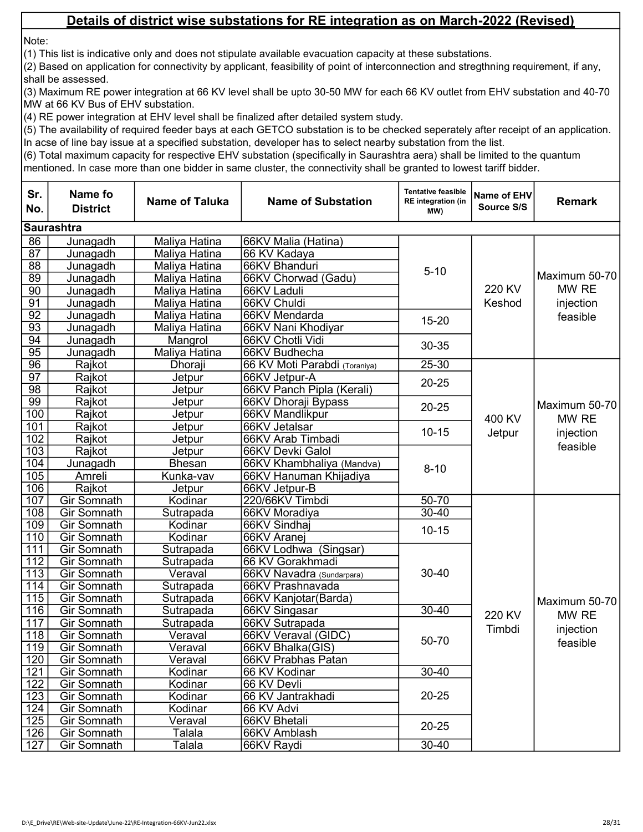Note:

(1) This list is indicative only and does not stipulate available evacuation capacity at these substations.

(2) Based on application for connectivity by applicant, feasibility of point of interconnection and stregthning requirement, if any, shall be assessed.

(3) Maximum RE power integration at 66 KV level shall be upto 30-50 MW for each 66 KV outlet from EHV substation and 40-70 MW at 66 KV Bus of EHV substation.

(4) RE power integration at EHV level shall be finalized after detailed system study.

(5) The availability of required feeder bays at each GETCO substation is to be checked seperately after receipt of an application. In acse of line bay issue at a specified substation, developer has to select nearby substation from the list.

| Sr.<br>No.       | <b>Name fo</b><br><b>District</b> | <b>Name of Taluka</b> | <b>Name of Substation</b>     | <b>Tentative feasible</b><br><b>RE</b> integration (in<br>MW) | Name of EHV<br>Source S/S | <b>Remark</b>                                   |  |  |  |
|------------------|-----------------------------------|-----------------------|-------------------------------|---------------------------------------------------------------|---------------------------|-------------------------------------------------|--|--|--|
|                  | <b>Saurashtra</b>                 |                       |                               |                                                               |                           |                                                 |  |  |  |
| 86               | Junagadh                          | Maliya Hatina         | 66KV Malia (Hatina)           |                                                               |                           | Maximum 50-70<br>MW RE                          |  |  |  |
| $\overline{87}$  | Junagadh                          | Maliya Hatina         | 66 KV Kadaya                  |                                                               |                           |                                                 |  |  |  |
| 88               | Junagadh                          | Maliya Hatina         | 66KV Bhanduri                 | $5 - 10$                                                      |                           |                                                 |  |  |  |
| 89               | Junagadh                          | Maliya Hatina         | 66KV Chorwad (Gadu)           |                                                               |                           |                                                 |  |  |  |
| $\overline{90}$  | Junagadh                          | Maliya Hatina         | 66KV Laduli                   |                                                               | 220 KV                    |                                                 |  |  |  |
| 91               | Junagadh                          | Maliya Hatina         | 66KV Chuldi                   |                                                               | Keshod                    | injection                                       |  |  |  |
| $\overline{92}$  | Junagadh                          | Maliya Hatina         | 66KV Mendarda                 | 15-20                                                         |                           | feasible                                        |  |  |  |
| $\overline{93}$  | Junagadh                          | Maliya Hatina         | 66KV Nani Khodiyar            |                                                               |                           |                                                 |  |  |  |
| 94               | Junagadh                          | Mangrol               | 66KV Chotli Vidi              | 30-35                                                         |                           |                                                 |  |  |  |
| $\overline{95}$  | Junagadh                          | Maliya Hatina         | 66KV Budhecha                 |                                                               |                           |                                                 |  |  |  |
| 96               | Rajkot                            | Dhoraji               | 66 KV Moti Parabdi (Toraniya) | $25 - 30$                                                     |                           |                                                 |  |  |  |
| $\overline{97}$  | Rajkot                            | Jetpur                | 66KV Jetpur-A                 | $20 - 25$                                                     |                           | Maximum 50-70<br>MW RE<br>injection<br>feasible |  |  |  |
| $\overline{98}$  | Rajkot                            | Jetpur                | 66KV Panch Pipla (Kerali)     |                                                               |                           |                                                 |  |  |  |
| 99               | Rajkot                            | Jetpur                | 66KV Dhoraji Bypass           | $20 - 25$                                                     |                           |                                                 |  |  |  |
| 100              | Rajkot                            | Jetpur                | 66KV Mandlikpur               |                                                               | 400 KV                    |                                                 |  |  |  |
| 101              | Rajkot                            | Jetpur                | 66KV Jetalsar                 | $10 - 15$                                                     | Jetpur                    |                                                 |  |  |  |
| 102              | Rajkot                            | Jetpur                | 66KV Arab Timbadi             |                                                               |                           |                                                 |  |  |  |
| 103              | Rajkot                            | Jetpur                | 66KV Devki Galol              |                                                               |                           |                                                 |  |  |  |
| 104              | Junagadh                          | <b>Bhesan</b>         | 66KV Khambhaliya (Mandva)     | $8 - 10$                                                      |                           |                                                 |  |  |  |
| $\overline{105}$ | Amreli                            | Kunka-vav             | 66KV Hanuman Khijadiya        |                                                               |                           |                                                 |  |  |  |
| 106              | Rajkot                            | Jetpur                | 66KV Jetpur-B                 |                                                               |                           |                                                 |  |  |  |
| 107              | Gir Somnath                       | Kodinar               | 220/66KV Timbdi               | 50-70                                                         |                           |                                                 |  |  |  |
| 108              | Gir Somnath                       | Sutrapada             | 66KV Moradiya                 | $30 - 40$                                                     |                           |                                                 |  |  |  |
| 109              | Gir Somnath                       | Kodinar               | 66KV Sindhaj                  | $10 - 15$                                                     |                           |                                                 |  |  |  |
| 110              | Gir Somnath                       | Kodinar               | 66KV Aranej                   |                                                               |                           |                                                 |  |  |  |
| 111              | Gir Somnath                       | Sutrapada             | 66KV Lodhwa (Singsar)         |                                                               |                           |                                                 |  |  |  |
| $\overline{112}$ | Gir Somnath                       | Sutrapada             | 66 KV Gorakhmadi              |                                                               |                           |                                                 |  |  |  |
| $\overline{113}$ | <b>Gir Somnath</b>                | Veraval               | 66KV Navadra (Sundarpara)     | $30 - 40$                                                     |                           |                                                 |  |  |  |
| 114              | Gir Somnath                       | Sutrapada             | 66KV Prashnavada              |                                                               |                           |                                                 |  |  |  |
| 115              | Gir Somnath                       | Sutrapada             | 66KV Kanjotar(Barda)          |                                                               |                           | Maximum 50-70                                   |  |  |  |
| 116              | <b>Gir Somnath</b>                | Sutrapada             | 66KV Singasar                 | $30 - 40$                                                     | 220 KV                    | MW RE                                           |  |  |  |
| 117              | Gir Somnath                       | Sutrapada             | 66KV Sutrapada                |                                                               | Timbdi                    | injection                                       |  |  |  |
| 118              | <b>Gir Somnath</b>                | Veraval               | 66KV Veraval (GIDC)           | 50-70                                                         |                           | feasible                                        |  |  |  |
| 119              | <b>Gir Somnath</b>                | Veraval               | 66KV Bhalka(GIS)              |                                                               |                           |                                                 |  |  |  |
| 120              | <b>Gir Somnath</b>                | Veraval               | 66KV Prabhas Patan            |                                                               |                           |                                                 |  |  |  |
| 121              | <b>Gir Somnath</b>                | Kodinar               | 66 KV Kodinar                 | 30-40                                                         |                           |                                                 |  |  |  |
| 122              | <b>Gir Somnath</b>                | Kodinar               | 66 KV Devli                   | $20 - 25$                                                     |                           |                                                 |  |  |  |
| 123              | <b>Gir Somnath</b>                | Kodinar               | 66 KV Jantrakhadi             |                                                               |                           |                                                 |  |  |  |
| 124              | <b>Gir Somnath</b>                | Kodinar               | 66 KV Advi                    |                                                               |                           |                                                 |  |  |  |
| 125              | <b>Gir Somnath</b>                | Veraval               | 66KV Bhetali                  | $20 - 25$                                                     |                           |                                                 |  |  |  |
| 126              | <b>Gir Somnath</b>                | Talala                | 66KV Amblash                  |                                                               |                           |                                                 |  |  |  |
| 127              | Gir Somnath                       | Talala                | 66KV Raydi                    | $30 - 40$                                                     |                           |                                                 |  |  |  |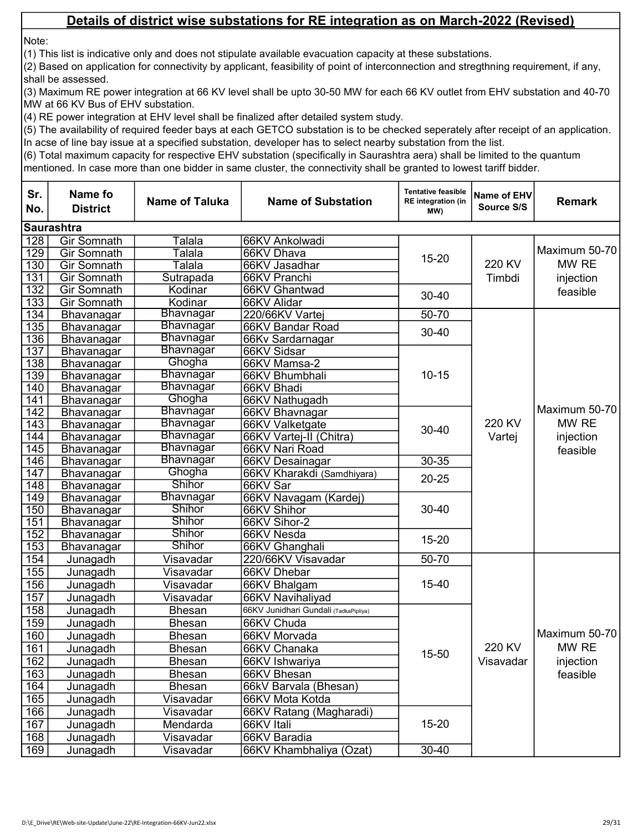Note:

(1) This list is indicative only and does not stipulate available evacuation capacity at these substations.

(2) Based on application for connectivity by applicant, feasibility of point of interconnection and stregthning requirement, if any, shall be assessed.

(3) Maximum RE power integration at 66 KV level shall be upto 30-50 MW for each 66 KV outlet from EHV substation and 40-70 MW at 66 KV Bus of EHV substation.

(4) RE power integration at EHV level shall be finalized after detailed system study.

(5) The availability of required feeder bays at each GETCO substation is to be checked seperately after receipt of an application. In acse of line bay issue at a specified substation, developer has to select nearby substation from the list.

| <b>Saurashtra</b><br>128<br>Gir Somnath<br>Talala<br>66KV Ankolwadi<br>$\overline{129}$<br>Gir Somnath<br>Talala<br>66KV Dhava<br>15-20<br>220 KV<br>MW RE<br>130<br>Gir Somnath<br>Talala<br>66KV Jasadhar<br>131<br><b>Gir Somnath</b><br>66KV Pranchi<br>Sutrapada<br>Timbdi<br>injection<br>132<br>Gir Somnath<br>66KV Ghantwad<br>Kodinar<br>feasible<br>$30 - 40$<br>133<br><b>Gir Somnath</b><br>Kodinar<br>66KV Alidar<br>Bhavnagar<br>134<br>220/66KV Vartej<br>50-70<br>Bhavanagar<br>135<br><b>Bhavnagar</b><br>66KV Bandar Road<br>Bhavanagar<br>$30 - 40$<br>136<br><b>Bhavnagar</b><br>Bhavanagar<br>66Kv Sardarnagar<br>137<br><b>Bhavnagar</b><br>66KV Sidsar<br>Bhavanagar<br>Ghogha<br>138<br>66KV Mamsa-2<br>Bhavanagar<br>139<br><b>Bhavnagar</b><br>$10 - 15$<br>66KV Bhumbhali<br>Bhavanagar<br><b>Bhavnagar</b><br>140<br>66KV Bhadi<br>Bhavanagar<br>Ghogha<br>141<br>66KV Nathugadh<br>Bhavanagar<br>$\overline{142}$<br>Bhavnagar<br>66KV Bhavnagar<br>Bhavanagar<br>220 KV<br>MW RE<br>$\overline{143}$<br><b>Bhavnagar</b><br>66KV Valketgate<br>Bhavanagar<br>$30 - 40$<br><b>Bhavnagar</b><br>144<br>Vartej<br>66KV Vartej-II (Chitra)<br>injection<br>Bhavanagar<br>$\overline{145}$<br><b>Bhavnagar</b><br>66KV Nari Road<br>Bhavanagar<br>feasible<br>146<br>Bhavnagar<br>$30 - 35$<br>66KV Desainagar<br>Bhavanagar<br>$\overline{147}$<br>Ghogha<br>66KV Kharakdi (Samdhiyara)<br>Bhavanagar<br>$20 - 25$<br><b>Shihor</b><br>148<br>66KV Sar<br>Bhavanagar<br><b>Bhavnagar</b><br>149<br>66KV Navagam (Kardej)<br>Bhavanagar<br>Shihor<br>150<br>66KV Shihor<br>$30 - 40$<br>Bhavanagar<br><b>Shihor</b><br>151<br>66KV Sihor-2<br>Bhavanagar<br><b>Shihor</b><br>152<br>66KV Nesda<br>Bhavanagar<br>15-20<br><b>Shihor</b><br>153<br>Bhavanagar<br>66KV Ghanghali<br>154<br>50-70<br>Junagadh<br>Visavadar<br>220/66KV Visavadar<br>155<br>Visavadar<br>Junagadh<br>66KV Dhebar<br>156<br>Visavadar<br>15-40<br>Junagadh<br>66KV Bhalgam<br>157<br>Visavadar<br>66KV Navihaliyad<br>Junagadh<br>158<br>Junagadh<br><b>Bhesan</b><br>66KV Junidhari Gundali (TadkaPipliya)<br>159<br>66KV Chuda<br>Junagadh<br><b>Bhesan</b><br>Maximum 50-70<br>160<br>Junagadh<br><b>Bhesan</b><br>66KV Morvada<br>220 KV<br>MW RE<br>$161$<br>Junagadh<br><b>Bhesan</b><br>66KV Chanaka<br>15-50<br>162<br>Visavadar<br>injection<br>66KV Ishwariya<br>Junagadh<br><b>Bhesan</b><br>163<br>66KV Bhesan<br>Junagadh<br>feasible<br><b>Bhesan</b><br>164<br>66kV Barvala (Bhesan)<br>Junagadh<br><b>Bhesan</b><br>165<br>Junagadh<br>Visavadar<br>66KV Mota Kotda<br>166<br>Junagadh<br>66KV Ratang (Magharadi)<br>Visavadar<br>167<br>15-20<br>Junagadh<br>Mendarda<br>66KV Itali<br>168<br>66KV Baradia<br>Junagadh<br>Visavadar | Sr.<br>No. | <b>Name fo</b><br><b>District</b> | <b>Name of Taluka</b> | <b>Name of Substation</b> | <b>Tentative feasible</b><br><b>RE</b> integration (in<br>MW) | Name of EHV<br>Source S/S | <b>Remark</b> |  |  |  |
|---------------------------------------------------------------------------------------------------------------------------------------------------------------------------------------------------------------------------------------------------------------------------------------------------------------------------------------------------------------------------------------------------------------------------------------------------------------------------------------------------------------------------------------------------------------------------------------------------------------------------------------------------------------------------------------------------------------------------------------------------------------------------------------------------------------------------------------------------------------------------------------------------------------------------------------------------------------------------------------------------------------------------------------------------------------------------------------------------------------------------------------------------------------------------------------------------------------------------------------------------------------------------------------------------------------------------------------------------------------------------------------------------------------------------------------------------------------------------------------------------------------------------------------------------------------------------------------------------------------------------------------------------------------------------------------------------------------------------------------------------------------------------------------------------------------------------------------------------------------------------------------------------------------------------------------------------------------------------------------------------------------------------------------------------------------------------------------------------------------------------------------------------------------------------------------------------------------------------------------------------------------------------------------------------------------------------------------------------------------------------------------------------------------------------------------------------------------------------------------------------------------------------------------------------------------------------------------------------------------------------------------------------------------------------------------------------------------------------------------------------------|------------|-----------------------------------|-----------------------|---------------------------|---------------------------------------------------------------|---------------------------|---------------|--|--|--|
|                                                                                                                                                                                                                                                                                                                                                                                                                                                                                                                                                                                                                                                                                                                                                                                                                                                                                                                                                                                                                                                                                                                                                                                                                                                                                                                                                                                                                                                                                                                                                                                                                                                                                                                                                                                                                                                                                                                                                                                                                                                                                                                                                                                                                                                                                                                                                                                                                                                                                                                                                                                                                                                                                                                                                         |            |                                   |                       |                           |                                                               |                           |               |  |  |  |
|                                                                                                                                                                                                                                                                                                                                                                                                                                                                                                                                                                                                                                                                                                                                                                                                                                                                                                                                                                                                                                                                                                                                                                                                                                                                                                                                                                                                                                                                                                                                                                                                                                                                                                                                                                                                                                                                                                                                                                                                                                                                                                                                                                                                                                                                                                                                                                                                                                                                                                                                                                                                                                                                                                                                                         |            |                                   |                       |                           |                                                               |                           | Maximum 50-70 |  |  |  |
|                                                                                                                                                                                                                                                                                                                                                                                                                                                                                                                                                                                                                                                                                                                                                                                                                                                                                                                                                                                                                                                                                                                                                                                                                                                                                                                                                                                                                                                                                                                                                                                                                                                                                                                                                                                                                                                                                                                                                                                                                                                                                                                                                                                                                                                                                                                                                                                                                                                                                                                                                                                                                                                                                                                                                         |            |                                   |                       |                           |                                                               |                           |               |  |  |  |
|                                                                                                                                                                                                                                                                                                                                                                                                                                                                                                                                                                                                                                                                                                                                                                                                                                                                                                                                                                                                                                                                                                                                                                                                                                                                                                                                                                                                                                                                                                                                                                                                                                                                                                                                                                                                                                                                                                                                                                                                                                                                                                                                                                                                                                                                                                                                                                                                                                                                                                                                                                                                                                                                                                                                                         |            |                                   |                       |                           |                                                               |                           |               |  |  |  |
|                                                                                                                                                                                                                                                                                                                                                                                                                                                                                                                                                                                                                                                                                                                                                                                                                                                                                                                                                                                                                                                                                                                                                                                                                                                                                                                                                                                                                                                                                                                                                                                                                                                                                                                                                                                                                                                                                                                                                                                                                                                                                                                                                                                                                                                                                                                                                                                                                                                                                                                                                                                                                                                                                                                                                         |            |                                   |                       |                           |                                                               |                           |               |  |  |  |
|                                                                                                                                                                                                                                                                                                                                                                                                                                                                                                                                                                                                                                                                                                                                                                                                                                                                                                                                                                                                                                                                                                                                                                                                                                                                                                                                                                                                                                                                                                                                                                                                                                                                                                                                                                                                                                                                                                                                                                                                                                                                                                                                                                                                                                                                                                                                                                                                                                                                                                                                                                                                                                                                                                                                                         |            |                                   |                       |                           |                                                               |                           |               |  |  |  |
|                                                                                                                                                                                                                                                                                                                                                                                                                                                                                                                                                                                                                                                                                                                                                                                                                                                                                                                                                                                                                                                                                                                                                                                                                                                                                                                                                                                                                                                                                                                                                                                                                                                                                                                                                                                                                                                                                                                                                                                                                                                                                                                                                                                                                                                                                                                                                                                                                                                                                                                                                                                                                                                                                                                                                         |            |                                   |                       |                           |                                                               |                           |               |  |  |  |
|                                                                                                                                                                                                                                                                                                                                                                                                                                                                                                                                                                                                                                                                                                                                                                                                                                                                                                                                                                                                                                                                                                                                                                                                                                                                                                                                                                                                                                                                                                                                                                                                                                                                                                                                                                                                                                                                                                                                                                                                                                                                                                                                                                                                                                                                                                                                                                                                                                                                                                                                                                                                                                                                                                                                                         |            |                                   |                       |                           |                                                               |                           |               |  |  |  |
|                                                                                                                                                                                                                                                                                                                                                                                                                                                                                                                                                                                                                                                                                                                                                                                                                                                                                                                                                                                                                                                                                                                                                                                                                                                                                                                                                                                                                                                                                                                                                                                                                                                                                                                                                                                                                                                                                                                                                                                                                                                                                                                                                                                                                                                                                                                                                                                                                                                                                                                                                                                                                                                                                                                                                         |            |                                   |                       |                           |                                                               |                           |               |  |  |  |
|                                                                                                                                                                                                                                                                                                                                                                                                                                                                                                                                                                                                                                                                                                                                                                                                                                                                                                                                                                                                                                                                                                                                                                                                                                                                                                                                                                                                                                                                                                                                                                                                                                                                                                                                                                                                                                                                                                                                                                                                                                                                                                                                                                                                                                                                                                                                                                                                                                                                                                                                                                                                                                                                                                                                                         |            |                                   |                       |                           |                                                               |                           |               |  |  |  |
|                                                                                                                                                                                                                                                                                                                                                                                                                                                                                                                                                                                                                                                                                                                                                                                                                                                                                                                                                                                                                                                                                                                                                                                                                                                                                                                                                                                                                                                                                                                                                                                                                                                                                                                                                                                                                                                                                                                                                                                                                                                                                                                                                                                                                                                                                                                                                                                                                                                                                                                                                                                                                                                                                                                                                         |            |                                   |                       |                           |                                                               |                           |               |  |  |  |
|                                                                                                                                                                                                                                                                                                                                                                                                                                                                                                                                                                                                                                                                                                                                                                                                                                                                                                                                                                                                                                                                                                                                                                                                                                                                                                                                                                                                                                                                                                                                                                                                                                                                                                                                                                                                                                                                                                                                                                                                                                                                                                                                                                                                                                                                                                                                                                                                                                                                                                                                                                                                                                                                                                                                                         |            |                                   |                       |                           |                                                               |                           |               |  |  |  |
|                                                                                                                                                                                                                                                                                                                                                                                                                                                                                                                                                                                                                                                                                                                                                                                                                                                                                                                                                                                                                                                                                                                                                                                                                                                                                                                                                                                                                                                                                                                                                                                                                                                                                                                                                                                                                                                                                                                                                                                                                                                                                                                                                                                                                                                                                                                                                                                                                                                                                                                                                                                                                                                                                                                                                         |            |                                   |                       |                           |                                                               |                           | Maximum 50-70 |  |  |  |
|                                                                                                                                                                                                                                                                                                                                                                                                                                                                                                                                                                                                                                                                                                                                                                                                                                                                                                                                                                                                                                                                                                                                                                                                                                                                                                                                                                                                                                                                                                                                                                                                                                                                                                                                                                                                                                                                                                                                                                                                                                                                                                                                                                                                                                                                                                                                                                                                                                                                                                                                                                                                                                                                                                                                                         |            |                                   |                       |                           |                                                               |                           |               |  |  |  |
|                                                                                                                                                                                                                                                                                                                                                                                                                                                                                                                                                                                                                                                                                                                                                                                                                                                                                                                                                                                                                                                                                                                                                                                                                                                                                                                                                                                                                                                                                                                                                                                                                                                                                                                                                                                                                                                                                                                                                                                                                                                                                                                                                                                                                                                                                                                                                                                                                                                                                                                                                                                                                                                                                                                                                         |            |                                   |                       |                           |                                                               |                           |               |  |  |  |
|                                                                                                                                                                                                                                                                                                                                                                                                                                                                                                                                                                                                                                                                                                                                                                                                                                                                                                                                                                                                                                                                                                                                                                                                                                                                                                                                                                                                                                                                                                                                                                                                                                                                                                                                                                                                                                                                                                                                                                                                                                                                                                                                                                                                                                                                                                                                                                                                                                                                                                                                                                                                                                                                                                                                                         |            |                                   |                       |                           |                                                               |                           |               |  |  |  |
|                                                                                                                                                                                                                                                                                                                                                                                                                                                                                                                                                                                                                                                                                                                                                                                                                                                                                                                                                                                                                                                                                                                                                                                                                                                                                                                                                                                                                                                                                                                                                                                                                                                                                                                                                                                                                                                                                                                                                                                                                                                                                                                                                                                                                                                                                                                                                                                                                                                                                                                                                                                                                                                                                                                                                         |            |                                   |                       |                           |                                                               |                           |               |  |  |  |
|                                                                                                                                                                                                                                                                                                                                                                                                                                                                                                                                                                                                                                                                                                                                                                                                                                                                                                                                                                                                                                                                                                                                                                                                                                                                                                                                                                                                                                                                                                                                                                                                                                                                                                                                                                                                                                                                                                                                                                                                                                                                                                                                                                                                                                                                                                                                                                                                                                                                                                                                                                                                                                                                                                                                                         |            |                                   |                       |                           |                                                               |                           |               |  |  |  |
|                                                                                                                                                                                                                                                                                                                                                                                                                                                                                                                                                                                                                                                                                                                                                                                                                                                                                                                                                                                                                                                                                                                                                                                                                                                                                                                                                                                                                                                                                                                                                                                                                                                                                                                                                                                                                                                                                                                                                                                                                                                                                                                                                                                                                                                                                                                                                                                                                                                                                                                                                                                                                                                                                                                                                         |            |                                   |                       |                           |                                                               |                           |               |  |  |  |
|                                                                                                                                                                                                                                                                                                                                                                                                                                                                                                                                                                                                                                                                                                                                                                                                                                                                                                                                                                                                                                                                                                                                                                                                                                                                                                                                                                                                                                                                                                                                                                                                                                                                                                                                                                                                                                                                                                                                                                                                                                                                                                                                                                                                                                                                                                                                                                                                                                                                                                                                                                                                                                                                                                                                                         |            |                                   |                       |                           |                                                               |                           |               |  |  |  |
|                                                                                                                                                                                                                                                                                                                                                                                                                                                                                                                                                                                                                                                                                                                                                                                                                                                                                                                                                                                                                                                                                                                                                                                                                                                                                                                                                                                                                                                                                                                                                                                                                                                                                                                                                                                                                                                                                                                                                                                                                                                                                                                                                                                                                                                                                                                                                                                                                                                                                                                                                                                                                                                                                                                                                         |            |                                   |                       |                           |                                                               |                           |               |  |  |  |
|                                                                                                                                                                                                                                                                                                                                                                                                                                                                                                                                                                                                                                                                                                                                                                                                                                                                                                                                                                                                                                                                                                                                                                                                                                                                                                                                                                                                                                                                                                                                                                                                                                                                                                                                                                                                                                                                                                                                                                                                                                                                                                                                                                                                                                                                                                                                                                                                                                                                                                                                                                                                                                                                                                                                                         |            |                                   |                       |                           |                                                               |                           |               |  |  |  |
|                                                                                                                                                                                                                                                                                                                                                                                                                                                                                                                                                                                                                                                                                                                                                                                                                                                                                                                                                                                                                                                                                                                                                                                                                                                                                                                                                                                                                                                                                                                                                                                                                                                                                                                                                                                                                                                                                                                                                                                                                                                                                                                                                                                                                                                                                                                                                                                                                                                                                                                                                                                                                                                                                                                                                         |            |                                   |                       |                           |                                                               |                           |               |  |  |  |
|                                                                                                                                                                                                                                                                                                                                                                                                                                                                                                                                                                                                                                                                                                                                                                                                                                                                                                                                                                                                                                                                                                                                                                                                                                                                                                                                                                                                                                                                                                                                                                                                                                                                                                                                                                                                                                                                                                                                                                                                                                                                                                                                                                                                                                                                                                                                                                                                                                                                                                                                                                                                                                                                                                                                                         |            |                                   |                       |                           |                                                               |                           |               |  |  |  |
|                                                                                                                                                                                                                                                                                                                                                                                                                                                                                                                                                                                                                                                                                                                                                                                                                                                                                                                                                                                                                                                                                                                                                                                                                                                                                                                                                                                                                                                                                                                                                                                                                                                                                                                                                                                                                                                                                                                                                                                                                                                                                                                                                                                                                                                                                                                                                                                                                                                                                                                                                                                                                                                                                                                                                         |            |                                   |                       |                           |                                                               |                           |               |  |  |  |
|                                                                                                                                                                                                                                                                                                                                                                                                                                                                                                                                                                                                                                                                                                                                                                                                                                                                                                                                                                                                                                                                                                                                                                                                                                                                                                                                                                                                                                                                                                                                                                                                                                                                                                                                                                                                                                                                                                                                                                                                                                                                                                                                                                                                                                                                                                                                                                                                                                                                                                                                                                                                                                                                                                                                                         |            |                                   |                       |                           |                                                               |                           |               |  |  |  |
|                                                                                                                                                                                                                                                                                                                                                                                                                                                                                                                                                                                                                                                                                                                                                                                                                                                                                                                                                                                                                                                                                                                                                                                                                                                                                                                                                                                                                                                                                                                                                                                                                                                                                                                                                                                                                                                                                                                                                                                                                                                                                                                                                                                                                                                                                                                                                                                                                                                                                                                                                                                                                                                                                                                                                         |            |                                   |                       |                           |                                                               |                           |               |  |  |  |
|                                                                                                                                                                                                                                                                                                                                                                                                                                                                                                                                                                                                                                                                                                                                                                                                                                                                                                                                                                                                                                                                                                                                                                                                                                                                                                                                                                                                                                                                                                                                                                                                                                                                                                                                                                                                                                                                                                                                                                                                                                                                                                                                                                                                                                                                                                                                                                                                                                                                                                                                                                                                                                                                                                                                                         |            |                                   |                       |                           |                                                               |                           |               |  |  |  |
|                                                                                                                                                                                                                                                                                                                                                                                                                                                                                                                                                                                                                                                                                                                                                                                                                                                                                                                                                                                                                                                                                                                                                                                                                                                                                                                                                                                                                                                                                                                                                                                                                                                                                                                                                                                                                                                                                                                                                                                                                                                                                                                                                                                                                                                                                                                                                                                                                                                                                                                                                                                                                                                                                                                                                         |            |                                   |                       |                           |                                                               |                           |               |  |  |  |
|                                                                                                                                                                                                                                                                                                                                                                                                                                                                                                                                                                                                                                                                                                                                                                                                                                                                                                                                                                                                                                                                                                                                                                                                                                                                                                                                                                                                                                                                                                                                                                                                                                                                                                                                                                                                                                                                                                                                                                                                                                                                                                                                                                                                                                                                                                                                                                                                                                                                                                                                                                                                                                                                                                                                                         |            |                                   |                       |                           |                                                               |                           |               |  |  |  |
|                                                                                                                                                                                                                                                                                                                                                                                                                                                                                                                                                                                                                                                                                                                                                                                                                                                                                                                                                                                                                                                                                                                                                                                                                                                                                                                                                                                                                                                                                                                                                                                                                                                                                                                                                                                                                                                                                                                                                                                                                                                                                                                                                                                                                                                                                                                                                                                                                                                                                                                                                                                                                                                                                                                                                         |            |                                   |                       |                           |                                                               |                           |               |  |  |  |
|                                                                                                                                                                                                                                                                                                                                                                                                                                                                                                                                                                                                                                                                                                                                                                                                                                                                                                                                                                                                                                                                                                                                                                                                                                                                                                                                                                                                                                                                                                                                                                                                                                                                                                                                                                                                                                                                                                                                                                                                                                                                                                                                                                                                                                                                                                                                                                                                                                                                                                                                                                                                                                                                                                                                                         |            |                                   |                       |                           |                                                               |                           |               |  |  |  |
|                                                                                                                                                                                                                                                                                                                                                                                                                                                                                                                                                                                                                                                                                                                                                                                                                                                                                                                                                                                                                                                                                                                                                                                                                                                                                                                                                                                                                                                                                                                                                                                                                                                                                                                                                                                                                                                                                                                                                                                                                                                                                                                                                                                                                                                                                                                                                                                                                                                                                                                                                                                                                                                                                                                                                         |            |                                   |                       |                           |                                                               |                           |               |  |  |  |
|                                                                                                                                                                                                                                                                                                                                                                                                                                                                                                                                                                                                                                                                                                                                                                                                                                                                                                                                                                                                                                                                                                                                                                                                                                                                                                                                                                                                                                                                                                                                                                                                                                                                                                                                                                                                                                                                                                                                                                                                                                                                                                                                                                                                                                                                                                                                                                                                                                                                                                                                                                                                                                                                                                                                                         |            |                                   |                       |                           |                                                               |                           |               |  |  |  |
|                                                                                                                                                                                                                                                                                                                                                                                                                                                                                                                                                                                                                                                                                                                                                                                                                                                                                                                                                                                                                                                                                                                                                                                                                                                                                                                                                                                                                                                                                                                                                                                                                                                                                                                                                                                                                                                                                                                                                                                                                                                                                                                                                                                                                                                                                                                                                                                                                                                                                                                                                                                                                                                                                                                                                         |            |                                   |                       |                           |                                                               |                           |               |  |  |  |
|                                                                                                                                                                                                                                                                                                                                                                                                                                                                                                                                                                                                                                                                                                                                                                                                                                                                                                                                                                                                                                                                                                                                                                                                                                                                                                                                                                                                                                                                                                                                                                                                                                                                                                                                                                                                                                                                                                                                                                                                                                                                                                                                                                                                                                                                                                                                                                                                                                                                                                                                                                                                                                                                                                                                                         |            |                                   |                       |                           |                                                               |                           |               |  |  |  |
|                                                                                                                                                                                                                                                                                                                                                                                                                                                                                                                                                                                                                                                                                                                                                                                                                                                                                                                                                                                                                                                                                                                                                                                                                                                                                                                                                                                                                                                                                                                                                                                                                                                                                                                                                                                                                                                                                                                                                                                                                                                                                                                                                                                                                                                                                                                                                                                                                                                                                                                                                                                                                                                                                                                                                         |            |                                   |                       |                           |                                                               |                           |               |  |  |  |
|                                                                                                                                                                                                                                                                                                                                                                                                                                                                                                                                                                                                                                                                                                                                                                                                                                                                                                                                                                                                                                                                                                                                                                                                                                                                                                                                                                                                                                                                                                                                                                                                                                                                                                                                                                                                                                                                                                                                                                                                                                                                                                                                                                                                                                                                                                                                                                                                                                                                                                                                                                                                                                                                                                                                                         |            |                                   |                       |                           |                                                               |                           |               |  |  |  |
|                                                                                                                                                                                                                                                                                                                                                                                                                                                                                                                                                                                                                                                                                                                                                                                                                                                                                                                                                                                                                                                                                                                                                                                                                                                                                                                                                                                                                                                                                                                                                                                                                                                                                                                                                                                                                                                                                                                                                                                                                                                                                                                                                                                                                                                                                                                                                                                                                                                                                                                                                                                                                                                                                                                                                         |            |                                   |                       |                           |                                                               |                           |               |  |  |  |
|                                                                                                                                                                                                                                                                                                                                                                                                                                                                                                                                                                                                                                                                                                                                                                                                                                                                                                                                                                                                                                                                                                                                                                                                                                                                                                                                                                                                                                                                                                                                                                                                                                                                                                                                                                                                                                                                                                                                                                                                                                                                                                                                                                                                                                                                                                                                                                                                                                                                                                                                                                                                                                                                                                                                                         |            |                                   |                       |                           |                                                               |                           |               |  |  |  |
|                                                                                                                                                                                                                                                                                                                                                                                                                                                                                                                                                                                                                                                                                                                                                                                                                                                                                                                                                                                                                                                                                                                                                                                                                                                                                                                                                                                                                                                                                                                                                                                                                                                                                                                                                                                                                                                                                                                                                                                                                                                                                                                                                                                                                                                                                                                                                                                                                                                                                                                                                                                                                                                                                                                                                         |            |                                   |                       |                           |                                                               |                           |               |  |  |  |
|                                                                                                                                                                                                                                                                                                                                                                                                                                                                                                                                                                                                                                                                                                                                                                                                                                                                                                                                                                                                                                                                                                                                                                                                                                                                                                                                                                                                                                                                                                                                                                                                                                                                                                                                                                                                                                                                                                                                                                                                                                                                                                                                                                                                                                                                                                                                                                                                                                                                                                                                                                                                                                                                                                                                                         |            |                                   |                       |                           |                                                               |                           |               |  |  |  |
|                                                                                                                                                                                                                                                                                                                                                                                                                                                                                                                                                                                                                                                                                                                                                                                                                                                                                                                                                                                                                                                                                                                                                                                                                                                                                                                                                                                                                                                                                                                                                                                                                                                                                                                                                                                                                                                                                                                                                                                                                                                                                                                                                                                                                                                                                                                                                                                                                                                                                                                                                                                                                                                                                                                                                         | 169        | Junagadh                          | Visavadar             | 66KV Khambhaliya (Ozat)   | $30 - 40$                                                     |                           |               |  |  |  |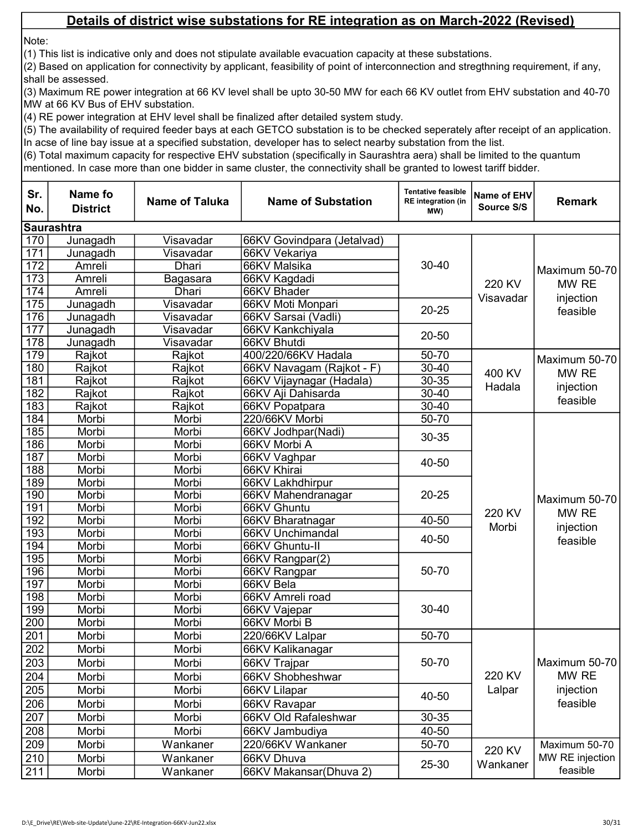Note:

(1) This list is indicative only and does not stipulate available evacuation capacity at these substations.

(2) Based on application for connectivity by applicant, feasibility of point of interconnection and stregthning requirement, if any, shall be assessed.

(3) Maximum RE power integration at 66 KV level shall be upto 30-50 MW for each 66 KV outlet from EHV substation and 40-70 MW at 66 KV Bus of EHV substation.

(4) RE power integration at EHV level shall be finalized after detailed system study.

(5) The availability of required feeder bays at each GETCO substation is to be checked seperately after receipt of an application. In acse of line bay issue at a specified substation, developer has to select nearby substation from the list.

| Sr.<br>No. | Name fo<br><b>District</b> | <b>Name of Taluka</b> | <b>Name of Substation</b>  | <b>Tentative feasible</b><br><b>RE</b> integration (in<br>MW) | Name of EHV<br>Source S/S | <b>Remark</b>                                   |
|------------|----------------------------|-----------------------|----------------------------|---------------------------------------------------------------|---------------------------|-------------------------------------------------|
|            | <b>Saurashtra</b>          |                       |                            |                                                               |                           |                                                 |
| 170        | Junagadh                   | Visavadar             | 66KV Govindpara (Jetalvad) |                                                               |                           |                                                 |
| 171        | Junagadh                   | Visavadar             | 66KV Vekariya              |                                                               |                           | Maximum 50-70<br>MW RE                          |
| 172        | Amreli                     | Dhari                 | 66KV Malsika               | $30 - 40$                                                     |                           |                                                 |
| 173        | Amreli                     | Bagasara              | 66KV Kagdadi               |                                                               | 220 KV                    |                                                 |
| 174        | Amreli                     | Dhari                 | 66KV Bhader                |                                                               |                           |                                                 |
| 175        | Junagadh                   | Visavadar             | 66KV Moti Monpari          | $20 - 25$                                                     | Visavadar                 | injection                                       |
| 176        | Junagadh                   | Visavadar             | 66KV Sarsai (Vadli)        |                                                               |                           | feasible                                        |
| 177        | Junagadh                   | Visavadar             | 66KV Kankchiyala           | $20 - 50$                                                     |                           |                                                 |
| 178        | Junagadh                   | Visavadar             | 66KV Bhutdi                |                                                               |                           |                                                 |
| 179        | Rajkot                     | Rajkot                | 400/220/66KV Hadala        | 50-70                                                         |                           | Maximum 50-70                                   |
| 180        | Rajkot                     | Rajkot                | 66KV Navagam (Rajkot - F)  | $30 - 40$                                                     | 400 KV                    | MW RE                                           |
| 181        | Rajkot                     | Rajkot                | 66KV Vijaynagar (Hadala)   | $30 - 35$                                                     | Hadala                    |                                                 |
| 182        | Rajkot                     | Rajkot                | 66KV Aji Dahisarda         | $30 - 40$                                                     |                           | injection                                       |
| 183        | Rajkot                     | Rajkot                | 66KV Popatpara             | $30 - 40$                                                     |                           | feasible                                        |
| 184        | Morbi                      | Morbi                 | 220/66KV Morbi             | $50 - 70$                                                     |                           | Maximum 50-70<br>MW RE<br>injection<br>feasible |
| 185        | Morbi                      | Morbi                 | 66KV Jodhpar(Nadi)         | 30-35                                                         |                           |                                                 |
| 186        | Morbi                      | Morbi                 | 66KV Morbi A               |                                                               |                           |                                                 |
| 187        | Morbi                      | Morbi                 | 66KV Vaghpar               | 40-50                                                         |                           |                                                 |
| 188        | Morbi                      | Morbi                 | 66KV Khirai                |                                                               |                           |                                                 |
| 189        | Morbi                      | Morbi                 | 66KV Lakhdhirpur           |                                                               |                           |                                                 |
| 190        | Morbi                      | Morbi                 | 66KV Mahendranagar         | $20 - 25$                                                     |                           |                                                 |
| 191        | Morbi                      | Morbi                 | 66KV Ghuntu                |                                                               | 220 KV                    |                                                 |
| 192        | Morbi                      | Morbi                 | 66KV Bharatnagar           | 40-50                                                         | Morbi                     |                                                 |
| 193        | Morbi                      | Morbi                 | 66KV Unchimandal           | 40-50                                                         |                           |                                                 |
| 194        | Morbi                      | Morbi                 | 66KV Ghuntu-II             |                                                               |                           |                                                 |
| 195        | Morbi                      | Morbi                 | 66KV Rangpar(2)            |                                                               |                           |                                                 |
| 196        | Morbi                      | Morbi                 | 66KV Rangpar               | 50-70                                                         |                           |                                                 |
| 197        | Morbi                      | Morbi                 | 66KV Bela                  |                                                               |                           |                                                 |
| 198        | Morbi                      | Morbi                 | 66KV Amreli road           |                                                               |                           |                                                 |
| 199        | Morbi                      | Morbi                 | 66KV Vajepar               | $30 - 40$                                                     |                           |                                                 |
| 200        | Morbi                      | Morbi                 | 66KV Morbi B               |                                                               |                           |                                                 |
| 201        | Morbi                      | Morbi                 | 220/66KV Lalpar            | 50-70                                                         |                           |                                                 |
| 202        | Morbi                      | Morbi                 | 66KV Kalikanagar           |                                                               |                           |                                                 |
| 203        | Morbi                      | Morbi                 | 66KV Trajpar               | 50-70                                                         |                           | Maximum 50-70                                   |
| 204        | Morbi                      | Morbi                 | 66KV Shobheshwar           |                                                               | 220 KV                    | MW RE                                           |
| 205        | Morbi                      | Morbi                 | 66KV Lilapar               |                                                               | Lalpar                    | injection                                       |
| 206        | Morbi                      | Morbi                 | 66KV Ravapar               | 40-50                                                         |                           | feasible                                        |
| 207        | Morbi                      | Morbi                 | 66KV Old Rafaleshwar       | 30-35                                                         |                           |                                                 |
| 208        | Morbi                      | Morbi                 | 66KV Jambudiya             | 40-50                                                         |                           |                                                 |
| 209        | Morbi                      | Wankaner              | 220/66KV Wankaner          | 50-70                                                         |                           | Maximum 50-70                                   |
| 210        | Morbi                      | Wankaner              | 66KV Dhuva                 |                                                               | 220 KV                    | MW RE injection                                 |
| 211        | Morbi                      | Wankaner              | 66KV Makansar(Dhuva 2)     | 25-30                                                         | Wankaner                  | feasible                                        |